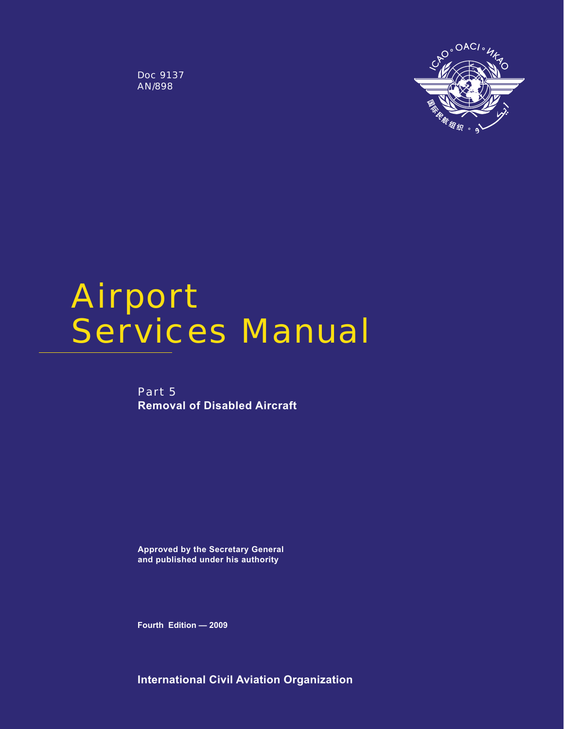Doc 9137 AN/898



# Airport Services Manual

Part 5 **Removal of Disabled Aircraft**

**Approved by the Secretary General and published under his authority**

**Fourth Edition — 2009**

**International Civil Aviation Organization**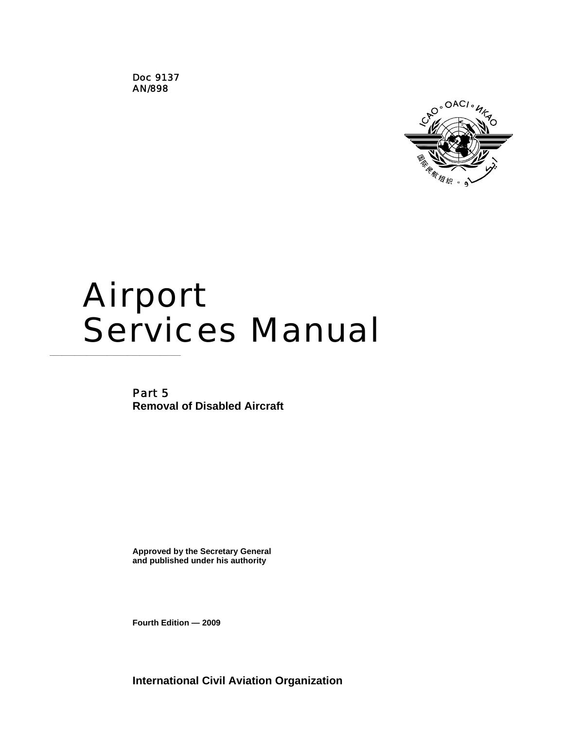Doc 9137 AN/898



# Airport **Services Manual**

Part 5 **Removal of Disabled Aircraft** 

**Approved by the Secretary General and published under his authority** 

**Fourth Edition — 2009** 

**International Civil Aviation Organization**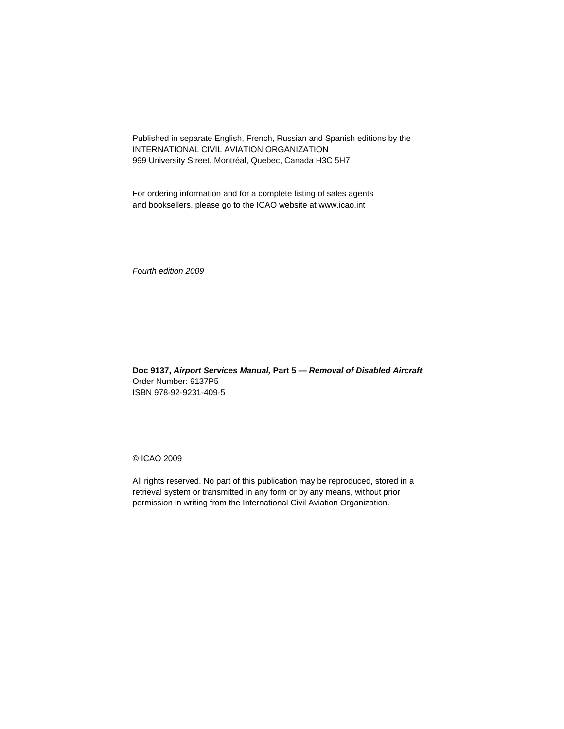Published in separate English, French, Russian and Spanish editions by the INTERNATIONAL CIVIL AVIATION ORGANIZATION 999 University Street, Montréal, Quebec, Canada H3C 5H7

For ordering information and for a complete listing of sales agents and booksellers, please go to the ICAO website at www.icao.int

*Fourth edition 2009* 

**Doc 9137,** *Airport Services Manual,* **Part 5 —** *Removal of Disabled Aircraft*  Order Number: 9137P5 ISBN 978-92-9231-409-5

© ICAO 2009

All rights reserved. No part of this publication may be reproduced, stored in a retrieval system or transmitted in any form or by any means, without prior permission in writing from the International Civil Aviation Organization.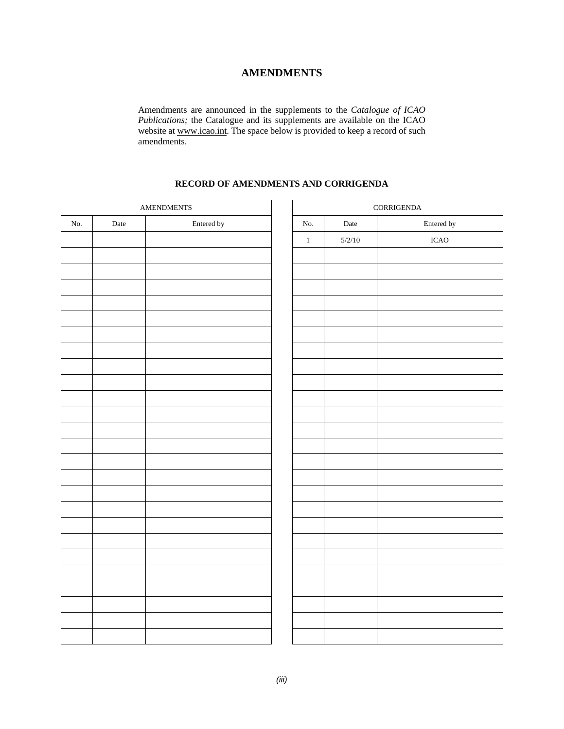# **AMENDMENTS**

Amendments are announced in the supplements to the *Catalogue of ICAO Publications;* the Catalogue and its supplements are available on the ICAO website at www.icao.int. The space below is provided to keep a record of such amendments.

# **RECORD OF AMENDMENTS AND CORRIGENDA**

| $\large \bf AMENDMENTS \label{thm:ampl}$ |             |            |         | $\mbox{CORRIGENDA}$ |             |  |
|------------------------------------------|-------------|------------|---------|---------------------|-------------|--|
| No.                                      | $\rm{Date}$ | Entered by | No.     | Date                | Entered by  |  |
|                                          |             |            | $\,1\,$ | $5/2/10$            | <b>ICAO</b> |  |
|                                          |             |            |         |                     |             |  |
|                                          |             |            |         |                     |             |  |
|                                          |             |            |         |                     |             |  |
|                                          |             |            |         |                     |             |  |
|                                          |             |            |         |                     |             |  |
|                                          |             |            |         |                     |             |  |
|                                          |             |            |         |                     |             |  |
|                                          |             |            |         |                     |             |  |
|                                          |             |            |         |                     |             |  |
|                                          |             |            |         |                     |             |  |
|                                          |             |            |         |                     |             |  |
|                                          |             |            |         |                     |             |  |
|                                          |             |            |         |                     |             |  |
|                                          |             |            |         |                     |             |  |
|                                          |             |            |         |                     |             |  |
|                                          |             |            |         |                     |             |  |
|                                          |             |            |         |                     |             |  |
|                                          |             |            |         |                     |             |  |
|                                          |             |            |         |                     |             |  |
|                                          |             |            |         |                     |             |  |
|                                          |             |            |         |                     |             |  |
|                                          |             |            |         |                     |             |  |
|                                          |             |            |         |                     |             |  |
|                                          |             |            |         |                     |             |  |
|                                          |             |            |         |                     |             |  |
|                                          |             |            |         |                     |             |  |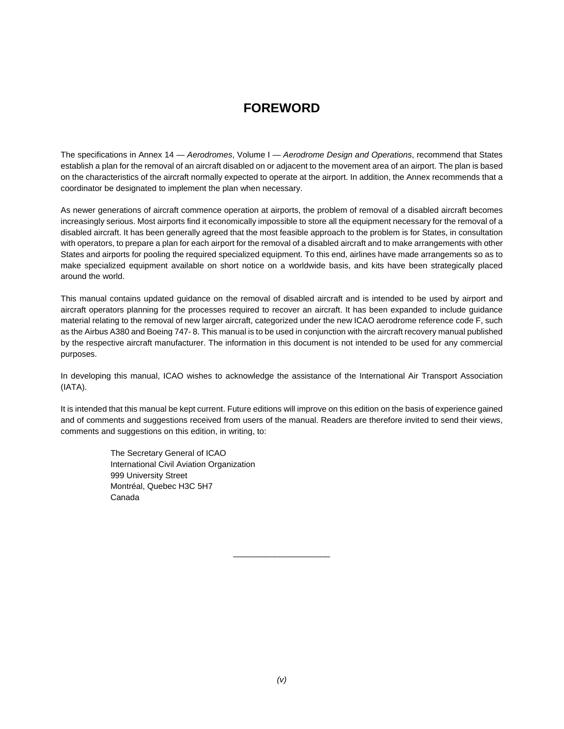# **FOREWORD**

The specifications in Annex 14 — *Aerodromes*, Volume I — *Aerodrome Design and Operations*, recommend that States establish a plan for the removal of an aircraft disabled on or adjacent to the movement area of an airport. The plan is based on the characteristics of the aircraft normally expected to operate at the airport. In addition, the Annex recommends that a coordinator be designated to implement the plan when necessary.

As newer generations of aircraft commence operation at airports, the problem of removal of a disabled aircraft becomes increasingly serious. Most airports find it economically impossible to store all the equipment necessary for the removal of a disabled aircraft. It has been generally agreed that the most feasible approach to the problem is for States, in consultation with operators, to prepare a plan for each airport for the removal of a disabled aircraft and to make arrangements with other States and airports for pooling the required specialized equipment. To this end, airlines have made arrangements so as to make specialized equipment available on short notice on a worldwide basis, and kits have been strategically placed around the world.

This manual contains updated guidance on the removal of disabled aircraft and is intended to be used by airport and aircraft operators planning for the processes required to recover an aircraft. It has been expanded to include guidance material relating to the removal of new larger aircraft, categorized under the new ICAO aerodrome reference code F, such as the Airbus A380 and Boeing 747- 8. This manual is to be used in conjunction with the aircraft recovery manual published by the respective aircraft manufacturer. The information in this document is not intended to be used for any commercial purposes.

In developing this manual, ICAO wishes to acknowledge the assistance of the International Air Transport Association (IATA).

It is intended that this manual be kept current. Future editions will improve on this edition on the basis of experience gained and of comments and suggestions received from users of the manual. Readers are therefore invited to send their views, comments and suggestions on this edition, in writing, to:

> The Secretary General of ICAO International Civil Aviation Organization 999 University Street Montréal, Quebec H3C 5H7 Canada

\_\_\_\_\_\_\_\_\_\_\_\_\_\_\_\_\_\_\_\_\_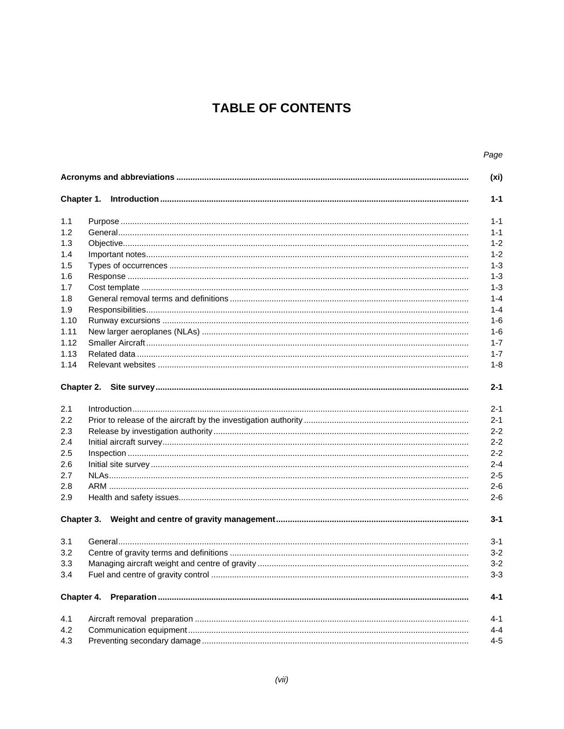# **TABLE OF CONTENTS**

|                   | Page                                   |  |  |  |  |
|-------------------|----------------------------------------|--|--|--|--|
| (x <sub>i</sub> ) |                                        |  |  |  |  |
|                   | $1 - 1$                                |  |  |  |  |
|                   | $1 - 1$                                |  |  |  |  |
|                   | $1 - 1$                                |  |  |  |  |
|                   | $1 - 2$                                |  |  |  |  |
|                   |                                        |  |  |  |  |
|                   | $1 - 2$<br>$1 - 3$                     |  |  |  |  |
|                   |                                        |  |  |  |  |
|                   |                                        |  |  |  |  |
|                   | $1 - 3$<br>$1 - 4$                     |  |  |  |  |
|                   | $1 - 4$                                |  |  |  |  |
|                   | $1-6$                                  |  |  |  |  |
|                   | $1 - 6$                                |  |  |  |  |
|                   | $1 - 7$                                |  |  |  |  |
|                   | $1 - 7$                                |  |  |  |  |
|                   | $1 - 8$                                |  |  |  |  |
|                   |                                        |  |  |  |  |
|                   | $2 - 1$                                |  |  |  |  |
|                   | $2 - 1$                                |  |  |  |  |
|                   | $2 - 1$                                |  |  |  |  |
|                   | $2 - 2$                                |  |  |  |  |
|                   | $2 - 2$                                |  |  |  |  |
|                   | $2 - 2$                                |  |  |  |  |
|                   | $2 - 4$                                |  |  |  |  |
|                   | $2 - 5$                                |  |  |  |  |
|                   | $2 - 6$                                |  |  |  |  |
|                   | $2 - 6$                                |  |  |  |  |
|                   |                                        |  |  |  |  |
|                   | $3 - 1$                                |  |  |  |  |
|                   | $3 - 1$                                |  |  |  |  |
|                   | $3 - 2$                                |  |  |  |  |
|                   | $3 - 2$                                |  |  |  |  |
|                   | $3 - 3$                                |  |  |  |  |
|                   |                                        |  |  |  |  |
|                   |                                        |  |  |  |  |
| Chapter 4.        | $4 - 1$                                |  |  |  |  |
|                   | $4 - 1$                                |  |  |  |  |
|                   | $4 - 4$                                |  |  |  |  |
|                   | Chapter 1.<br>Chapter 2.<br>Chapter 3. |  |  |  |  |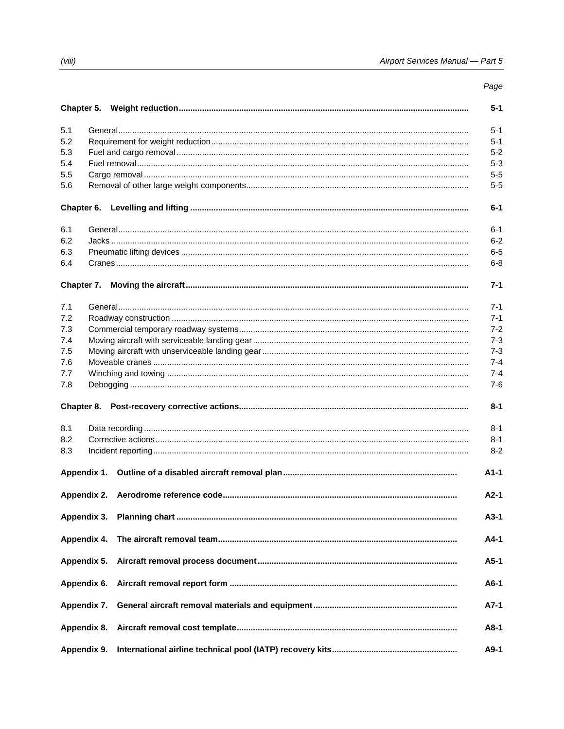|            |             |  | Page    |  |
|------------|-------------|--|---------|--|
|            |             |  | $5 - 1$ |  |
| 5.1        |             |  | $5 - 1$ |  |
| 5.2        |             |  | $5 - 1$ |  |
| 5.3        |             |  | $5 - 2$ |  |
| 5.4        |             |  | $5 - 3$ |  |
| 5.5        |             |  | $5 - 5$ |  |
| 5.6        |             |  |         |  |
|            |             |  | $6-1$   |  |
| 6.1        |             |  | $6 - 1$ |  |
| 6.2        |             |  | $6 - 2$ |  |
| 6.3        |             |  | $6-5$   |  |
| 6.4        |             |  | $6 - 8$ |  |
| Chapter 7. |             |  | $7 - 1$ |  |
|            |             |  |         |  |
| 7.1        |             |  | $7 - 1$ |  |
| 7.2        |             |  | $7 - 1$ |  |
| 7.3        |             |  | $7 - 2$ |  |
| 7.4        |             |  | $7 - 3$ |  |
| 7.5        |             |  | $7 - 3$ |  |
| 7.6        |             |  | $7 - 4$ |  |
| 7.7        |             |  | $7 - 4$ |  |
| 7.8        |             |  | $7-6$   |  |
|            |             |  | $8 - 1$ |  |
| 8.1        |             |  | $8 - 1$ |  |
| 8.2        |             |  | $8 - 1$ |  |
| 8.3        |             |  | $8 - 2$ |  |
|            |             |  | $A1-1$  |  |
|            |             |  | $A2-1$  |  |
|            | Appendix 3. |  | $A3-1$  |  |
|            | Appendix 4. |  | A4-1    |  |
|            | Appendix 5. |  | $A5-1$  |  |
|            | Appendix 6. |  | $A6-1$  |  |
|            | Appendix 7. |  | $A7-1$  |  |
|            | Appendix 8. |  | A8-1    |  |
|            | Appendix 9. |  | $A9-1$  |  |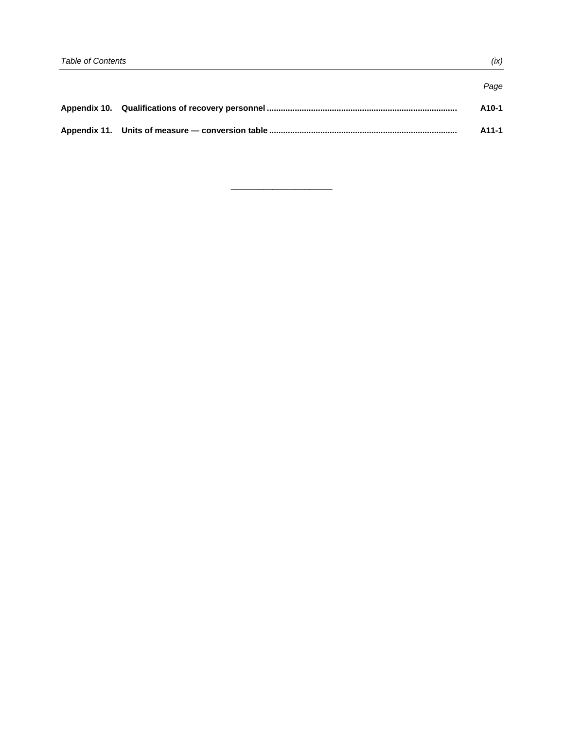|                                                                                  | Page  |
|----------------------------------------------------------------------------------|-------|
| Appendix 10. Qualifications of recovery personnel ……………………………………………………………………………… | A10-1 |
| Appendix 11. Units of measure — conversion table ………………………………………………………………………………… | A11-1 |

 $\overline{\phantom{a}}$  , and the set of the set of the set of the set of the set of the set of the set of the set of the set of the set of the set of the set of the set of the set of the set of the set of the set of the set of the s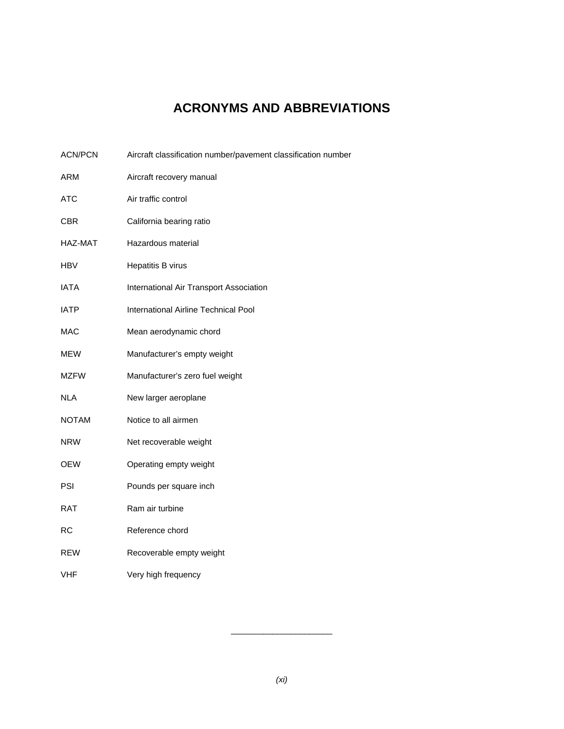# **ACRONYMS AND ABBREVIATIONS**

| <b>ACN/PCN</b> | Aircraft classification number/pavement classification number |
|----------------|---------------------------------------------------------------|
| ARM            | Aircraft recovery manual                                      |
| <b>ATC</b>     | Air traffic control                                           |
| CBR            | California bearing ratio                                      |
| HAZ-MAT        | Hazardous material                                            |
| HBV            | Hepatitis B virus                                             |
| <b>IATA</b>    | International Air Transport Association                       |
| <b>IATP</b>    | International Airline Technical Pool                          |
| <b>MAC</b>     | Mean aerodynamic chord                                        |
| <b>MEW</b>     | Manufacturer's empty weight                                   |
| <b>MZFW</b>    | Manufacturer's zero fuel weight                               |
| NLA            | New larger aeroplane                                          |
| <b>NOTAM</b>   | Notice to all airmen                                          |
| <b>NRW</b>     | Net recoverable weight                                        |
| OEW            | Operating empty weight                                        |
| PSI            | Pounds per square inch                                        |
| <b>RAT</b>     | Ram air turbine                                               |
| <b>RC</b>      | Reference chord                                               |
| <b>REW</b>     | Recoverable empty weight                                      |
| <b>VHF</b>     | Very high frequency                                           |

 $\overline{\phantom{a}}$  , and the set of the set of the set of the set of the set of the set of the set of the set of the set of the set of the set of the set of the set of the set of the set of the set of the set of the set of the s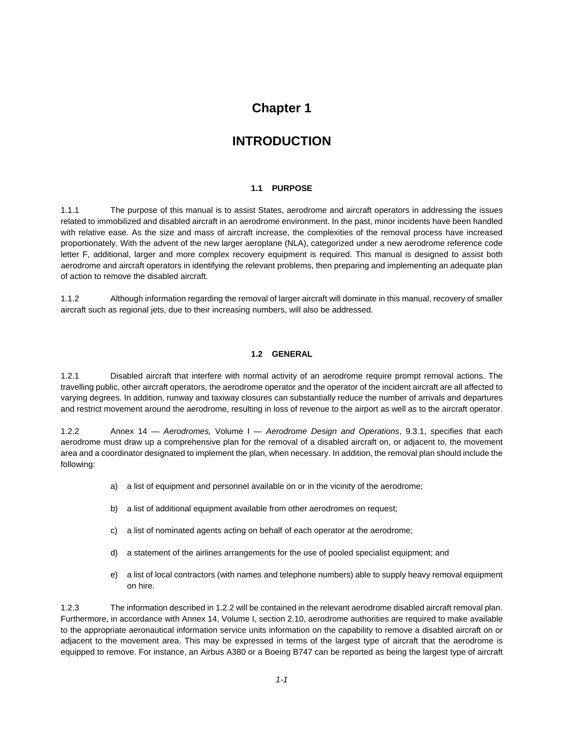# **Chapter 1**

# **INTRODUCTION**

# **1.1 PURPOSE**

1.1.1 The purpose of this manual is to assist States, aerodrome and aircraft operators in addressing the issues related to immobilized and disabled aircraft in an aerodrome environment. In the past, minor incidents have been handled with relative ease. As the size and mass of aircraft increase, the complexities of the removal process have increased proportionately. With the advent of the new larger aeroplane (NLA), categorized under a new aerodrome reference code letter F, additional, larger and more complex recovery equipment is required. This manual is designed to assist both aerodrome and aircraft operators in identifying the relevant problems, then preparing and implementing an adequate plan of action to remove the disabled aircraft.

1.1.2 Although information regarding the removal of larger aircraft will dominate in this manual, recovery of smaller aircraft such as regional jets, due to their increasing numbers, will also be addressed.

# **1.2 GENERAL**

1.2.1 Disabled aircraft that interfere with normal activity of an aerodrome require prompt removal actions. The travelling public, other aircraft operators, the aerodrome operator and the operator of the incident aircraft are all affected to varying degrees. In addition, runway and taxiway closures can substantially reduce the number of arrivals and departures and restrict movement around the aerodrome, resulting in loss of revenue to the airport as well as to the aircraft operator.

1.2.2 Annex 14 — *Aerodromes,* Volume I — *Aerodrome Design and Operations*, 9.3.1, specifies that each aerodrome must draw up a comprehensive plan for the removal of a disabled aircraft on, or adjacent to, the movement area and a coordinator designated to implement the plan, when necessary. In addition, the removal plan should include the following:

- a) a list of equipment and personnel available on or in the vicinity of the aerodrome;
- b) a list of additional equipment available from other aerodromes on request;
- c) a list of nominated agents acting on behalf of each operator at the aerodrome;
- d) a statement of the airlines arrangements for the use of pooled specialist equipment; and
- e) a list of local contractors (with names and telephone numbers) able to supply heavy removal equipment on hire.

1.2.3 The information described in 1.2.2 will be contained in the relevant aerodrome disabled aircraft removal plan. Furthermore, in accordance with Annex 14, Volume I, section 2.10, aerodrome authorities are required to make available to the appropriate aeronautical information service units information on the capability to remove a disabled aircraft on or adjacent to the movement area. This may be expressed in terms of the largest type of aircraft that the aerodrome is equipped to remove. For instance, an Airbus A380 or a Boeing B747 can be reported as being the largest type of aircraft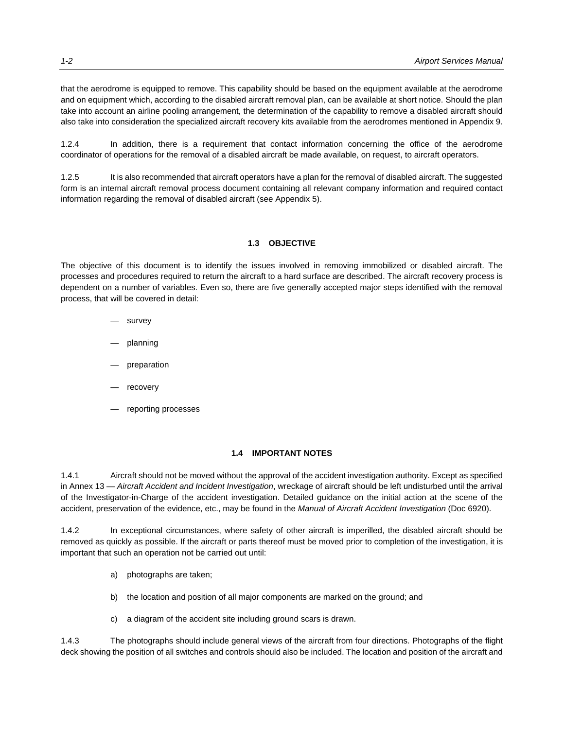that the aerodrome is equipped to remove. This capability should be based on the equipment available at the aerodrome and on equipment which, according to the disabled aircraft removal plan, can be available at short notice. Should the plan take into account an airline pooling arrangement, the determination of the capability to remove a disabled aircraft should also take into consideration the specialized aircraft recovery kits available from the aerodromes mentioned in Appendix 9.

1.2.4 In addition, there is a requirement that contact information concerning the office of the aerodrome coordinator of operations for the removal of a disabled aircraft be made available, on request, to aircraft operators.

1.2.5 It is also recommended that aircraft operators have a plan for the removal of disabled aircraft. The suggested form is an internal aircraft removal process document containing all relevant company information and required contact information regarding the removal of disabled aircraft (see Appendix 5).

# **1.3 OBJECTIVE**

The objective of this document is to identify the issues involved in removing immobilized or disabled aircraft. The processes and procedures required to return the aircraft to a hard surface are described. The aircraft recovery process is dependent on a number of variables. Even so, there are five generally accepted major steps identified with the removal process, that will be covered in detail:

- survey
- planning
- preparation
- recovery
- reporting processes

## **1.4 IMPORTANT NOTES**

1.4.1 Aircraft should not be moved without the approval of the accident investigation authority. Except as specified in Annex 13 — *Aircraft Accident and Incident Investigation*, wreckage of aircraft should be left undisturbed until the arrival of the Investigator-in-Charge of the accident investigation. Detailed guidance on the initial action at the scene of the accident, preservation of the evidence, etc., may be found in the *Manual of Aircraft Accident Investigation* (Doc 6920).

1.4.2 In exceptional circumstances, where safety of other aircraft is imperilled, the disabled aircraft should be removed as quickly as possible. If the aircraft or parts thereof must be moved prior to completion of the investigation, it is important that such an operation not be carried out until:

- a) photographs are taken;
- b) the location and position of all major components are marked on the ground; and
- c) a diagram of the accident site including ground scars is drawn.

1.4.3 The photographs should include general views of the aircraft from four directions. Photographs of the flight deck showing the position of all switches and controls should also be included. The location and position of the aircraft and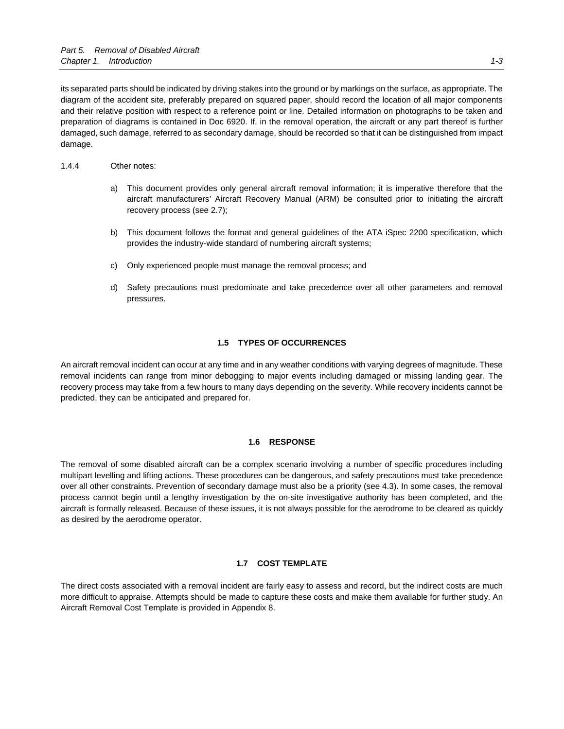its separated parts should be indicated by driving stakes into the ground or by markings on the surface, as appropriate. The diagram of the accident site, preferably prepared on squared paper, should record the location of all major components and their relative position with respect to a reference point or line. Detailed information on photographs to be taken and preparation of diagrams is contained in Doc 6920. If, in the removal operation, the aircraft or any part thereof is further damaged, such damage, referred to as secondary damage, should be recorded so that it can be distinguished from impact damage.

# 1.4.4 Other notes:

- a) This document provides only general aircraft removal information; it is imperative therefore that the aircraft manufacturers' Aircraft Recovery Manual (ARM) be consulted prior to initiating the aircraft recovery process (see 2.7);
- b) This document follows the format and general guidelines of the ATA iSpec 2200 specification, which provides the industry-wide standard of numbering aircraft systems;
- c) Only experienced people must manage the removal process; and
- d) Safety precautions must predominate and take precedence over all other parameters and removal pressures.

#### **1.5 TYPES OF OCCURRENCES**

An aircraft removal incident can occur at any time and in any weather conditions with varying degrees of magnitude. These removal incidents can range from minor debogging to major events including damaged or missing landing gear. The recovery process may take from a few hours to many days depending on the severity. While recovery incidents cannot be predicted, they can be anticipated and prepared for.

#### **1.6 RESPONSE**

The removal of some disabled aircraft can be a complex scenario involving a number of specific procedures including multipart levelling and lifting actions. These procedures can be dangerous, and safety precautions must take precedence over all other constraints. Prevention of secondary damage must also be a priority (see 4.3). In some cases, the removal process cannot begin until a lengthy investigation by the on-site investigative authority has been completed, and the aircraft is formally released. Because of these issues, it is not always possible for the aerodrome to be cleared as quickly as desired by the aerodrome operator.

#### **1.7 COST TEMPLATE**

The direct costs associated with a removal incident are fairly easy to assess and record, but the indirect costs are much more difficult to appraise. Attempts should be made to capture these costs and make them available for further study. An Aircraft Removal Cost Template is provided in Appendix 8.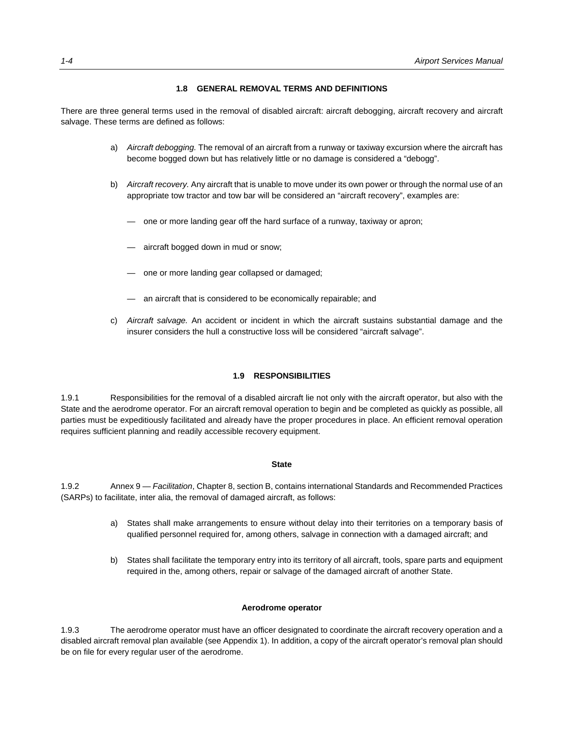## **1.8 GENERAL REMOVAL TERMS AND DEFINITIONS**

There are three general terms used in the removal of disabled aircraft: aircraft debogging, aircraft recovery and aircraft salvage. These terms are defined as follows:

- a) *Aircraft debogging.* The removal of an aircraft from a runway or taxiway excursion where the aircraft has become bogged down but has relatively little or no damage is considered a "debogg".
- b) *Aircraft recovery.* Any aircraft that is unable to move under its own power or through the normal use of an appropriate tow tractor and tow bar will be considered an "aircraft recovery", examples are:
	- one or more landing gear off the hard surface of a runway, taxiway or apron;
	- aircraft bogged down in mud or snow;
	- one or more landing gear collapsed or damaged;
	- an aircraft that is considered to be economically repairable; and
- c) *Aircraft salvage.* An accident or incident in which the aircraft sustains substantial damage and the insurer considers the hull a constructive loss will be considered "aircraft salvage".

#### **1.9 RESPONSIBILITIES**

1.9.1 Responsibilities for the removal of a disabled aircraft lie not only with the aircraft operator, but also with the State and the aerodrome operator. For an aircraft removal operation to begin and be completed as quickly as possible, all parties must be expeditiously facilitated and already have the proper procedures in place. An efficient removal operation requires sufficient planning and readily accessible recovery equipment.

#### **State**

1.9.2 Annex 9 — *Facilitation*, Chapter 8, section B, contains international Standards and Recommended Practices (SARPs) to facilitate, inter alia, the removal of damaged aircraft, as follows:

- a) States shall make arrangements to ensure without delay into their territories on a temporary basis of qualified personnel required for, among others, salvage in connection with a damaged aircraft; and
- b) States shall facilitate the temporary entry into its territory of all aircraft, tools, spare parts and equipment required in the, among others, repair or salvage of the damaged aircraft of another State.

#### **Aerodrome operator**

1.9.3 The aerodrome operator must have an officer designated to coordinate the aircraft recovery operation and a disabled aircraft removal plan available (see Appendix 1). In addition, a copy of the aircraft operator's removal plan should be on file for every regular user of the aerodrome.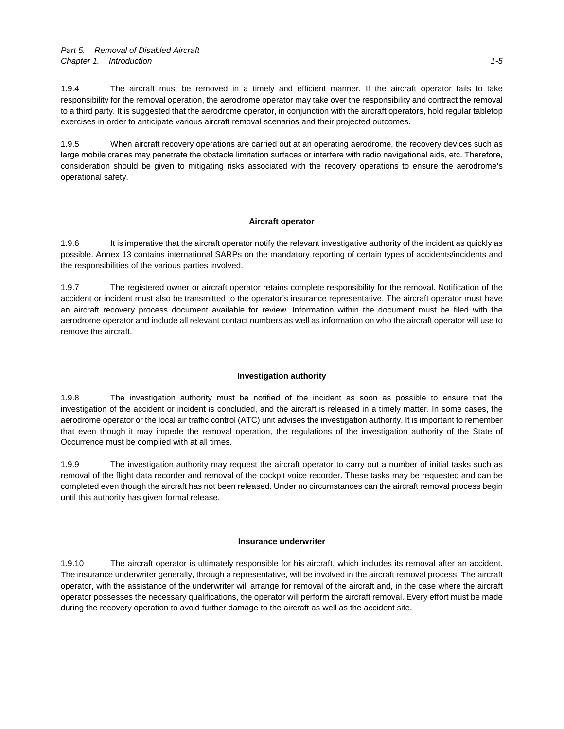1.9.4 The aircraft must be removed in a timely and efficient manner. If the aircraft operator fails to take responsibility for the removal operation, the aerodrome operator may take over the responsibility and contract the removal to a third party. It is suggested that the aerodrome operator, in conjunction with the aircraft operators, hold regular tabletop exercises in order to anticipate various aircraft removal scenarios and their projected outcomes.

1.9.5 When aircraft recovery operations are carried out at an operating aerodrome, the recovery devices such as large mobile cranes may penetrate the obstacle limitation surfaces or interfere with radio navigational aids, etc. Therefore, consideration should be given to mitigating risks associated with the recovery operations to ensure the aerodrome's operational safety.

# **Aircraft operator**

1.9.6 It is imperative that the aircraft operator notify the relevant investigative authority of the incident as quickly as possible. Annex 13 contains international SARPs on the mandatory reporting of certain types of accidents/incidents and the responsibilities of the various parties involved.

1.9.7 The registered owner or aircraft operator retains complete responsibility for the removal. Notification of the accident or incident must also be transmitted to the operator's insurance representative. The aircraft operator must have an aircraft recovery process document available for review. Information within the document must be filed with the aerodrome operator and include all relevant contact numbers as well as information on who the aircraft operator will use to remove the aircraft.

# **Investigation authority**

1.9.8 The investigation authority must be notified of the incident as soon as possible to ensure that the investigation of the accident or incident is concluded, and the aircraft is released in a timely matter. In some cases, the aerodrome operator or the local air traffic control (ATC) unit advises the investigation authority. It is important to remember that even though it may impede the removal operation, the regulations of the investigation authority of the State of Occurrence must be complied with at all times.

1.9.9 The investigation authority may request the aircraft operator to carry out a number of initial tasks such as removal of the flight data recorder and removal of the cockpit voice recorder. These tasks may be requested and can be completed even though the aircraft has not been released. Under no circumstances can the aircraft removal process begin until this authority has given formal release.

## **Insurance underwriter**

1.9.10 The aircraft operator is ultimately responsible for his aircraft, which includes its removal after an accident. The insurance underwriter generally, through a representative, will be involved in the aircraft removal process. The aircraft operator, with the assistance of the underwriter will arrange for removal of the aircraft and, in the case where the aircraft operator possesses the necessary qualifications, the operator will perform the aircraft removal. Every effort must be made during the recovery operation to avoid further damage to the aircraft as well as the accident site.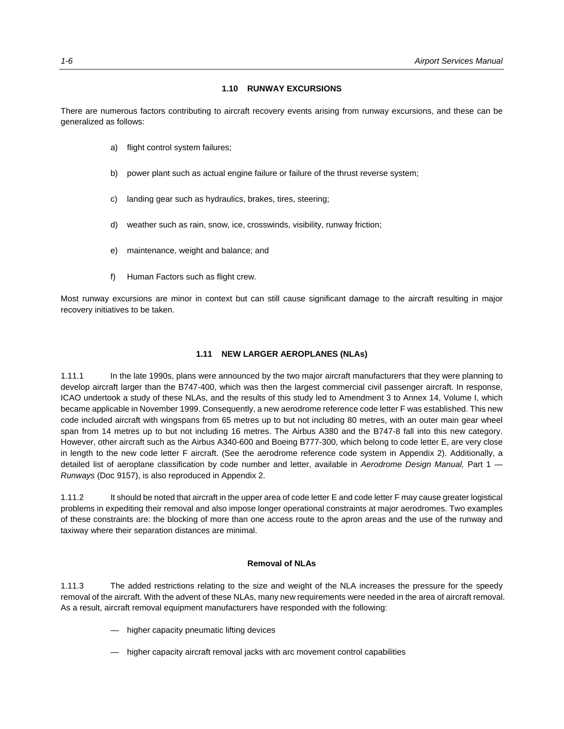#### **1.10 RUNWAY EXCURSIONS**

There are numerous factors contributing to aircraft recovery events arising from runway excursions, and these can be generalized as follows:

- a) flight control system failures;
- b) power plant such as actual engine failure or failure of the thrust reverse system;
- c) landing gear such as hydraulics, brakes, tires, steering;
- d) weather such as rain, snow, ice, crosswinds, visibility, runway friction;
- e) maintenance, weight and balance; and
- f) Human Factors such as flight crew.

Most runway excursions are minor in context but can still cause significant damage to the aircraft resulting in major recovery initiatives to be taken.

#### **1.11 NEW LARGER AEROPLANES (NLAs)**

1.11.1 In the late 1990s, plans were announced by the two major aircraft manufacturers that they were planning to develop aircraft larger than the B747-400, which was then the largest commercial civil passenger aircraft. In response, ICAO undertook a study of these NLAs, and the results of this study led to Amendment 3 to Annex 14, Volume I, which became applicable in November 1999. Consequently, a new aerodrome reference code letter F was established. This new code included aircraft with wingspans from 65 metres up to but not including 80 metres, with an outer main gear wheel span from 14 metres up to but not including 16 metres. The Airbus A380 and the B747-8 fall into this new category. However, other aircraft such as the Airbus A340-600 and Boeing B777-300, which belong to code letter E, are very close in length to the new code letter F aircraft. (See the aerodrome reference code system in Appendix 2). Additionally, a detailed list of aeroplane classification by code number and letter, available in *Aerodrome Design Manual,* Part 1 — *Runways* (Doc 9157), is also reproduced in Appendix 2.

1.11.2 It should be noted that aircraft in the upper area of code letter E and code letter F may cause greater logistical problems in expediting their removal and also impose longer operational constraints at major aerodromes. Two examples of these constraints are: the blocking of more than one access route to the apron areas and the use of the runway and taxiway where their separation distances are minimal.

#### **Removal of NLAs**

1.11.3 The added restrictions relating to the size and weight of the NLA increases the pressure for the speedy removal of the aircraft. With the advent of these NLAs, many new requirements were needed in the area of aircraft removal. As a result, aircraft removal equipment manufacturers have responded with the following:

- higher capacity pneumatic lifting devices
- higher capacity aircraft removal jacks with arc movement control capabilities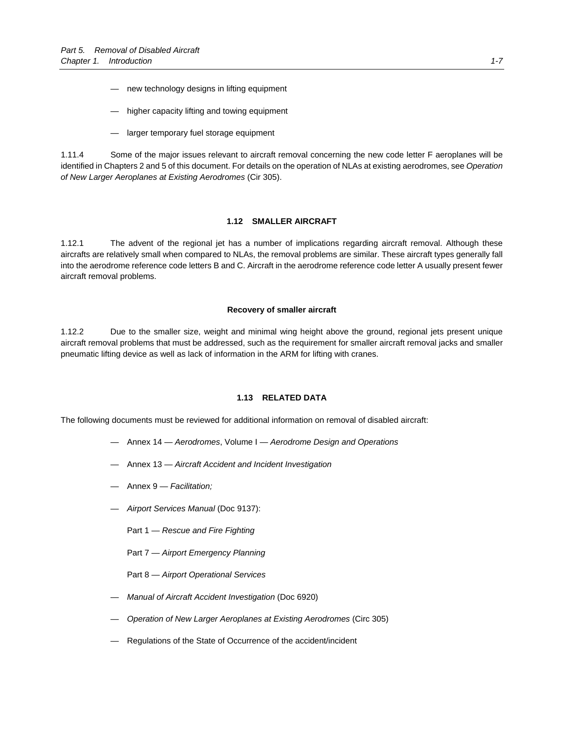- new technology designs in lifting equipment
- higher capacity lifting and towing equipment
- larger temporary fuel storage equipment

1.11.4 Some of the major issues relevant to aircraft removal concerning the new code letter F aeroplanes will be identified in Chapters 2 and 5 of this document. For details on the operation of NLAs at existing aerodromes, see *Operation of New Larger Aeroplanes at Existing Aerodromes* (Cir 305).

#### **1.12 SMALLER AIRCRAFT**

1.12.1 The advent of the regional jet has a number of implications regarding aircraft removal. Although these aircrafts are relatively small when compared to NLAs, the removal problems are similar. These aircraft types generally fall into the aerodrome reference code letters B and C. Aircraft in the aerodrome reference code letter A usually present fewer aircraft removal problems.

#### **Recovery of smaller aircraft**

1.12.2 Due to the smaller size, weight and minimal wing height above the ground, regional jets present unique aircraft removal problems that must be addressed, such as the requirement for smaller aircraft removal jacks and smaller pneumatic lifting device as well as lack of information in the ARM for lifting with cranes.

#### **1.13 RELATED DATA**

The following documents must be reviewed for additional information on removal of disabled aircraft:

- Annex 14 *Aerodromes*, Volume I *Aerodrome Design and Operations*
- Annex 13 *Aircraft Accident and Incident Investigation*
- Annex 9 *Facilitation;*
- *Airport Services Manual* (Doc 9137):
	- Part 1 *Rescue and Fire Fighting*
	- Part 7 *Airport Emergency Planning*
	- Part 8 *Airport Operational Services*
- *Manual of Aircraft Accident Investigation* (Doc 6920)
- *Operation of New Larger Aeroplanes at Existing Aerodromes* (Circ 305)
- Regulations of the State of Occurrence of the accident/incident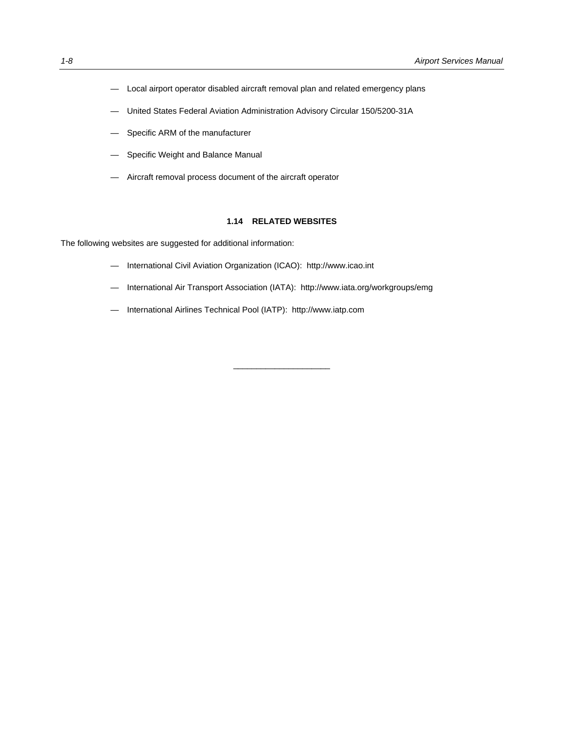- Local airport operator disabled aircraft removal plan and related emergency plans
- United States Federal Aviation Administration Advisory Circular 150/5200-31A
- Specific ARM of the manufacturer
- Specific Weight and Balance Manual
- Aircraft removal process document of the aircraft operator

#### **1.14 RELATED WEBSITES**

The following websites are suggested for additional information:

- International Civil Aviation Organization (ICAO): http://www.icao.int
- International Air Transport Association (IATA): http://www.iata.org/workgroups/emg

\_\_\_\_\_\_\_\_\_\_\_\_\_\_\_\_\_\_\_\_\_

— International Airlines Technical Pool (IATP): http://www.iatp.com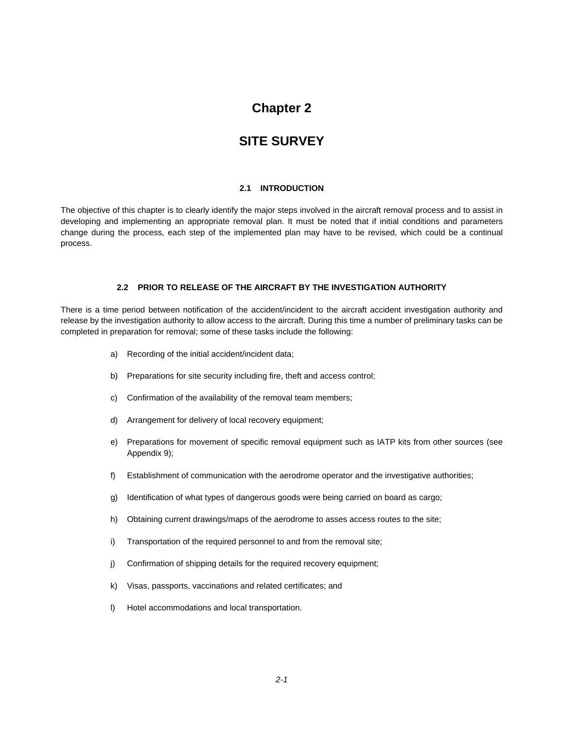# **Chapter 2**

# **SITE SURVEY**

## **2.1 INTRODUCTION**

The objective of this chapter is to clearly identify the major steps involved in the aircraft removal process and to assist in developing and implementing an appropriate removal plan. It must be noted that if initial conditions and parameters change during the process, each step of the implemented plan may have to be revised, which could be a continual process.

## **2.2 PRIOR TO RELEASE OF THE AIRCRAFT BY THE INVESTIGATION AUTHORITY**

There is a time period between notification of the accident/incident to the aircraft accident investigation authority and release by the investigation authority to allow access to the aircraft. During this time a number of preliminary tasks can be completed in preparation for removal; some of these tasks include the following:

- a) Recording of the initial accident/incident data;
- b) Preparations for site security including fire, theft and access control;
- c) Confirmation of the availability of the removal team members;
- d) Arrangement for delivery of local recovery equipment;
- e) Preparations for movement of specific removal equipment such as IATP kits from other sources (see Appendix 9);
- f) Establishment of communication with the aerodrome operator and the investigative authorities;
- g) Identification of what types of dangerous goods were being carried on board as cargo;
- h) Obtaining current drawings/maps of the aerodrome to asses access routes to the site;
- i) Transportation of the required personnel to and from the removal site;
- j) Confirmation of shipping details for the required recovery equipment;
- k) Visas, passports, vaccinations and related certificates; and
- l) Hotel accommodations and local transportation.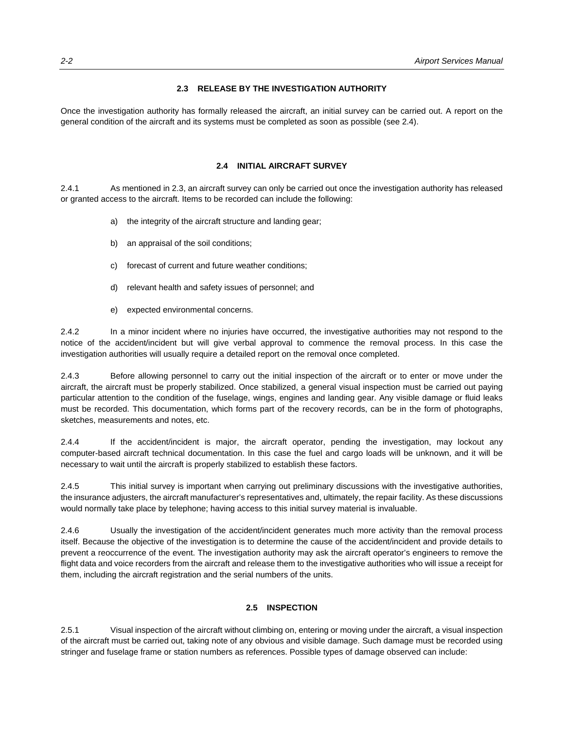#### **2.3 RELEASE BY THE INVESTIGATION AUTHORITY**

Once the investigation authority has formally released the aircraft, an initial survey can be carried out. A report on the general condition of the aircraft and its systems must be completed as soon as possible (see 2.4).

## **2.4 INITIAL AIRCRAFT SURVEY**

2.4.1 As mentioned in 2.3, an aircraft survey can only be carried out once the investigation authority has released or granted access to the aircraft. Items to be recorded can include the following:

- a) the integrity of the aircraft structure and landing gear;
- b) an appraisal of the soil conditions;
- c) forecast of current and future weather conditions;
- d) relevant health and safety issues of personnel; and
- e) expected environmental concerns.

2.4.2 In a minor incident where no injuries have occurred, the investigative authorities may not respond to the notice of the accident/incident but will give verbal approval to commence the removal process. In this case the investigation authorities will usually require a detailed report on the removal once completed.

2.4.3 Before allowing personnel to carry out the initial inspection of the aircraft or to enter or move under the aircraft, the aircraft must be properly stabilized. Once stabilized, a general visual inspection must be carried out paying particular attention to the condition of the fuselage, wings, engines and landing gear. Any visible damage or fluid leaks must be recorded. This documentation, which forms part of the recovery records, can be in the form of photographs, sketches, measurements and notes, etc.

2.4.4 If the accident/incident is major, the aircraft operator, pending the investigation, may lockout any computer-based aircraft technical documentation. In this case the fuel and cargo loads will be unknown, and it will be necessary to wait until the aircraft is properly stabilized to establish these factors.

2.4.5 This initial survey is important when carrying out preliminary discussions with the investigative authorities, the insurance adjusters, the aircraft manufacturer's representatives and, ultimately, the repair facility. As these discussions would normally take place by telephone; having access to this initial survey material is invaluable.

2.4.6 Usually the investigation of the accident/incident generates much more activity than the removal process itself. Because the objective of the investigation is to determine the cause of the accident/incident and provide details to prevent a reoccurrence of the event. The investigation authority may ask the aircraft operator's engineers to remove the flight data and voice recorders from the aircraft and release them to the investigative authorities who will issue a receipt for them, including the aircraft registration and the serial numbers of the units.

# **2.5 INSPECTION**

2.5.1 Visual inspection of the aircraft without climbing on, entering or moving under the aircraft, a visual inspection of the aircraft must be carried out, taking note of any obvious and visible damage. Such damage must be recorded using stringer and fuselage frame or station numbers as references. Possible types of damage observed can include: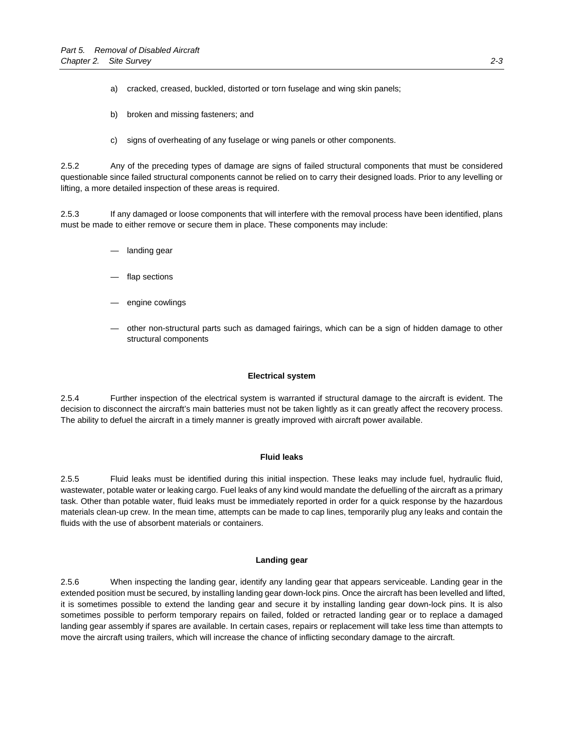a) cracked, creased, buckled, distorted or torn fuselage and wing skin panels;

- b) broken and missing fasteners; and
- c) signs of overheating of any fuselage or wing panels or other components.

2.5.2 Any of the preceding types of damage are signs of failed structural components that must be considered questionable since failed structural components cannot be relied on to carry their designed loads. Prior to any levelling or lifting, a more detailed inspection of these areas is required.

2.5.3 If any damaged or loose components that will interfere with the removal process have been identified, plans must be made to either remove or secure them in place. These components may include:

- landing gear
- flap sections
- engine cowlings
- other non-structural parts such as damaged fairings, which can be a sign of hidden damage to other structural components

#### **Electrical system**

2.5.4 Further inspection of the electrical system is warranted if structural damage to the aircraft is evident. The decision to disconnect the aircraft's main batteries must not be taken lightly as it can greatly affect the recovery process. The ability to defuel the aircraft in a timely manner is greatly improved with aircraft power available.

#### **Fluid leaks**

2.5.5 Fluid leaks must be identified during this initial inspection. These leaks may include fuel, hydraulic fluid, wastewater, potable water or leaking cargo. Fuel leaks of any kind would mandate the defuelling of the aircraft as a primary task. Other than potable water, fluid leaks must be immediately reported in order for a quick response by the hazardous materials clean-up crew. In the mean time, attempts can be made to cap lines, temporarily plug any leaks and contain the fluids with the use of absorbent materials or containers.

### **Landing gear**

2.5.6 When inspecting the landing gear, identify any landing gear that appears serviceable. Landing gear in the extended position must be secured, by installing landing gear down-lock pins. Once the aircraft has been levelled and lifted, it is sometimes possible to extend the landing gear and secure it by installing landing gear down-lock pins. It is also sometimes possible to perform temporary repairs on failed, folded or retracted landing gear or to replace a damaged landing gear assembly if spares are available. In certain cases, repairs or replacement will take less time than attempts to move the aircraft using trailers, which will increase the chance of inflicting secondary damage to the aircraft.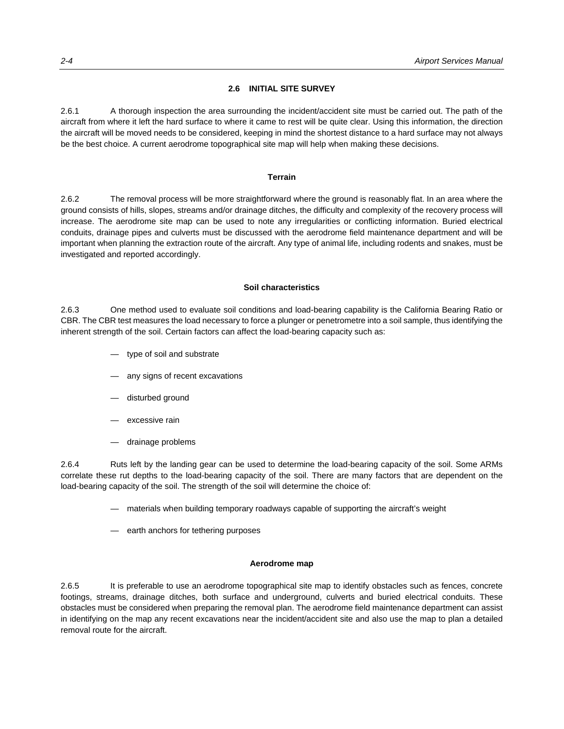## **2.6 INITIAL SITE SURVEY**

2.6.1 A thorough inspection the area surrounding the incident/accident site must be carried out. The path of the aircraft from where it left the hard surface to where it came to rest will be quite clear. Using this information, the direction the aircraft will be moved needs to be considered, keeping in mind the shortest distance to a hard surface may not always be the best choice. A current aerodrome topographical site map will help when making these decisions.

#### **Terrain**

2.6.2 The removal process will be more straightforward where the ground is reasonably flat. In an area where the ground consists of hills, slopes, streams and/or drainage ditches, the difficulty and complexity of the recovery process will increase. The aerodrome site map can be used to note any irregularities or conflicting information. Buried electrical conduits, drainage pipes and culverts must be discussed with the aerodrome field maintenance department and will be important when planning the extraction route of the aircraft. Any type of animal life, including rodents and snakes, must be investigated and reported accordingly.

# **Soil characteristics**

2.6.3 One method used to evaluate soil conditions and load-bearing capability is the California Bearing Ratio or CBR. The CBR test measures the load necessary to force a plunger or penetrometre into a soil sample, thus identifying the inherent strength of the soil. Certain factors can affect the load-bearing capacity such as:

- type of soil and substrate
- any signs of recent excavations
- disturbed ground
- excessive rain
- drainage problems

2.6.4 Ruts left by the landing gear can be used to determine the load-bearing capacity of the soil. Some ARMs correlate these rut depths to the load-bearing capacity of the soil. There are many factors that are dependent on the load-bearing capacity of the soil. The strength of the soil will determine the choice of:

- materials when building temporary roadways capable of supporting the aircraft's weight
- earth anchors for tethering purposes

## **Aerodrome map**

2.6.5 It is preferable to use an aerodrome topographical site map to identify obstacles such as fences, concrete footings, streams, drainage ditches, both surface and underground, culverts and buried electrical conduits. These obstacles must be considered when preparing the removal plan. The aerodrome field maintenance department can assist in identifying on the map any recent excavations near the incident/accident site and also use the map to plan a detailed removal route for the aircraft.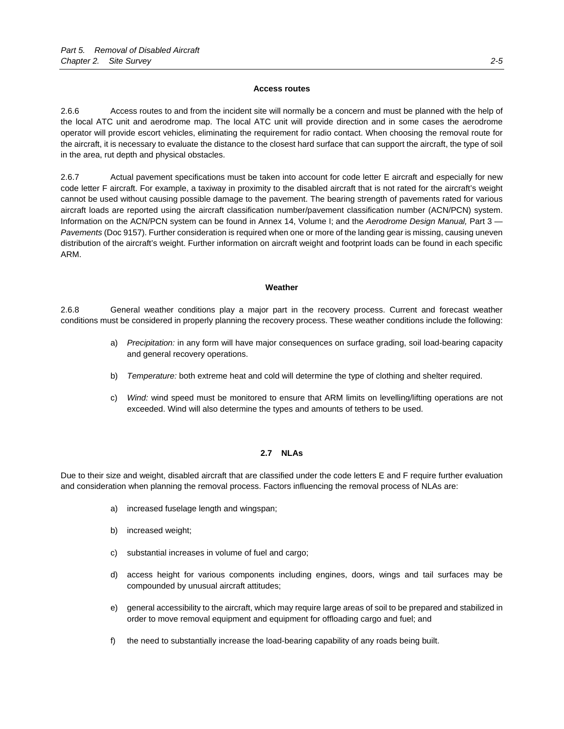#### **Access routes**

2.6.6 Access routes to and from the incident site will normally be a concern and must be planned with the help of the local ATC unit and aerodrome map. The local ATC unit will provide direction and in some cases the aerodrome operator will provide escort vehicles, eliminating the requirement for radio contact. When choosing the removal route for the aircraft, it is necessary to evaluate the distance to the closest hard surface that can support the aircraft, the type of soil in the area, rut depth and physical obstacles.

2.6.7 Actual pavement specifications must be taken into account for code letter E aircraft and especially for new code letter F aircraft. For example, a taxiway in proximity to the disabled aircraft that is not rated for the aircraft's weight cannot be used without causing possible damage to the pavement. The bearing strength of pavements rated for various aircraft loads are reported using the aircraft classification number/pavement classification number (ACN/PCN) system. Information on the ACN/PCN system can be found in Annex 14, Volume I; and the *Aerodrome Design Manual,* Part 3 — *Pavements* (Doc 9157). Further consideration is required when one or more of the landing gear is missing, causing uneven distribution of the aircraft's weight. Further information on aircraft weight and footprint loads can be found in each specific ARM.

# **Weather**

2.6.8 General weather conditions play a major part in the recovery process. Current and forecast weather conditions must be considered in properly planning the recovery process. These weather conditions include the following:

- a) *Precipitation:* in any form will have major consequences on surface grading, soil load-bearing capacity and general recovery operations.
- b) *Temperature:* both extreme heat and cold will determine the type of clothing and shelter required.
- c) *Wind:* wind speed must be monitored to ensure that ARM limits on levelling/lifting operations are not exceeded. Wind will also determine the types and amounts of tethers to be used.

## **2.7 NLAs**

Due to their size and weight, disabled aircraft that are classified under the code letters E and F require further evaluation and consideration when planning the removal process. Factors influencing the removal process of NLAs are:

- a) increased fuselage length and wingspan;
- b) increased weight;
- c) substantial increases in volume of fuel and cargo;
- d) access height for various components including engines, doors, wings and tail surfaces may be compounded by unusual aircraft attitudes;
- e) general accessibility to the aircraft, which may require large areas of soil to be prepared and stabilized in order to move removal equipment and equipment for offloading cargo and fuel; and
- f) the need to substantially increase the load-bearing capability of any roads being built.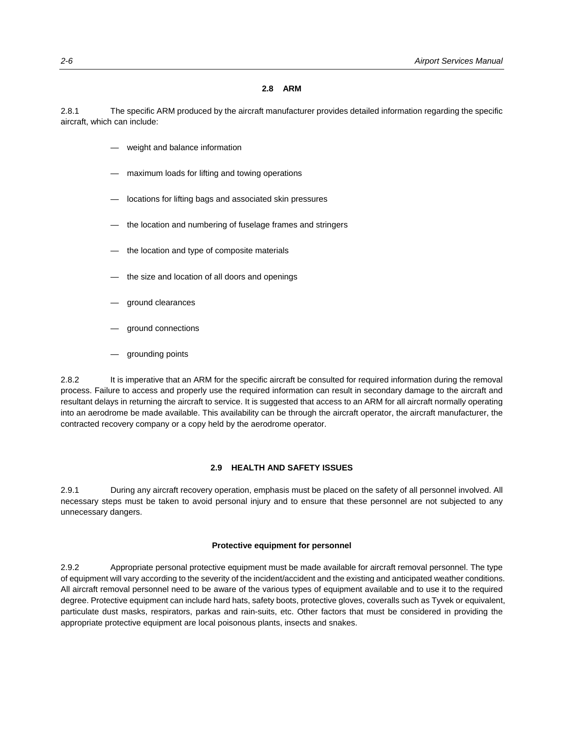#### **2.8 ARM**

2.8.1 The specific ARM produced by the aircraft manufacturer provides detailed information regarding the specific aircraft, which can include:

- weight and balance information
- maximum loads for lifting and towing operations
- locations for lifting bags and associated skin pressures
- the location and numbering of fuselage frames and stringers
- the location and type of composite materials
- the size and location of all doors and openings
- ground clearances
- ground connections
- grounding points

2.8.2 It is imperative that an ARM for the specific aircraft be consulted for required information during the removal process. Failure to access and properly use the required information can result in secondary damage to the aircraft and resultant delays in returning the aircraft to service. It is suggested that access to an ARM for all aircraft normally operating into an aerodrome be made available. This availability can be through the aircraft operator, the aircraft manufacturer, the contracted recovery company or a copy held by the aerodrome operator.

#### **2.9 HEALTH AND SAFETY ISSUES**

2.9.1 During any aircraft recovery operation, emphasis must be placed on the safety of all personnel involved. All necessary steps must be taken to avoid personal injury and to ensure that these personnel are not subjected to any unnecessary dangers.

#### **Protective equipment for personnel**

2.9.2 Appropriate personal protective equipment must be made available for aircraft removal personnel. The type of equipment will vary according to the severity of the incident/accident and the existing and anticipated weather conditions. All aircraft removal personnel need to be aware of the various types of equipment available and to use it to the required degree. Protective equipment can include hard hats, safety boots, protective gloves, coveralls such as Tyvek or equivalent, particulate dust masks, respirators, parkas and rain-suits, etc. Other factors that must be considered in providing the appropriate protective equipment are local poisonous plants, insects and snakes.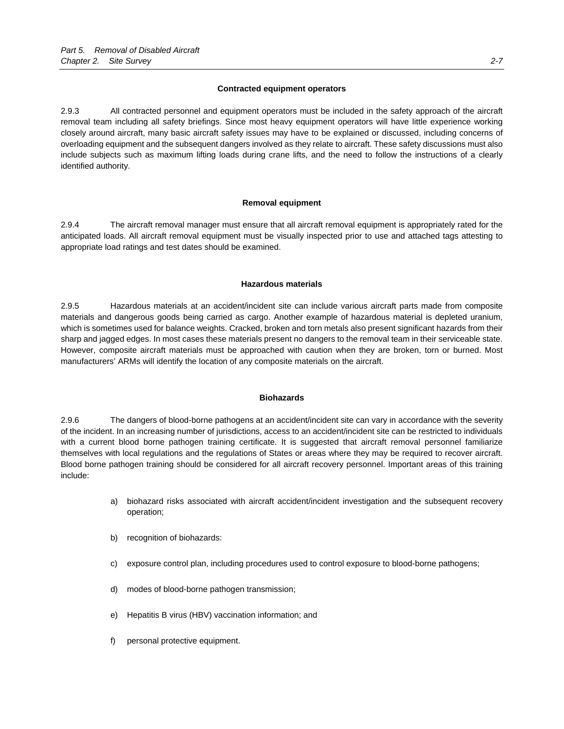#### **Contracted equipment operators**

2.9.3 All contracted personnel and equipment operators must be included in the safety approach of the aircraft removal team including all safety briefings. Since most heavy equipment operators will have little experience working closely around aircraft, many basic aircraft safety issues may have to be explained or discussed, including concerns of overloading equipment and the subsequent dangers involved as they relate to aircraft. These safety discussions must also include subjects such as maximum lifting loads during crane lifts, and the need to follow the instructions of a clearly identified authority.

#### **Removal equipment**

2.9.4 The aircraft removal manager must ensure that all aircraft removal equipment is appropriately rated for the anticipated loads. All aircraft removal equipment must be visually inspected prior to use and attached tags attesting to appropriate load ratings and test dates should be examined.

#### **Hazardous materials**

2.9.5 Hazardous materials at an accident/incident site can include various aircraft parts made from composite materials and dangerous goods being carried as cargo. Another example of hazardous material is depleted uranium, which is sometimes used for balance weights. Cracked, broken and torn metals also present significant hazards from their sharp and jagged edges. In most cases these materials present no dangers to the removal team in their serviceable state. However, composite aircraft materials must be approached with caution when they are broken, torn or burned. Most manufacturers' ARMs will identify the location of any composite materials on the aircraft.

#### **Biohazards**

2.9.6 The dangers of blood-borne pathogens at an accident/incident site can vary in accordance with the severity of the incident. In an increasing number of jurisdictions, access to an accident/incident site can be restricted to individuals with a current blood borne pathogen training certificate. It is suggested that aircraft removal personnel familiarize themselves with local regulations and the regulations of States or areas where they may be required to recover aircraft. Blood borne pathogen training should be considered for all aircraft recovery personnel. Important areas of this training include:

- a) biohazard risks associated with aircraft accident/incident investigation and the subsequent recovery operation;
- b) recognition of biohazards:
- c) exposure control plan, including procedures used to control exposure to blood-borne pathogens;
- d) modes of blood-borne pathogen transmission;
- e) Hepatitis B virus (HBV) vaccination information; and
- f) personal protective equipment.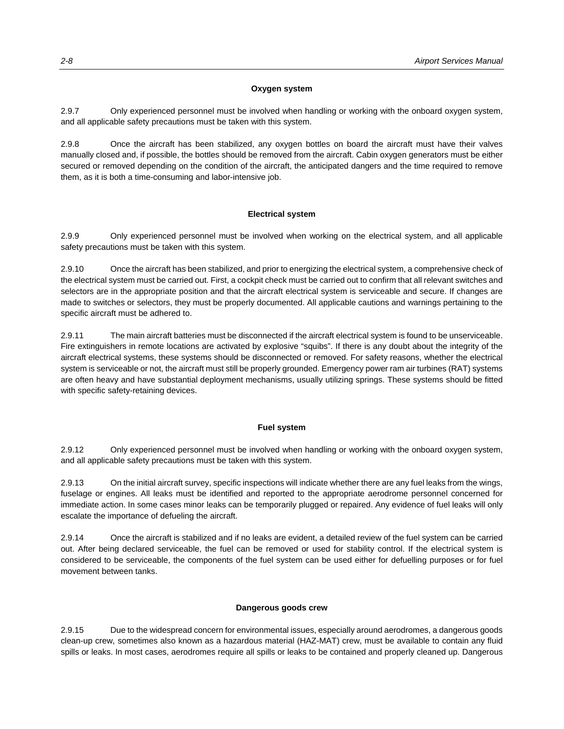# **Oxygen system**

2.9.7 Only experienced personnel must be involved when handling or working with the onboard oxygen system, and all applicable safety precautions must be taken with this system.

2.9.8 Once the aircraft has been stabilized, any oxygen bottles on board the aircraft must have their valves manually closed and, if possible, the bottles should be removed from the aircraft. Cabin oxygen generators must be either secured or removed depending on the condition of the aircraft, the anticipated dangers and the time required to remove them, as it is both a time-consuming and labor-intensive job.

# **Electrical system**

2.9.9 Only experienced personnel must be involved when working on the electrical system, and all applicable safety precautions must be taken with this system.

2.9.10 Once the aircraft has been stabilized, and prior to energizing the electrical system, a comprehensive check of the electrical system must be carried out. First, a cockpit check must be carried out to confirm that all relevant switches and selectors are in the appropriate position and that the aircraft electrical system is serviceable and secure. If changes are made to switches or selectors, they must be properly documented. All applicable cautions and warnings pertaining to the specific aircraft must be adhered to.

2.9.11 The main aircraft batteries must be disconnected if the aircraft electrical system is found to be unserviceable. Fire extinguishers in remote locations are activated by explosive "squibs". If there is any doubt about the integrity of the aircraft electrical systems, these systems should be disconnected or removed. For safety reasons, whether the electrical system is serviceable or not, the aircraft must still be properly grounded. Emergency power ram air turbines (RAT) systems are often heavy and have substantial deployment mechanisms, usually utilizing springs. These systems should be fitted with specific safety-retaining devices.

## **Fuel system**

2.9.12 Only experienced personnel must be involved when handling or working with the onboard oxygen system, and all applicable safety precautions must be taken with this system.

2.9.13 On the initial aircraft survey, specific inspections will indicate whether there are any fuel leaks from the wings, fuselage or engines. All leaks must be identified and reported to the appropriate aerodrome personnel concerned for immediate action. In some cases minor leaks can be temporarily plugged or repaired. Any evidence of fuel leaks will only escalate the importance of defueling the aircraft.

2.9.14 Once the aircraft is stabilized and if no leaks are evident, a detailed review of the fuel system can be carried out. After being declared serviceable, the fuel can be removed or used for stability control. If the electrical system is considered to be serviceable, the components of the fuel system can be used either for defuelling purposes or for fuel movement between tanks.

## **Dangerous goods crew**

2.9.15 Due to the widespread concern for environmental issues, especially around aerodromes, a dangerous goods clean-up crew, sometimes also known as a hazardous material (HAZ-MAT) crew, must be available to contain any fluid spills or leaks. In most cases, aerodromes require all spills or leaks to be contained and properly cleaned up. Dangerous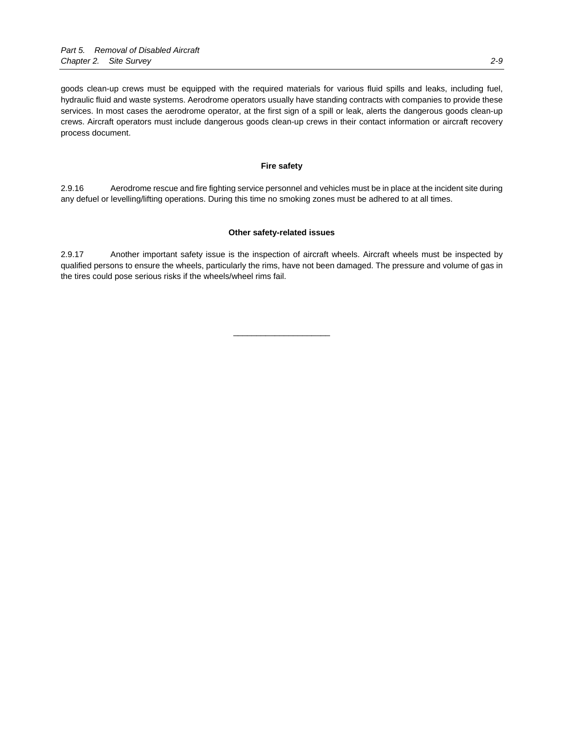goods clean-up crews must be equipped with the required materials for various fluid spills and leaks, including fuel, hydraulic fluid and waste systems. Aerodrome operators usually have standing contracts with companies to provide these services. In most cases the aerodrome operator, at the first sign of a spill or leak, alerts the dangerous goods clean-up crews. Aircraft operators must include dangerous goods clean-up crews in their contact information or aircraft recovery process document.

## **Fire safety**

2.9.16 Aerodrome rescue and fire fighting service personnel and vehicles must be in place at the incident site during any defuel or levelling/lifting operations. During this time no smoking zones must be adhered to at all times.

#### **Other safety-related issues**

2.9.17 Another important safety issue is the inspection of aircraft wheels. Aircraft wheels must be inspected by qualified persons to ensure the wheels, particularly the rims, have not been damaged. The pressure and volume of gas in the tires could pose serious risks if the wheels/wheel rims fail.

\_\_\_\_\_\_\_\_\_\_\_\_\_\_\_\_\_\_\_\_\_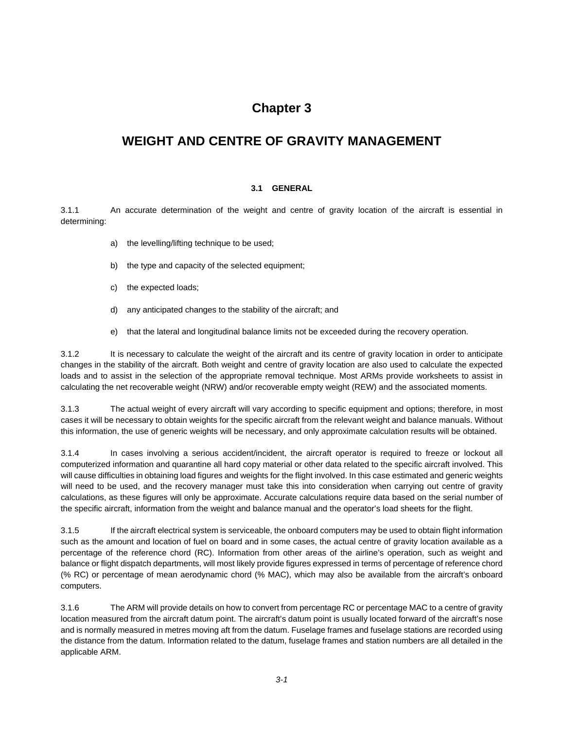# **Chapter 3**

# **WEIGHT AND CENTRE OF GRAVITY MANAGEMENT**

# **3.1 GENERAL**

3.1.1 An accurate determination of the weight and centre of gravity location of the aircraft is essential in determining:

- a) the levelling/lifting technique to be used;
- b) the type and capacity of the selected equipment;
- c) the expected loads;
- d) any anticipated changes to the stability of the aircraft; and
- e) that the lateral and longitudinal balance limits not be exceeded during the recovery operation.

3.1.2 It is necessary to calculate the weight of the aircraft and its centre of gravity location in order to anticipate changes in the stability of the aircraft. Both weight and centre of gravity location are also used to calculate the expected loads and to assist in the selection of the appropriate removal technique. Most ARMs provide worksheets to assist in calculating the net recoverable weight (NRW) and/or recoverable empty weight (REW) and the associated moments.

3.1.3 The actual weight of every aircraft will vary according to specific equipment and options; therefore, in most cases it will be necessary to obtain weights for the specific aircraft from the relevant weight and balance manuals. Without this information, the use of generic weights will be necessary, and only approximate calculation results will be obtained.

3.1.4 In cases involving a serious accident/incident, the aircraft operator is required to freeze or lockout all computerized information and quarantine all hard copy material or other data related to the specific aircraft involved. This will cause difficulties in obtaining load figures and weights for the flight involved. In this case estimated and generic weights will need to be used, and the recovery manager must take this into consideration when carrying out centre of gravity calculations, as these figures will only be approximate. Accurate calculations require data based on the serial number of the specific aircraft, information from the weight and balance manual and the operator's load sheets for the flight.

3.1.5 If the aircraft electrical system is serviceable, the onboard computers may be used to obtain flight information such as the amount and location of fuel on board and in some cases, the actual centre of gravity location available as a percentage of the reference chord (RC). Information from other areas of the airline's operation, such as weight and balance or flight dispatch departments, will most likely provide figures expressed in terms of percentage of reference chord (% RC) or percentage of mean aerodynamic chord (% MAC), which may also be available from the aircraft's onboard computers.

3.1.6 The ARM will provide details on how to convert from percentage RC or percentage MAC to a centre of gravity location measured from the aircraft datum point. The aircraft's datum point is usually located forward of the aircraft's nose and is normally measured in metres moving aft from the datum. Fuselage frames and fuselage stations are recorded using the distance from the datum. Information related to the datum, fuselage frames and station numbers are all detailed in the applicable ARM.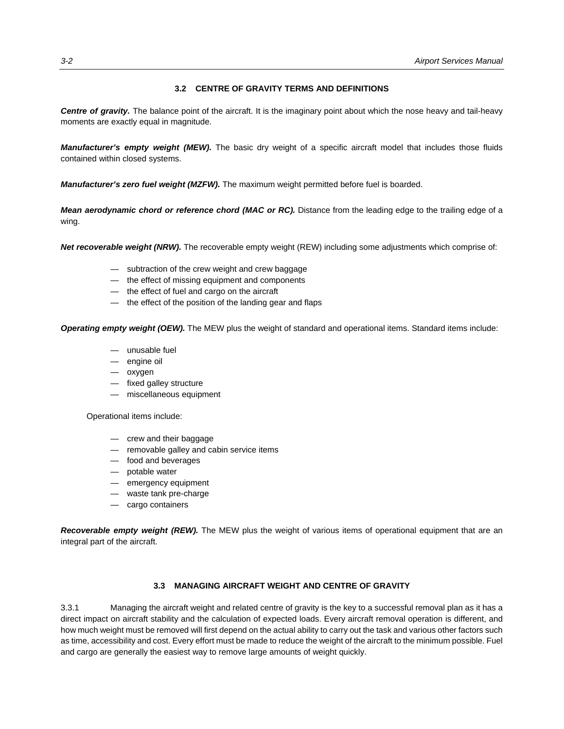## **3.2 CENTRE OF GRAVITY TERMS AND DEFINITIONS**

*Centre of gravity.* The balance point of the aircraft. It is the imaginary point about which the nose heavy and tail-heavy moments are exactly equal in magnitude.

*Manufacturer's empty weight (MEW).* The basic dry weight of a specific aircraft model that includes those fluids contained within closed systems.

*Manufacturer's zero fuel weight (MZFW).* The maximum weight permitted before fuel is boarded.

*Mean aerodynamic chord or reference chord (MAC or RC).* Distance from the leading edge to the trailing edge of a wing.

*Net recoverable weight (NRW).* The recoverable empty weight (REW) including some adjustments which comprise of:

- subtraction of the crew weight and crew baggage
- the effect of missing equipment and components
- the effect of fuel and cargo on the aircraft
- the effect of the position of the landing gear and flaps

*Operating empty weight (OEW).* The MEW plus the weight of standard and operational items. Standard items include:

- unusable fuel
- engine oil
- oxygen
- fixed galley structure
- miscellaneous equipment

Operational items include:

- crew and their baggage
- removable galley and cabin service items
- food and beverages
- potable water
- emergency equipment
- waste tank pre-charge
- cargo containers

*Recoverable empty weight (REW).* The MEW plus the weight of various items of operational equipment that are an integral part of the aircraft.

## **3.3 MANAGING AIRCRAFT WEIGHT AND CENTRE OF GRAVITY**

3.3.1 Managing the aircraft weight and related centre of gravity is the key to a successful removal plan as it has a direct impact on aircraft stability and the calculation of expected loads. Every aircraft removal operation is different, and how much weight must be removed will first depend on the actual ability to carry out the task and various other factors such as time, accessibility and cost. Every effort must be made to reduce the weight of the aircraft to the minimum possible. Fuel and cargo are generally the easiest way to remove large amounts of weight quickly.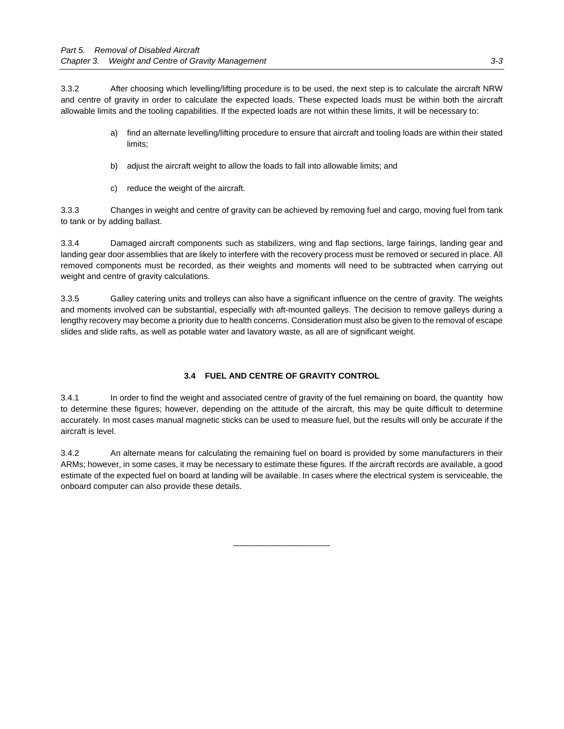3.3.2 After choosing which levelling/lifting procedure is to be used, the next step is to calculate the aircraft NRW and centre of gravity in order to calculate the expected loads. These expected loads must be within both the aircraft allowable limits and the tooling capabilities. If the expected loads are not within these limits, it will be necessary to:

- a) find an alternate levelling/lifting procedure to ensure that aircraft and tooling loads are within their stated limits;
- b) adjust the aircraft weight to allow the loads to fall into allowable limits; and
- c) reduce the weight of the aircraft.

3.3.3 Changes in weight and centre of gravity can be achieved by removing fuel and cargo, moving fuel from tank to tank or by adding ballast.

3.3.4 Damaged aircraft components such as stabilizers, wing and flap sections, large fairings, landing gear and landing gear door assemblies that are likely to interfere with the recovery process must be removed or secured in place. All removed components must be recorded, as their weights and moments will need to be subtracted when carrying out weight and centre of gravity calculations.

3.3.5 Galley catering units and trolleys can also have a significant influence on the centre of gravity. The weights and moments involved can be substantial, especially with aft-mounted galleys. The decision to remove galleys during a lengthy recovery may become a priority due to health concerns. Consideration must also be given to the removal of escape slides and slide rafts, as well as potable water and lavatory waste, as all are of significant weight.

# **3.4 FUEL AND CENTRE OF GRAVITY CONTROL**

3.4.1 In order to find the weight and associated centre of gravity of the fuel remaining on board, the quantity how to determine these figures; however, depending on the attitude of the aircraft, this may be quite difficult to determine accurately. In most cases manual magnetic sticks can be used to measure fuel, but the results will only be accurate if the aircraft is level.

3.4.2 An alternate means for calculating the remaining fuel on board is provided by some manufacturers in their ARMs; however, in some cases, it may be necessary to estimate these figures. If the aircraft records are available, a good estimate of the expected fuel on board at landing will be available. In cases where the electrical system is serviceable, the onboard computer can also provide these details.

\_\_\_\_\_\_\_\_\_\_\_\_\_\_\_\_\_\_\_\_\_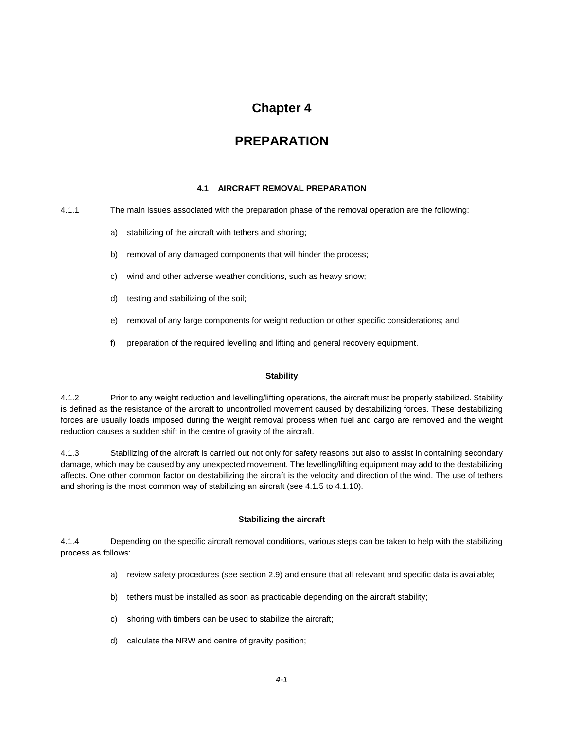# **Chapter 4**

# **PREPARATION**

## **4.1 AIRCRAFT REMOVAL PREPARATION**

4.1.1 The main issues associated with the preparation phase of the removal operation are the following:

- a) stabilizing of the aircraft with tethers and shoring;
- b) removal of any damaged components that will hinder the process;
- c) wind and other adverse weather conditions, such as heavy snow;
- d) testing and stabilizing of the soil;
- e) removal of any large components for weight reduction or other specific considerations; and
- f) preparation of the required levelling and lifting and general recovery equipment.

## **Stability**

4.1.2 Prior to any weight reduction and levelling/lifting operations, the aircraft must be properly stabilized. Stability is defined as the resistance of the aircraft to uncontrolled movement caused by destabilizing forces. These destabilizing forces are usually loads imposed during the weight removal process when fuel and cargo are removed and the weight reduction causes a sudden shift in the centre of gravity of the aircraft.

4.1.3 Stabilizing of the aircraft is carried out not only for safety reasons but also to assist in containing secondary damage, which may be caused by any unexpected movement. The levelling/lifting equipment may add to the destabilizing affects. One other common factor on destabilizing the aircraft is the velocity and direction of the wind. The use of tethers and shoring is the most common way of stabilizing an aircraft (see 4.1.5 to 4.1.10).

# **Stabilizing the aircraft**

4.1.4 Depending on the specific aircraft removal conditions, various steps can be taken to help with the stabilizing process as follows:

- a) review safety procedures (see section 2.9) and ensure that all relevant and specific data is available;
- b) tethers must be installed as soon as practicable depending on the aircraft stability;
- c) shoring with timbers can be used to stabilize the aircraft;
- d) calculate the NRW and centre of gravity position;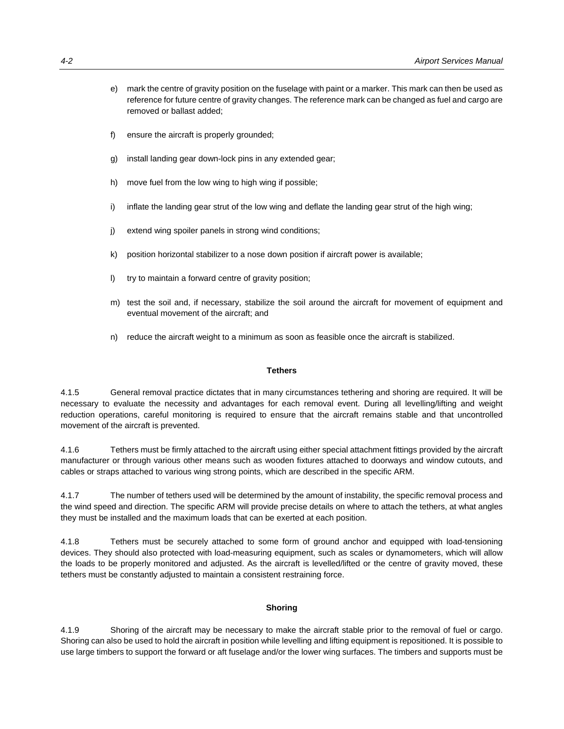- e) mark the centre of gravity position on the fuselage with paint or a marker. This mark can then be used as reference for future centre of gravity changes. The reference mark can be changed as fuel and cargo are removed or ballast added;
- f) ensure the aircraft is properly grounded;
- g) install landing gear down-lock pins in any extended gear;
- h) move fuel from the low wing to high wing if possible;
- i) inflate the landing gear strut of the low wing and deflate the landing gear strut of the high wing;
- j) extend wing spoiler panels in strong wind conditions;
- k) position horizontal stabilizer to a nose down position if aircraft power is available;
- l) try to maintain a forward centre of gravity position;
- m) test the soil and, if necessary, stabilize the soil around the aircraft for movement of equipment and eventual movement of the aircraft; and
- n) reduce the aircraft weight to a minimum as soon as feasible once the aircraft is stabilized.

# **Tethers**

4.1.5 General removal practice dictates that in many circumstances tethering and shoring are required. It will be necessary to evaluate the necessity and advantages for each removal event. During all levelling/lifting and weight reduction operations, careful monitoring is required to ensure that the aircraft remains stable and that uncontrolled movement of the aircraft is prevented.

4.1.6 Tethers must be firmly attached to the aircraft using either special attachment fittings provided by the aircraft manufacturer or through various other means such as wooden fixtures attached to doorways and window cutouts, and cables or straps attached to various wing strong points, which are described in the specific ARM.

4.1.7 The number of tethers used will be determined by the amount of instability, the specific removal process and the wind speed and direction. The specific ARM will provide precise details on where to attach the tethers, at what angles they must be installed and the maximum loads that can be exerted at each position.

4.1.8 Tethers must be securely attached to some form of ground anchor and equipped with load-tensioning devices. They should also protected with load-measuring equipment, such as scales or dynamometers, which will allow the loads to be properly monitored and adjusted. As the aircraft is levelled/lifted or the centre of gravity moved, these tethers must be constantly adjusted to maintain a consistent restraining force.

## **Shoring**

4.1.9 Shoring of the aircraft may be necessary to make the aircraft stable prior to the removal of fuel or cargo. Shoring can also be used to hold the aircraft in position while levelling and lifting equipment is repositioned. It is possible to use large timbers to support the forward or aft fuselage and/or the lower wing surfaces. The timbers and supports must be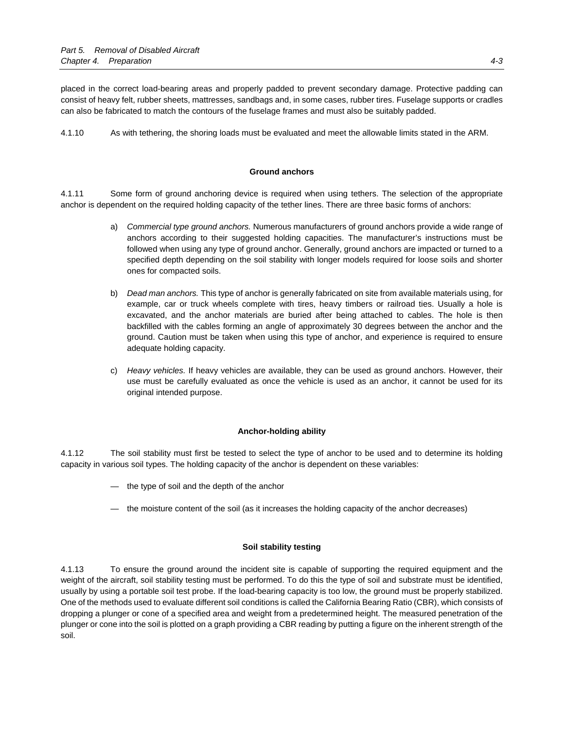placed in the correct load-bearing areas and properly padded to prevent secondary damage. Protective padding can consist of heavy felt, rubber sheets, mattresses, sandbags and, in some cases, rubber tires. Fuselage supports or cradles can also be fabricated to match the contours of the fuselage frames and must also be suitably padded.

4.1.10 As with tethering, the shoring loads must be evaluated and meet the allowable limits stated in the ARM.

### **Ground anchors**

4.1.11 Some form of ground anchoring device is required when using tethers. The selection of the appropriate anchor is dependent on the required holding capacity of the tether lines. There are three basic forms of anchors:

- a) *Commercial type ground anchors.* Numerous manufacturers of ground anchors provide a wide range of anchors according to their suggested holding capacities. The manufacturer's instructions must be followed when using any type of ground anchor. Generally, ground anchors are impacted or turned to a specified depth depending on the soil stability with longer models required for loose soils and shorter ones for compacted soils.
- b) *Dead man anchors.* This type of anchor is generally fabricated on site from available materials using, for example, car or truck wheels complete with tires, heavy timbers or railroad ties. Usually a hole is excavated, and the anchor materials are buried after being attached to cables. The hole is then backfilled with the cables forming an angle of approximately 30 degrees between the anchor and the ground. Caution must be taken when using this type of anchor, and experience is required to ensure adequate holding capacity.
- c) *Heavy vehicles.* If heavy vehicles are available, they can be used as ground anchors. However, their use must be carefully evaluated as once the vehicle is used as an anchor, it cannot be used for its original intended purpose.

## **Anchor-holding ability**

4.1.12 The soil stability must first be tested to select the type of anchor to be used and to determine its holding capacity in various soil types. The holding capacity of the anchor is dependent on these variables:

- the type of soil and the depth of the anchor
- the moisture content of the soil (as it increases the holding capacity of the anchor decreases)

## **Soil stability testing**

4.1.13 To ensure the ground around the incident site is capable of supporting the required equipment and the weight of the aircraft, soil stability testing must be performed. To do this the type of soil and substrate must be identified, usually by using a portable soil test probe. If the load-bearing capacity is too low, the ground must be properly stabilized. One of the methods used to evaluate different soil conditions is called the California Bearing Ratio (CBR), which consists of dropping a plunger or cone of a specified area and weight from a predetermined height. The measured penetration of the plunger or cone into the soil is plotted on a graph providing a CBR reading by putting a figure on the inherent strength of the soil.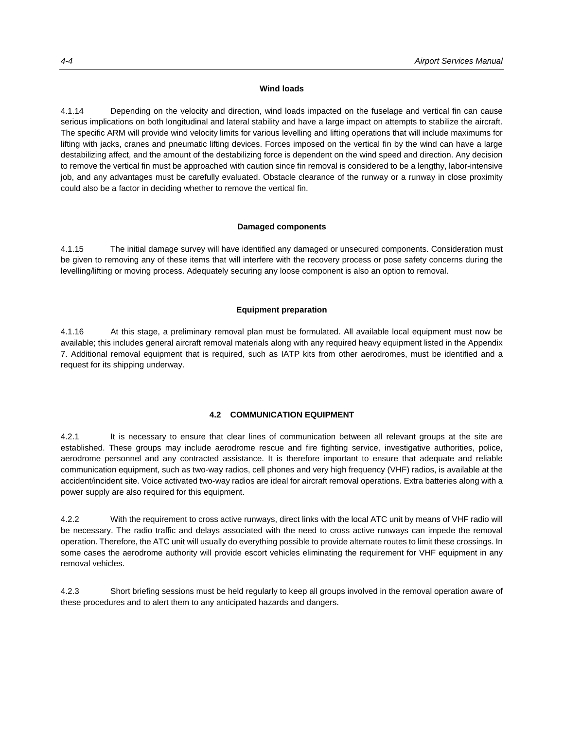#### **Wind loads**

4.1.14 Depending on the velocity and direction, wind loads impacted on the fuselage and vertical fin can cause serious implications on both longitudinal and lateral stability and have a large impact on attempts to stabilize the aircraft. The specific ARM will provide wind velocity limits for various levelling and lifting operations that will include maximums for lifting with jacks, cranes and pneumatic lifting devices. Forces imposed on the vertical fin by the wind can have a large destabilizing affect, and the amount of the destabilizing force is dependent on the wind speed and direction. Any decision to remove the vertical fin must be approached with caution since fin removal is considered to be a lengthy, labor-intensive job, and any advantages must be carefully evaluated. Obstacle clearance of the runway or a runway in close proximity could also be a factor in deciding whether to remove the vertical fin.

#### **Damaged components**

4.1.15 The initial damage survey will have identified any damaged or unsecured components. Consideration must be given to removing any of these items that will interfere with the recovery process or pose safety concerns during the levelling/lifting or moving process. Adequately securing any loose component is also an option to removal.

#### **Equipment preparation**

4.1.16 At this stage, a preliminary removal plan must be formulated. All available local equipment must now be available; this includes general aircraft removal materials along with any required heavy equipment listed in the Appendix 7. Additional removal equipment that is required, such as IATP kits from other aerodromes, must be identified and a request for its shipping underway.

# **4.2 COMMUNICATION EQUIPMENT**

4.2.1 It is necessary to ensure that clear lines of communication between all relevant groups at the site are established. These groups may include aerodrome rescue and fire fighting service, investigative authorities, police, aerodrome personnel and any contracted assistance. It is therefore important to ensure that adequate and reliable communication equipment, such as two-way radios, cell phones and very high frequency (VHF) radios, is available at the accident/incident site. Voice activated two-way radios are ideal for aircraft removal operations. Extra batteries along with a power supply are also required for this equipment.

4.2.2 With the requirement to cross active runways, direct links with the local ATC unit by means of VHF radio will be necessary. The radio traffic and delays associated with the need to cross active runways can impede the removal operation. Therefore, the ATC unit will usually do everything possible to provide alternate routes to limit these crossings. In some cases the aerodrome authority will provide escort vehicles eliminating the requirement for VHF equipment in any removal vehicles.

4.2.3 Short briefing sessions must be held regularly to keep all groups involved in the removal operation aware of these procedures and to alert them to any anticipated hazards and dangers.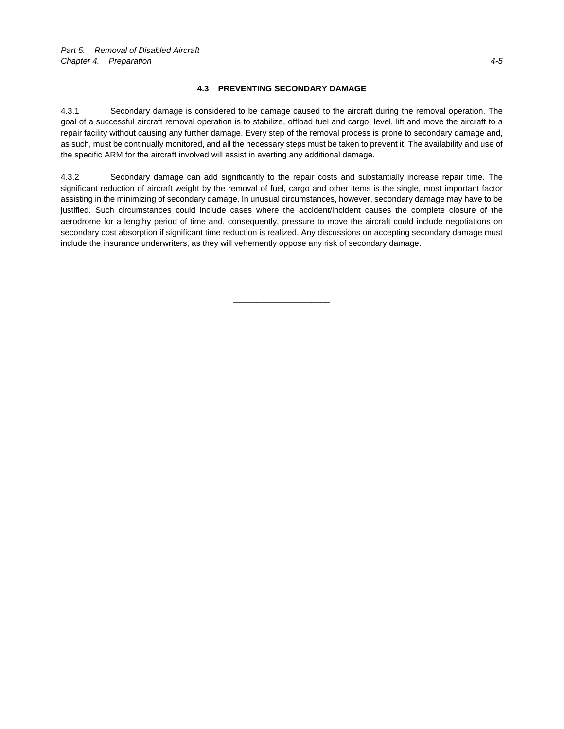# **4.3 PREVENTING SECONDARY DAMAGE**

4.3.1 Secondary damage is considered to be damage caused to the aircraft during the removal operation. The goal of a successful aircraft removal operation is to stabilize, offload fuel and cargo, level, lift and move the aircraft to a repair facility without causing any further damage. Every step of the removal process is prone to secondary damage and, as such, must be continually monitored, and all the necessary steps must be taken to prevent it. The availability and use of the specific ARM for the aircraft involved will assist in averting any additional damage.

4.3.2 Secondary damage can add significantly to the repair costs and substantially increase repair time. The significant reduction of aircraft weight by the removal of fuel, cargo and other items is the single, most important factor assisting in the minimizing of secondary damage. In unusual circumstances, however, secondary damage may have to be justified. Such circumstances could include cases where the accident/incident causes the complete closure of the aerodrome for a lengthy period of time and, consequently, pressure to move the aircraft could include negotiations on secondary cost absorption if significant time reduction is realized. Any discussions on accepting secondary damage must include the insurance underwriters, as they will vehemently oppose any risk of secondary damage.

\_\_\_\_\_\_\_\_\_\_\_\_\_\_\_\_\_\_\_\_\_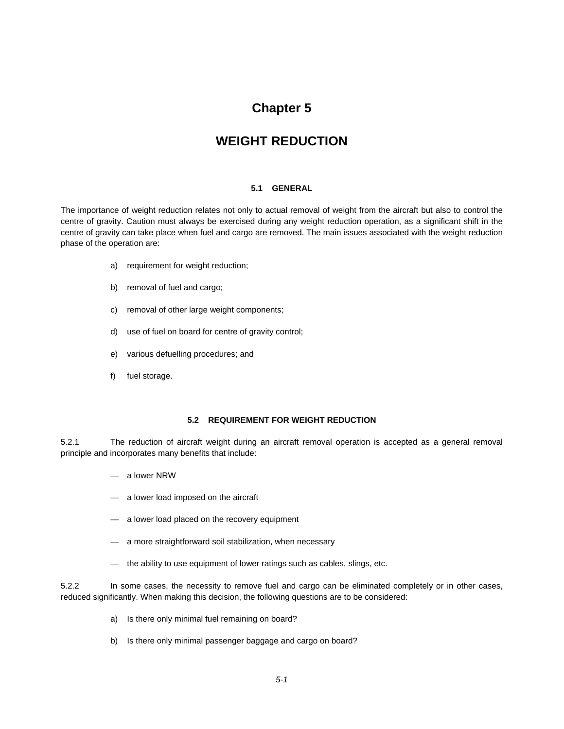# **Chapter 5**

# **WEIGHT REDUCTION**

## **5.1 GENERAL**

The importance of weight reduction relates not only to actual removal of weight from the aircraft but also to control the centre of gravity. Caution must always be exercised during any weight reduction operation, as a significant shift in the centre of gravity can take place when fuel and cargo are removed. The main issues associated with the weight reduction phase of the operation are:

- a) requirement for weight reduction;
- b) removal of fuel and cargo;
- c) removal of other large weight components;
- d) use of fuel on board for centre of gravity control;
- e) various defuelling procedures; and
- f) fuel storage.

### **5.2 REQUIREMENT FOR WEIGHT REDUCTION**

5.2.1 The reduction of aircraft weight during an aircraft removal operation is accepted as a general removal principle and incorporates many benefits that include:

- a lower NRW
- a lower load imposed on the aircraft
- a lower load placed on the recovery equipment
- a more straightforward soil stabilization, when necessary
- the ability to use equipment of lower ratings such as cables, slings, etc.

5.2.2 In some cases, the necessity to remove fuel and cargo can be eliminated completely or in other cases, reduced significantly. When making this decision, the following questions are to be considered:

- a) Is there only minimal fuel remaining on board?
- b) Is there only minimal passenger baggage and cargo on board?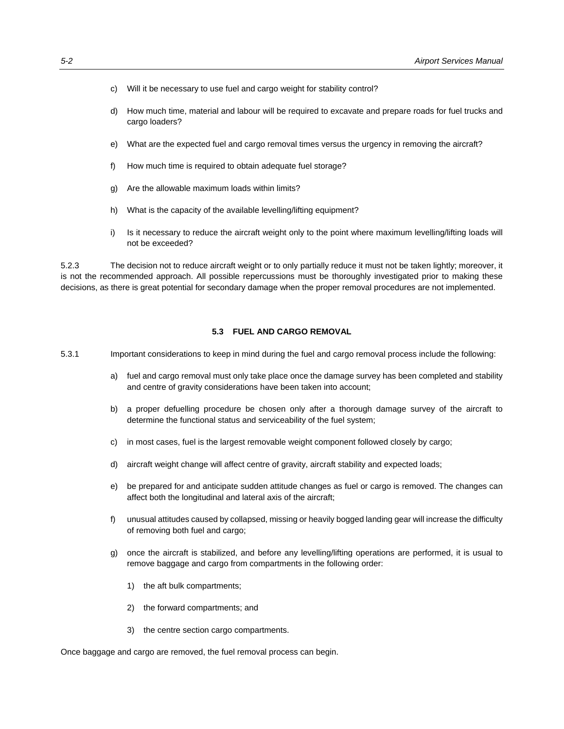- c) Will it be necessary to use fuel and cargo weight for stability control?
- d) How much time, material and labour will be required to excavate and prepare roads for fuel trucks and cargo loaders?
- e) What are the expected fuel and cargo removal times versus the urgency in removing the aircraft?
- f) How much time is required to obtain adequate fuel storage?
- g) Are the allowable maximum loads within limits?
- h) What is the capacity of the available levelling/lifting equipment?
- i) Is it necessary to reduce the aircraft weight only to the point where maximum levelling/lifting loads will not be exceeded?

5.2.3 The decision not to reduce aircraft weight or to only partially reduce it must not be taken lightly; moreover, it is not the recommended approach. All possible repercussions must be thoroughly investigated prior to making these decisions, as there is great potential for secondary damage when the proper removal procedures are not implemented.

## **5.3 FUEL AND CARGO REMOVAL**

- 5.3.1 Important considerations to keep in mind during the fuel and cargo removal process include the following:
	- a) fuel and cargo removal must only take place once the damage survey has been completed and stability and centre of gravity considerations have been taken into account;
	- b) a proper defuelling procedure be chosen only after a thorough damage survey of the aircraft to determine the functional status and serviceability of the fuel system;
	- c) in most cases, fuel is the largest removable weight component followed closely by cargo;
	- d) aircraft weight change will affect centre of gravity, aircraft stability and expected loads;
	- e) be prepared for and anticipate sudden attitude changes as fuel or cargo is removed. The changes can affect both the longitudinal and lateral axis of the aircraft;
	- f) unusual attitudes caused by collapsed, missing or heavily bogged landing gear will increase the difficulty of removing both fuel and cargo;
	- g) once the aircraft is stabilized, and before any levelling/lifting operations are performed, it is usual to remove baggage and cargo from compartments in the following order:
		- 1) the aft bulk compartments;
		- 2) the forward compartments; and
		- 3) the centre section cargo compartments.

Once baggage and cargo are removed, the fuel removal process can begin.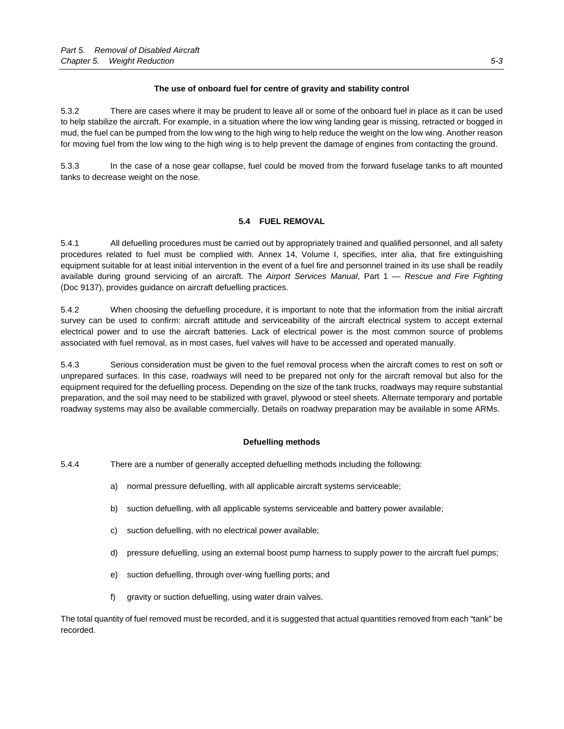# **The use of onboard fuel for centre of gravity and stability control**

5.3.2 There are cases where it may be prudent to leave all or some of the onboard fuel in place as it can be used to help stabilize the aircraft. For example, in a situation where the low wing landing gear is missing, retracted or bogged in mud, the fuel can be pumped from the low wing to the high wing to help reduce the weight on the low wing. Another reason for moving fuel from the low wing to the high wing is to help prevent the damage of engines from contacting the ground.

5.3.3 In the case of a nose gear collapse, fuel could be moved from the forward fuselage tanks to aft mounted tanks to decrease weight on the nose.

# **5.4 FUEL REMOVAL**

5.4.1 All defuelling procedures must be carried out by appropriately trained and qualified personnel, and all safety procedures related to fuel must be complied with. Annex 14, Volume I, specifies, inter alia, that fire extinguishing equipment suitable for at least initial intervention in the event of a fuel fire and personnel trained in its use shall be readily available during ground servicing of an aircraft. The *Airport Services Manual*, Part 1 — *Rescue and Fire Fighting* (Doc 9137), provides guidance on aircraft defuelling practices.

5.4.2 When choosing the defuelling procedure, it is important to note that the information from the initial aircraft survey can be used to confirm: aircraft attitude and serviceability of the aircraft electrical system to accept external electrical power and to use the aircraft batteries. Lack of electrical power is the most common source of problems associated with fuel removal, as in most cases, fuel valves will have to be accessed and operated manually.

5.4.3 Serious consideration must be given to the fuel removal process when the aircraft comes to rest on soft or unprepared surfaces. In this case, roadways will need to be prepared not only for the aircraft removal but also for the equipment required for the defuelling process. Depending on the size of the tank trucks, roadways may require substantial preparation, and the soil may need to be stabilized with gravel, plywood or steel sheets. Alternate temporary and portable roadway systems may also be available commercially. Details on roadway preparation may be available in some ARMs.

## **Defuelling methods**

5.4.4 There are a number of generally accepted defuelling methods including the following:

- a) normal pressure defuelling, with all applicable aircraft systems serviceable;
- b) suction defuelling, with all applicable systems serviceable and battery power available;
- c) suction defuelling, with no electrical power available;
- d) pressure defuelling, using an external boost pump harness to supply power to the aircraft fuel pumps;
- e) suction defuelling, through over-wing fuelling ports; and
- f) gravity or suction defuelling, using water drain valves.

The total quantity of fuel removed must be recorded, and it is suggested that actual quantities removed from each "tank" be recorded.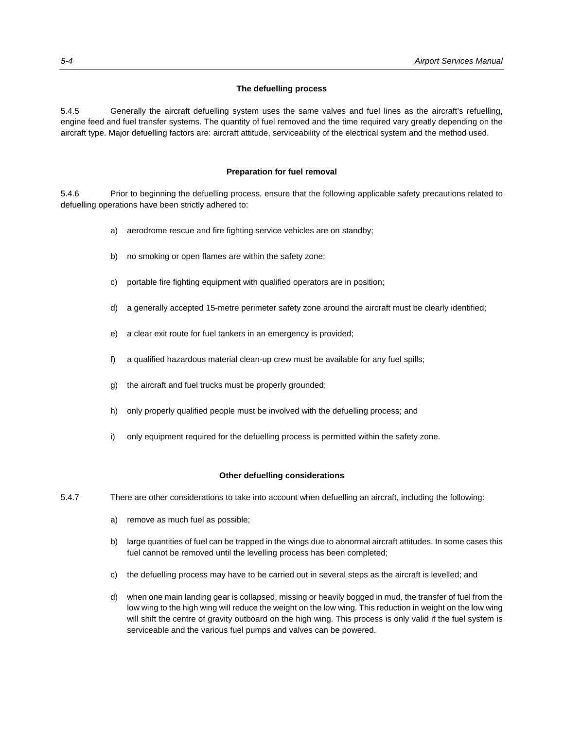#### **The defuelling process**

5.4.5 Generally the aircraft defuelling system uses the same valves and fuel lines as the aircraft's refuelling, engine feed and fuel transfer systems. The quantity of fuel removed and the time required vary greatly depending on the aircraft type. Major defuelling factors are: aircraft attitude, serviceability of the electrical system and the method used.

#### **Preparation for fuel removal**

5.4.6 Prior to beginning the defuelling process, ensure that the following applicable safety precautions related to defuelling operations have been strictly adhered to:

- a) aerodrome rescue and fire fighting service vehicles are on standby;
- b) no smoking or open flames are within the safety zone;
- c) portable fire fighting equipment with qualified operators are in position;
- d) a generally accepted 15-metre perimeter safety zone around the aircraft must be clearly identified;
- e) a clear exit route for fuel tankers in an emergency is provided;
- f) a qualified hazardous material clean-up crew must be available for any fuel spills;
- g) the aircraft and fuel trucks must be properly grounded;
- h) only properly qualified people must be involved with the defuelling process; and
- i) only equipment required for the defuelling process is permitted within the safety zone.

#### **Other defuelling considerations**

- 5.4.7 There are other considerations to take into account when defuelling an aircraft, including the following:
	- a) remove as much fuel as possible;
	- b) large quantities of fuel can be trapped in the wings due to abnormal aircraft attitudes. In some cases this fuel cannot be removed until the levelling process has been completed;
	- c) the defuelling process may have to be carried out in several steps as the aircraft is levelled; and
	- d) when one main landing gear is collapsed, missing or heavily bogged in mud, the transfer of fuel from the low wing to the high wing will reduce the weight on the low wing. This reduction in weight on the low wing will shift the centre of gravity outboard on the high wing. This process is only valid if the fuel system is serviceable and the various fuel pumps and valves can be powered.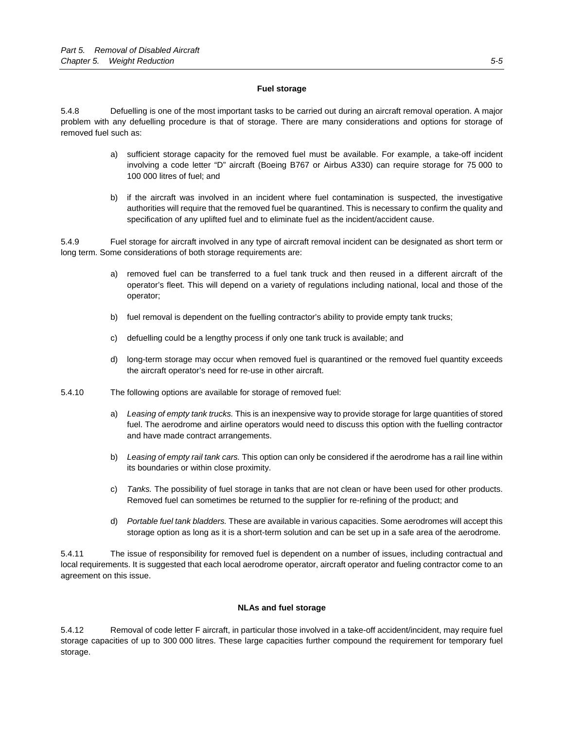## **Fuel storage**

5.4.8 Defuelling is one of the most important tasks to be carried out during an aircraft removal operation. A major problem with any defuelling procedure is that of storage. There are many considerations and options for storage of removed fuel such as:

- a) sufficient storage capacity for the removed fuel must be available. For example, a take-off incident involving a code letter "D" aircraft (Boeing B767 or Airbus A330) can require storage for 75 000 to 100 000 litres of fuel; and
- b) if the aircraft was involved in an incident where fuel contamination is suspected, the investigative authorities will require that the removed fuel be quarantined. This is necessary to confirm the quality and specification of any uplifted fuel and to eliminate fuel as the incident/accident cause.

5.4.9 Fuel storage for aircraft involved in any type of aircraft removal incident can be designated as short term or long term. Some considerations of both storage requirements are:

- a) removed fuel can be transferred to a fuel tank truck and then reused in a different aircraft of the operator's fleet. This will depend on a variety of regulations including national, local and those of the operator;
- b) fuel removal is dependent on the fuelling contractor's ability to provide empty tank trucks;
- c) defuelling could be a lengthy process if only one tank truck is available; and
- d) long-term storage may occur when removed fuel is quarantined or the removed fuel quantity exceeds the aircraft operator's need for re-use in other aircraft.
- 5.4.10 The following options are available for storage of removed fuel:
	- a) *Leasing of empty tank trucks.* This is an inexpensive way to provide storage for large quantities of stored fuel. The aerodrome and airline operators would need to discuss this option with the fuelling contractor and have made contract arrangements.
	- b) *Leasing of empty rail tank cars.* This option can only be considered if the aerodrome has a rail line within its boundaries or within close proximity.
	- c) *Tanks.* The possibility of fuel storage in tanks that are not clean or have been used for other products. Removed fuel can sometimes be returned to the supplier for re-refining of the product; and
	- d) *Portable fuel tank bladders.* These are available in various capacities. Some aerodromes will accept this storage option as long as it is a short-term solution and can be set up in a safe area of the aerodrome.

5.4.11 The issue of responsibility for removed fuel is dependent on a number of issues, including contractual and local requirements. It is suggested that each local aerodrome operator, aircraft operator and fueling contractor come to an agreement on this issue.

## **NLAs and fuel storage**

5.4.12 Removal of code letter F aircraft, in particular those involved in a take-off accident/incident, may require fuel storage capacities of up to 300 000 litres. These large capacities further compound the requirement for temporary fuel storage.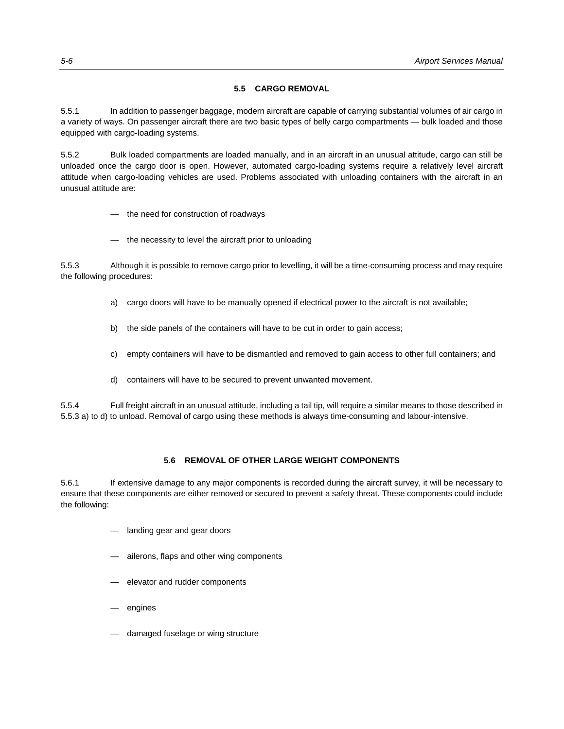# **5.5 CARGO REMOVAL**

5.5.1 In addition to passenger baggage, modern aircraft are capable of carrying substantial volumes of air cargo in a variety of ways. On passenger aircraft there are two basic types of belly cargo compartments — bulk loaded and those equipped with cargo-loading systems.

5.5.2 Bulk loaded compartments are loaded manually, and in an aircraft in an unusual attitude, cargo can still be unloaded once the cargo door is open. However, automated cargo-loading systems require a relatively level aircraft attitude when cargo-loading vehicles are used. Problems associated with unloading containers with the aircraft in an unusual attitude are:

- the need for construction of roadways
- the necessity to level the aircraft prior to unloading

5.5.3 Although it is possible to remove cargo prior to levelling, it will be a time-consuming process and may require the following procedures:

- a) cargo doors will have to be manually opened if electrical power to the aircraft is not available;
- b) the side panels of the containers will have to be cut in order to gain access;
- c) empty containers will have to be dismantled and removed to gain access to other full containers; and
- d) containers will have to be secured to prevent unwanted movement.

5.5.4 Full freight aircraft in an unusual attitude, including a tail tip, will require a similar means to those described in 5.5.3 a) to d) to unload. Removal of cargo using these methods is always time-consuming and labour-intensive.

# **5.6 REMOVAL OF OTHER LARGE WEIGHT COMPONENTS**

5.6.1 If extensive damage to any major components is recorded during the aircraft survey, it will be necessary to ensure that these components are either removed or secured to prevent a safety threat. These components could include the following:

- landing gear and gear doors
- ailerons, flaps and other wing components
- elevator and rudder components
- engines
- damaged fuselage or wing structure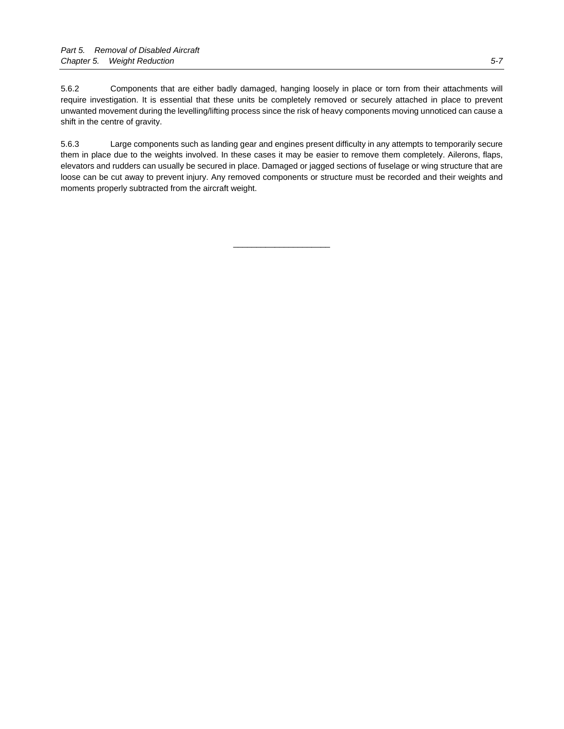5.6.2 Components that are either badly damaged, hanging loosely in place or torn from their attachments will require investigation. It is essential that these units be completely removed or securely attached in place to prevent unwanted movement during the levelling/lifting process since the risk of heavy components moving unnoticed can cause a shift in the centre of gravity.

5.6.3 Large components such as landing gear and engines present difficulty in any attempts to temporarily secure them in place due to the weights involved. In these cases it may be easier to remove them completely. Ailerons, flaps, elevators and rudders can usually be secured in place. Damaged or jagged sections of fuselage or wing structure that are loose can be cut away to prevent injury. Any removed components or structure must be recorded and their weights and moments properly subtracted from the aircraft weight.

\_\_\_\_\_\_\_\_\_\_\_\_\_\_\_\_\_\_\_\_\_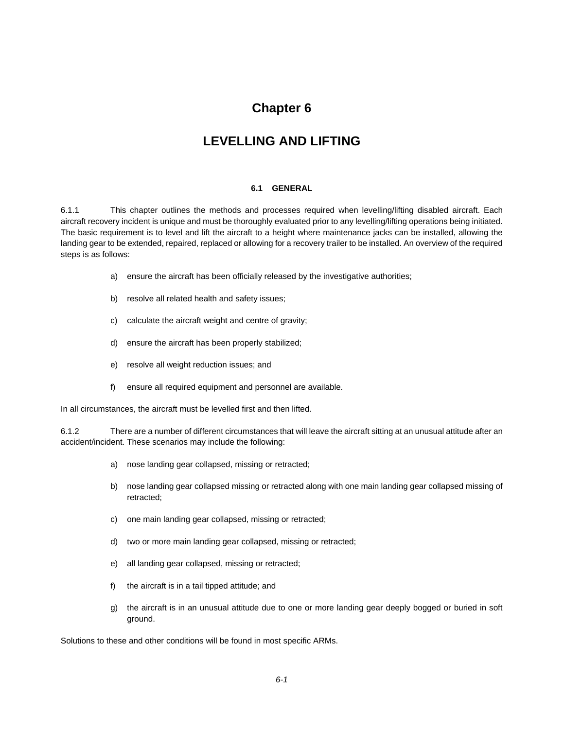# **Chapter 6**

# **LEVELLING AND LIFTING**

## **6.1 GENERAL**

6.1.1 This chapter outlines the methods and processes required when levelling/lifting disabled aircraft. Each aircraft recovery incident is unique and must be thoroughly evaluated prior to any levelling/lifting operations being initiated. The basic requirement is to level and lift the aircraft to a height where maintenance jacks can be installed, allowing the landing gear to be extended, repaired, replaced or allowing for a recovery trailer to be installed. An overview of the required steps is as follows:

- a) ensure the aircraft has been officially released by the investigative authorities;
- b) resolve all related health and safety issues;
- c) calculate the aircraft weight and centre of gravity;
- d) ensure the aircraft has been properly stabilized;
- e) resolve all weight reduction issues; and
- f) ensure all required equipment and personnel are available.

In all circumstances, the aircraft must be levelled first and then lifted.

6.1.2 There are a number of different circumstances that will leave the aircraft sitting at an unusual attitude after an accident/incident. These scenarios may include the following:

- a) nose landing gear collapsed, missing or retracted;
- b) nose landing gear collapsed missing or retracted along with one main landing gear collapsed missing of retracted;
- c) one main landing gear collapsed, missing or retracted;
- d) two or more main landing gear collapsed, missing or retracted;
- e) all landing gear collapsed, missing or retracted;
- f) the aircraft is in a tail tipped attitude; and
- g) the aircraft is in an unusual attitude due to one or more landing gear deeply bogged or buried in soft ground.

Solutions to these and other conditions will be found in most specific ARMs.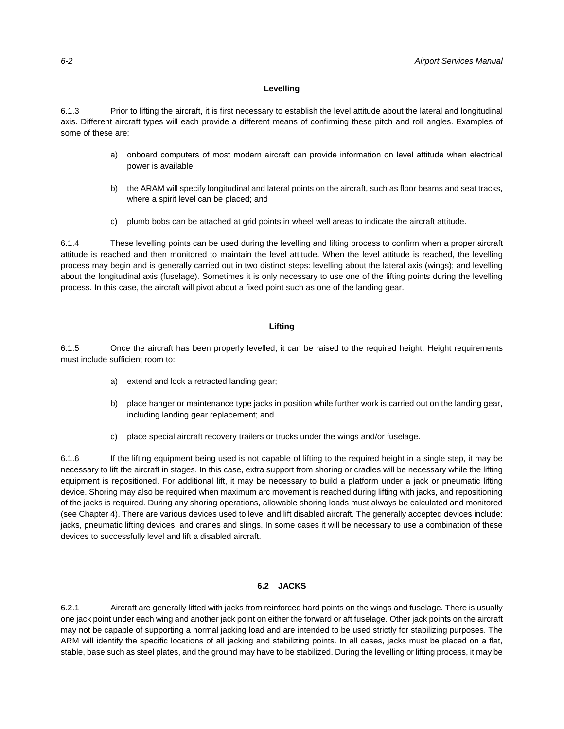# **Levelling**

6.1.3 Prior to lifting the aircraft, it is first necessary to establish the level attitude about the lateral and longitudinal axis. Different aircraft types will each provide a different means of confirming these pitch and roll angles. Examples of some of these are:

- a) onboard computers of most modern aircraft can provide information on level attitude when electrical power is available;
- b) the ARAM will specify longitudinal and lateral points on the aircraft, such as floor beams and seat tracks, where a spirit level can be placed; and
- c) plumb bobs can be attached at grid points in wheel well areas to indicate the aircraft attitude.

6.1.4 These levelling points can be used during the levelling and lifting process to confirm when a proper aircraft attitude is reached and then monitored to maintain the level attitude. When the level attitude is reached, the levelling process may begin and is generally carried out in two distinct steps: levelling about the lateral axis (wings); and levelling about the longitudinal axis (fuselage). Sometimes it is only necessary to use one of the lifting points during the levelling process. In this case, the aircraft will pivot about a fixed point such as one of the landing gear.

# **Lifting**

6.1.5 Once the aircraft has been properly levelled, it can be raised to the required height. Height requirements must include sufficient room to:

- a) extend and lock a retracted landing gear;
- b) place hanger or maintenance type jacks in position while further work is carried out on the landing gear, including landing gear replacement; and
- c) place special aircraft recovery trailers or trucks under the wings and/or fuselage.

6.1.6 If the lifting equipment being used is not capable of lifting to the required height in a single step, it may be necessary to lift the aircraft in stages. In this case, extra support from shoring or cradles will be necessary while the lifting equipment is repositioned. For additional lift, it may be necessary to build a platform under a jack or pneumatic lifting device. Shoring may also be required when maximum arc movement is reached during lifting with jacks, and repositioning of the jacks is required. During any shoring operations, allowable shoring loads must always be calculated and monitored (see Chapter 4). There are various devices used to level and lift disabled aircraft. The generally accepted devices include: jacks, pneumatic lifting devices, and cranes and slings. In some cases it will be necessary to use a combination of these devices to successfully level and lift a disabled aircraft.

## **6.2 JACKS**

6.2.1 Aircraft are generally lifted with jacks from reinforced hard points on the wings and fuselage. There is usually one jack point under each wing and another jack point on either the forward or aft fuselage. Other jack points on the aircraft may not be capable of supporting a normal jacking load and are intended to be used strictly for stabilizing purposes. The ARM will identify the specific locations of all jacking and stabilizing points. In all cases, jacks must be placed on a flat, stable, base such as steel plates, and the ground may have to be stabilized. During the levelling or lifting process, it may be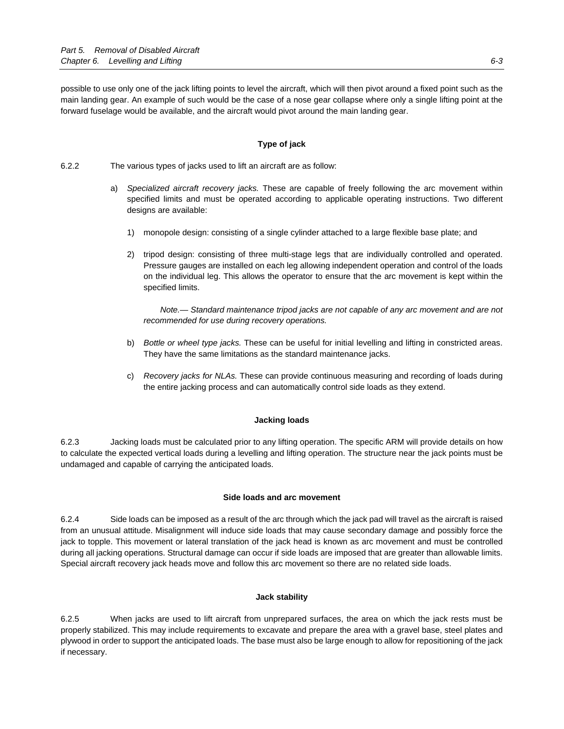possible to use only one of the jack lifting points to level the aircraft, which will then pivot around a fixed point such as the main landing gear. An example of such would be the case of a nose gear collapse where only a single lifting point at the forward fuselage would be available, and the aircraft would pivot around the main landing gear.

# **Type of jack**

6.2.2 The various types of jacks used to lift an aircraft are as follow:

- a) *Specialized aircraft recovery jacks.* These are capable of freely following the arc movement within specified limits and must be operated according to applicable operating instructions. Two different designs are available:
	- 1) monopole design: consisting of a single cylinder attached to a large flexible base plate; and
	- 2) tripod design: consisting of three multi-stage legs that are individually controlled and operated. Pressure gauges are installed on each leg allowing independent operation and control of the loads on the individual leg. This allows the operator to ensure that the arc movement is kept within the specified limits.

 *Note.— Standard maintenance tripod jacks are not capable of any arc movement and are not recommended for use during recovery operations.* 

- b) *Bottle or wheel type jacks.* These can be useful for initial levelling and lifting in constricted areas. They have the same limitations as the standard maintenance jacks.
- c) *Recovery jacks for NLAs.* These can provide continuous measuring and recording of loads during the entire jacking process and can automatically control side loads as they extend.

#### **Jacking loads**

6.2.3 Jacking loads must be calculated prior to any lifting operation. The specific ARM will provide details on how to calculate the expected vertical loads during a levelling and lifting operation. The structure near the jack points must be undamaged and capable of carrying the anticipated loads.

#### **Side loads and arc movement**

6.2.4 Side loads can be imposed as a result of the arc through which the jack pad will travel as the aircraft is raised from an unusual attitude. Misalignment will induce side loads that may cause secondary damage and possibly force the jack to topple. This movement or lateral translation of the jack head is known as arc movement and must be controlled during all jacking operations. Structural damage can occur if side loads are imposed that are greater than allowable limits. Special aircraft recovery jack heads move and follow this arc movement so there are no related side loads.

#### **Jack stability**

6.2.5 When jacks are used to lift aircraft from unprepared surfaces, the area on which the jack rests must be properly stabilized. This may include requirements to excavate and prepare the area with a gravel base, steel plates and plywood in order to support the anticipated loads. The base must also be large enough to allow for repositioning of the jack if necessary.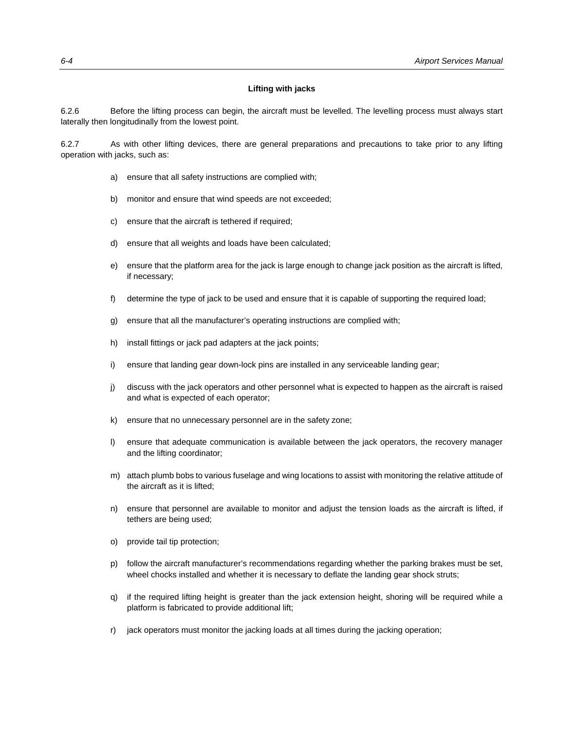#### **Lifting with jacks**

6.2.6 Before the lifting process can begin, the aircraft must be levelled. The levelling process must always start laterally then longitudinally from the lowest point.

6.2.7 As with other lifting devices, there are general preparations and precautions to take prior to any lifting operation with jacks, such as:

- a) ensure that all safety instructions are complied with;
- b) monitor and ensure that wind speeds are not exceeded;
- c) ensure that the aircraft is tethered if required;
- d) ensure that all weights and loads have been calculated;
- e) ensure that the platform area for the jack is large enough to change jack position as the aircraft is lifted, if necessary;
- f) determine the type of jack to be used and ensure that it is capable of supporting the required load;
- g) ensure that all the manufacturer's operating instructions are complied with;
- h) install fittings or jack pad adapters at the jack points;
- i) ensure that landing gear down-lock pins are installed in any serviceable landing gear;
- j) discuss with the jack operators and other personnel what is expected to happen as the aircraft is raised and what is expected of each operator;
- k) ensure that no unnecessary personnel are in the safety zone;
- l) ensure that adequate communication is available between the jack operators, the recovery manager and the lifting coordinator;
- m) attach plumb bobs to various fuselage and wing locations to assist with monitoring the relative attitude of the aircraft as it is lifted;
- n) ensure that personnel are available to monitor and adjust the tension loads as the aircraft is lifted, if tethers are being used;
- o) provide tail tip protection;
- p) follow the aircraft manufacturer's recommendations regarding whether the parking brakes must be set, wheel chocks installed and whether it is necessary to deflate the landing gear shock struts;
- q) if the required lifting height is greater than the jack extension height, shoring will be required while a platform is fabricated to provide additional lift;
- r) jack operators must monitor the jacking loads at all times during the jacking operation;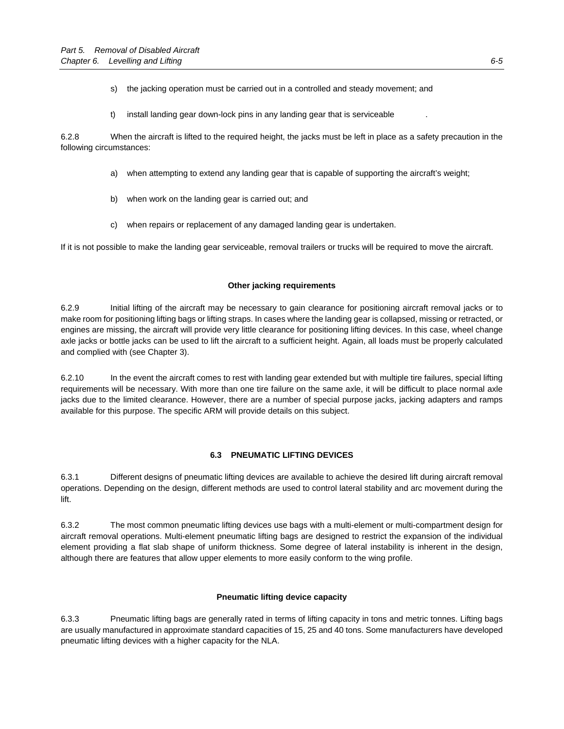- s) the jacking operation must be carried out in a controlled and steady movement; and
- t) install landing gear down-lock pins in any landing gear that is serviceable .

6.2.8 When the aircraft is lifted to the required height, the jacks must be left in place as a safety precaution in the following circumstances:

- a) when attempting to extend any landing gear that is capable of supporting the aircraft's weight;
- b) when work on the landing gear is carried out; and
- c) when repairs or replacement of any damaged landing gear is undertaken.

If it is not possible to make the landing gear serviceable, removal trailers or trucks will be required to move the aircraft.

# **Other jacking requirements**

6.2.9 Initial lifting of the aircraft may be necessary to gain clearance for positioning aircraft removal jacks or to make room for positioning lifting bags or lifting straps. In cases where the landing gear is collapsed, missing or retracted, or engines are missing, the aircraft will provide very little clearance for positioning lifting devices. In this case, wheel change axle jacks or bottle jacks can be used to lift the aircraft to a sufficient height. Again, all loads must be properly calculated and complied with (see Chapter 3).

6.2.10 In the event the aircraft comes to rest with landing gear extended but with multiple tire failures, special lifting requirements will be necessary. With more than one tire failure on the same axle, it will be difficult to place normal axle jacks due to the limited clearance. However, there are a number of special purpose jacks, jacking adapters and ramps available for this purpose. The specific ARM will provide details on this subject.

# **6.3 PNEUMATIC LIFTING DEVICES**

6.3.1 Different designs of pneumatic lifting devices are available to achieve the desired lift during aircraft removal operations. Depending on the design, different methods are used to control lateral stability and arc movement during the **lift** 

6.3.2 The most common pneumatic lifting devices use bags with a multi-element or multi-compartment design for aircraft removal operations. Multi-element pneumatic lifting bags are designed to restrict the expansion of the individual element providing a flat slab shape of uniform thickness. Some degree of lateral instability is inherent in the design, although there are features that allow upper elements to more easily conform to the wing profile.

## **Pneumatic lifting device capacity**

6.3.3 Pneumatic lifting bags are generally rated in terms of lifting capacity in tons and metric tonnes. Lifting bags are usually manufactured in approximate standard capacities of 15, 25 and 40 tons. Some manufacturers have developed pneumatic lifting devices with a higher capacity for the NLA.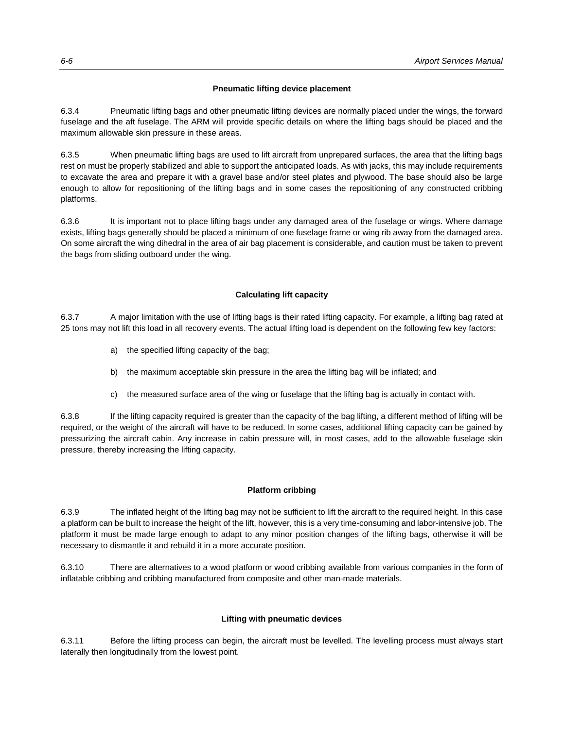# **Pneumatic lifting device placement**

6.3.4 Pneumatic lifting bags and other pneumatic lifting devices are normally placed under the wings, the forward fuselage and the aft fuselage. The ARM will provide specific details on where the lifting bags should be placed and the maximum allowable skin pressure in these areas.

6.3.5 When pneumatic lifting bags are used to lift aircraft from unprepared surfaces, the area that the lifting bags rest on must be properly stabilized and able to support the anticipated loads. As with jacks, this may include requirements to excavate the area and prepare it with a gravel base and/or steel plates and plywood. The base should also be large enough to allow for repositioning of the lifting bags and in some cases the repositioning of any constructed cribbing platforms.

6.3.6 It is important not to place lifting bags under any damaged area of the fuselage or wings. Where damage exists, lifting bags generally should be placed a minimum of one fuselage frame or wing rib away from the damaged area. On some aircraft the wing dihedral in the area of air bag placement is considerable, and caution must be taken to prevent the bags from sliding outboard under the wing.

# **Calculating lift capacity**

6.3.7 A major limitation with the use of lifting bags is their rated lifting capacity. For example, a lifting bag rated at 25 tons may not lift this load in all recovery events. The actual lifting load is dependent on the following few key factors:

- a) the specified lifting capacity of the bag;
- b) the maximum acceptable skin pressure in the area the lifting bag will be inflated; and
- c) the measured surface area of the wing or fuselage that the lifting bag is actually in contact with.

6.3.8 If the lifting capacity required is greater than the capacity of the bag lifting, a different method of lifting will be required, or the weight of the aircraft will have to be reduced. In some cases, additional lifting capacity can be gained by pressurizing the aircraft cabin. Any increase in cabin pressure will, in most cases, add to the allowable fuselage skin pressure, thereby increasing the lifting capacity.

## **Platform cribbing**

6.3.9 The inflated height of the lifting bag may not be sufficient to lift the aircraft to the required height. In this case a platform can be built to increase the height of the lift, however, this is a very time-consuming and labor-intensive job. The platform it must be made large enough to adapt to any minor position changes of the lifting bags, otherwise it will be necessary to dismantle it and rebuild it in a more accurate position.

6.3.10 There are alternatives to a wood platform or wood cribbing available from various companies in the form of inflatable cribbing and cribbing manufactured from composite and other man-made materials.

# **Lifting with pneumatic devices**

6.3.11 Before the lifting process can begin, the aircraft must be levelled. The levelling process must always start laterally then longitudinally from the lowest point.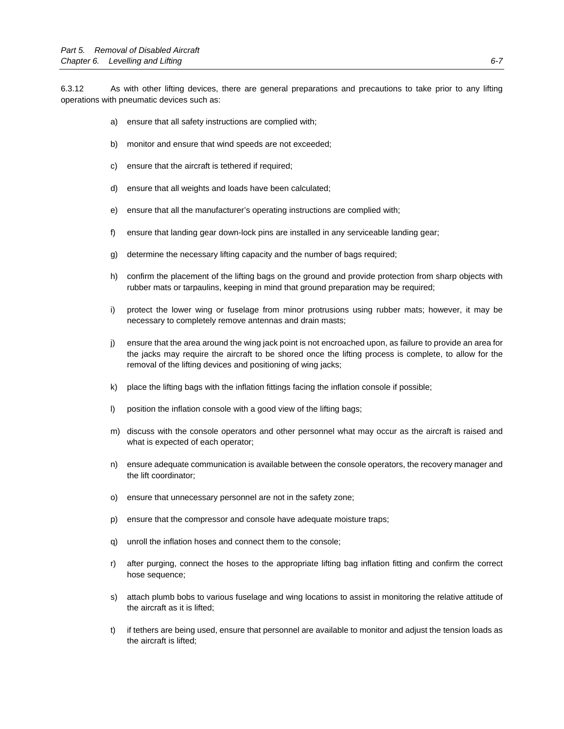6.3.12 As with other lifting devices, there are general preparations and precautions to take prior to any lifting operations with pneumatic devices such as:

- a) ensure that all safety instructions are complied with;
- b) monitor and ensure that wind speeds are not exceeded;
- c) ensure that the aircraft is tethered if required;
- d) ensure that all weights and loads have been calculated;
- e) ensure that all the manufacturer's operating instructions are complied with;
- f) ensure that landing gear down-lock pins are installed in any serviceable landing gear;
- g) determine the necessary lifting capacity and the number of bags required;
- h) confirm the placement of the lifting bags on the ground and provide protection from sharp objects with rubber mats or tarpaulins, keeping in mind that ground preparation may be required;
- i) protect the lower wing or fuselage from minor protrusions using rubber mats; however, it may be necessary to completely remove antennas and drain masts;
- j) ensure that the area around the wing jack point is not encroached upon, as failure to provide an area for the jacks may require the aircraft to be shored once the lifting process is complete, to allow for the removal of the lifting devices and positioning of wing jacks;
- k) place the lifting bags with the inflation fittings facing the inflation console if possible;
- l) position the inflation console with a good view of the lifting bags;
- m) discuss with the console operators and other personnel what may occur as the aircraft is raised and what is expected of each operator;
- n) ensure adequate communication is available between the console operators, the recovery manager and the lift coordinator;
- o) ensure that unnecessary personnel are not in the safety zone;
- p) ensure that the compressor and console have adequate moisture traps;
- q) unroll the inflation hoses and connect them to the console;
- r) after purging, connect the hoses to the appropriate lifting bag inflation fitting and confirm the correct hose sequence;
- s) attach plumb bobs to various fuselage and wing locations to assist in monitoring the relative attitude of the aircraft as it is lifted;
- t) if tethers are being used, ensure that personnel are available to monitor and adjust the tension loads as the aircraft is lifted;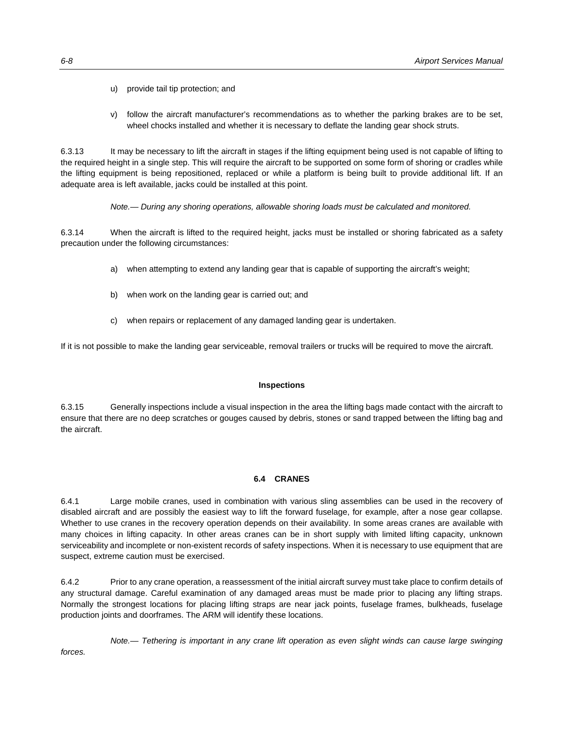- u) provide tail tip protection; and
- v) follow the aircraft manufacturer's recommendations as to whether the parking brakes are to be set, wheel chocks installed and whether it is necessary to deflate the landing gear shock struts.

6.3.13 It may be necessary to lift the aircraft in stages if the lifting equipment being used is not capable of lifting to the required height in a single step. This will require the aircraft to be supported on some form of shoring or cradles while the lifting equipment is being repositioned, replaced or while a platform is being built to provide additional lift. If an adequate area is left available, jacks could be installed at this point.

*Note.— During any shoring operations, allowable shoring loads must be calculated and monitored.* 

6.3.14 When the aircraft is lifted to the required height, jacks must be installed or shoring fabricated as a safety precaution under the following circumstances:

- a) when attempting to extend any landing gear that is capable of supporting the aircraft's weight;
- b) when work on the landing gear is carried out; and
- c) when repairs or replacement of any damaged landing gear is undertaken.

If it is not possible to make the landing gear serviceable, removal trailers or trucks will be required to move the aircraft.

#### **Inspections**

6.3.15 Generally inspections include a visual inspection in the area the lifting bags made contact with the aircraft to ensure that there are no deep scratches or gouges caused by debris, stones or sand trapped between the lifting bag and the aircraft.

## **6.4 CRANES**

6.4.1 Large mobile cranes, used in combination with various sling assemblies can be used in the recovery of disabled aircraft and are possibly the easiest way to lift the forward fuselage, for example, after a nose gear collapse. Whether to use cranes in the recovery operation depends on their availability. In some areas cranes are available with many choices in lifting capacity. In other areas cranes can be in short supply with limited lifting capacity, unknown serviceability and incomplete or non-existent records of safety inspections. When it is necessary to use equipment that are suspect, extreme caution must be exercised.

6.4.2 Prior to any crane operation, a reassessment of the initial aircraft survey must take place to confirm details of any structural damage. Careful examination of any damaged areas must be made prior to placing any lifting straps. Normally the strongest locations for placing lifting straps are near jack points, fuselage frames, bulkheads, fuselage production joints and doorframes. The ARM will identify these locations.

 *Note.— Tethering is important in any crane lift operation as even slight winds can cause large swinging forces.*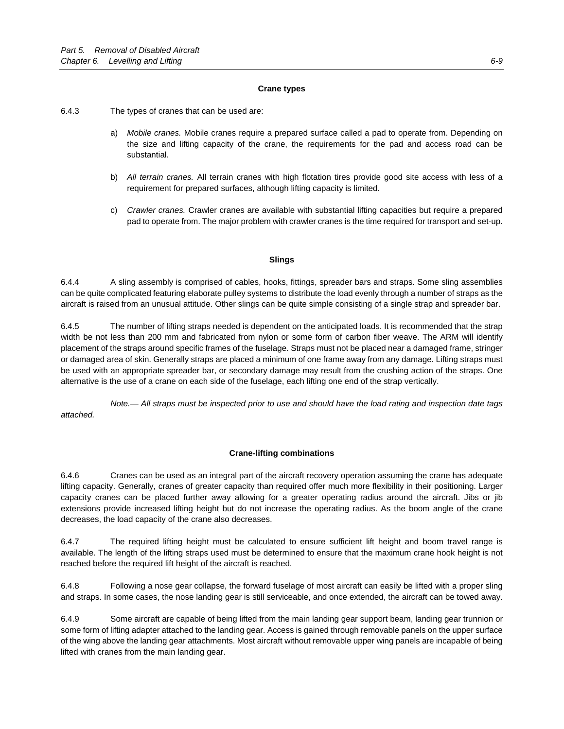## **Crane types**

6.4.3 The types of cranes that can be used are:

- a) *Mobile cranes.* Mobile cranes require a prepared surface called a pad to operate from. Depending on the size and lifting capacity of the crane, the requirements for the pad and access road can be substantial.
- b) *All terrain cranes.* All terrain cranes with high flotation tires provide good site access with less of a requirement for prepared surfaces, although lifting capacity is limited.
- c) *Crawler cranes.* Crawler cranes are available with substantial lifting capacities but require a prepared pad to operate from. The major problem with crawler cranes is the time required for transport and set-up.

# **Slings**

6.4.4 A sling assembly is comprised of cables, hooks, fittings, spreader bars and straps. Some sling assemblies can be quite complicated featuring elaborate pulley systems to distribute the load evenly through a number of straps as the aircraft is raised from an unusual attitude. Other slings can be quite simple consisting of a single strap and spreader bar.

6.4.5 The number of lifting straps needed is dependent on the anticipated loads. It is recommended that the strap width be not less than 200 mm and fabricated from nylon or some form of carbon fiber weave. The ARM will identify placement of the straps around specific frames of the fuselage. Straps must not be placed near a damaged frame, stringer or damaged area of skin. Generally straps are placed a minimum of one frame away from any damage. Lifting straps must be used with an appropriate spreader bar, or secondary damage may result from the crushing action of the straps. One alternative is the use of a crane on each side of the fuselage, each lifting one end of the strap vertically.

 *Note.— All straps must be inspected prior to use and should have the load rating and inspection date tags attached.* 

# **Crane-lifting combinations**

6.4.6 Cranes can be used as an integral part of the aircraft recovery operation assuming the crane has adequate lifting capacity. Generally, cranes of greater capacity than required offer much more flexibility in their positioning. Larger capacity cranes can be placed further away allowing for a greater operating radius around the aircraft. Jibs or jib extensions provide increased lifting height but do not increase the operating radius. As the boom angle of the crane decreases, the load capacity of the crane also decreases.

6.4.7 The required lifting height must be calculated to ensure sufficient lift height and boom travel range is available. The length of the lifting straps used must be determined to ensure that the maximum crane hook height is not reached before the required lift height of the aircraft is reached.

6.4.8 Following a nose gear collapse, the forward fuselage of most aircraft can easily be lifted with a proper sling and straps. In some cases, the nose landing gear is still serviceable, and once extended, the aircraft can be towed away.

6.4.9 Some aircraft are capable of being lifted from the main landing gear support beam, landing gear trunnion or some form of lifting adapter attached to the landing gear. Access is gained through removable panels on the upper surface of the wing above the landing gear attachments. Most aircraft without removable upper wing panels are incapable of being lifted with cranes from the main landing gear.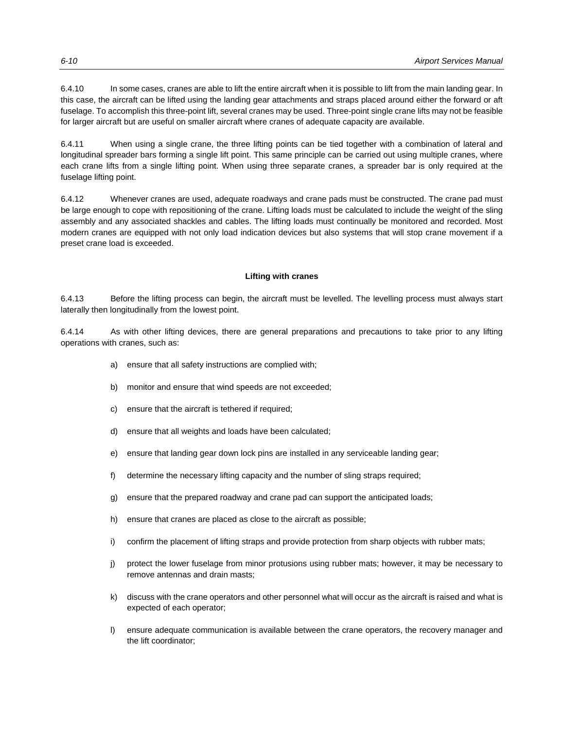6.4.10 In some cases, cranes are able to lift the entire aircraft when it is possible to lift from the main landing gear. In this case, the aircraft can be lifted using the landing gear attachments and straps placed around either the forward or aft fuselage. To accomplish this three-point lift, several cranes may be used. Three-point single crane lifts may not be feasible for larger aircraft but are useful on smaller aircraft where cranes of adequate capacity are available.

6.4.11 When using a single crane, the three lifting points can be tied together with a combination of lateral and longitudinal spreader bars forming a single lift point. This same principle can be carried out using multiple cranes, where each crane lifts from a single lifting point. When using three separate cranes, a spreader bar is only required at the fuselage lifting point.

6.4.12 Whenever cranes are used, adequate roadways and crane pads must be constructed. The crane pad must be large enough to cope with repositioning of the crane. Lifting loads must be calculated to include the weight of the sling assembly and any associated shackles and cables. The lifting loads must continually be monitored and recorded. Most modern cranes are equipped with not only load indication devices but also systems that will stop crane movement if a preset crane load is exceeded.

# **Lifting with cranes**

6.4.13 Before the lifting process can begin, the aircraft must be levelled. The levelling process must always start laterally then longitudinally from the lowest point.

6.4.14 As with other lifting devices, there are general preparations and precautions to take prior to any lifting operations with cranes, such as:

- a) ensure that all safety instructions are complied with;
- b) monitor and ensure that wind speeds are not exceeded;
- c) ensure that the aircraft is tethered if required;
- d) ensure that all weights and loads have been calculated;
- e) ensure that landing gear down lock pins are installed in any serviceable landing gear;
- f) determine the necessary lifting capacity and the number of sling straps required;
- g) ensure that the prepared roadway and crane pad can support the anticipated loads;
- h) ensure that cranes are placed as close to the aircraft as possible;
- i) confirm the placement of lifting straps and provide protection from sharp objects with rubber mats;
- j) protect the lower fuselage from minor protusions using rubber mats; however, it may be necessary to remove antennas and drain masts;
- k) discuss with the crane operators and other personnel what will occur as the aircraft is raised and what is expected of each operator;
- l) ensure adequate communication is available between the crane operators, the recovery manager and the lift coordinator;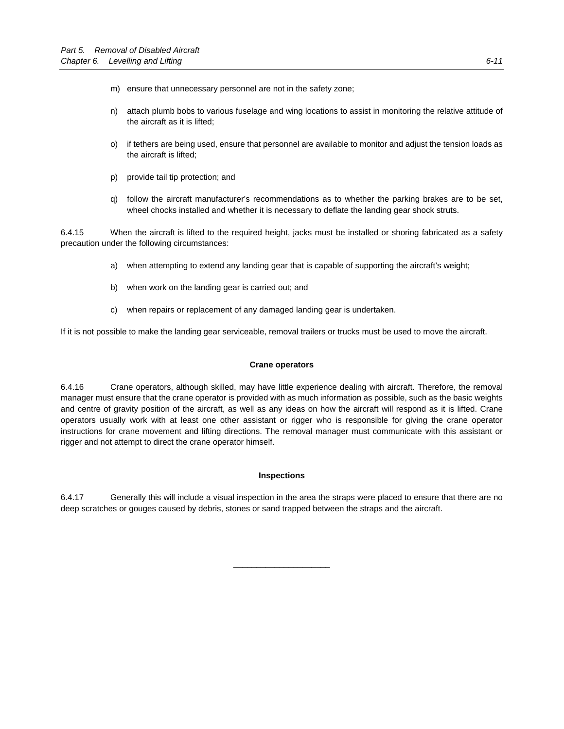- m) ensure that unnecessary personnel are not in the safety zone;
- n) attach plumb bobs to various fuselage and wing locations to assist in monitoring the relative attitude of the aircraft as it is lifted;
- o) if tethers are being used, ensure that personnel are available to monitor and adjust the tension loads as the aircraft is lifted;
- p) provide tail tip protection; and
- q) follow the aircraft manufacturer's recommendations as to whether the parking brakes are to be set, wheel chocks installed and whether it is necessary to deflate the landing gear shock struts.

6.4.15 When the aircraft is lifted to the required height, jacks must be installed or shoring fabricated as a safety precaution under the following circumstances:

- a) when attempting to extend any landing gear that is capable of supporting the aircraft's weight;
- b) when work on the landing gear is carried out; and
- c) when repairs or replacement of any damaged landing gear is undertaken.

If it is not possible to make the landing gear serviceable, removal trailers or trucks must be used to move the aircraft.

#### **Crane operators**

6.4.16 Crane operators, although skilled, may have little experience dealing with aircraft. Therefore, the removal manager must ensure that the crane operator is provided with as much information as possible, such as the basic weights and centre of gravity position of the aircraft, as well as any ideas on how the aircraft will respond as it is lifted. Crane operators usually work with at least one other assistant or rigger who is responsible for giving the crane operator instructions for crane movement and lifting directions. The removal manager must communicate with this assistant or rigger and not attempt to direct the crane operator himself.

#### **Inspections**

6.4.17 Generally this will include a visual inspection in the area the straps were placed to ensure that there are no deep scratches or gouges caused by debris, stones or sand trapped between the straps and the aircraft.

\_\_\_\_\_\_\_\_\_\_\_\_\_\_\_\_\_\_\_\_\_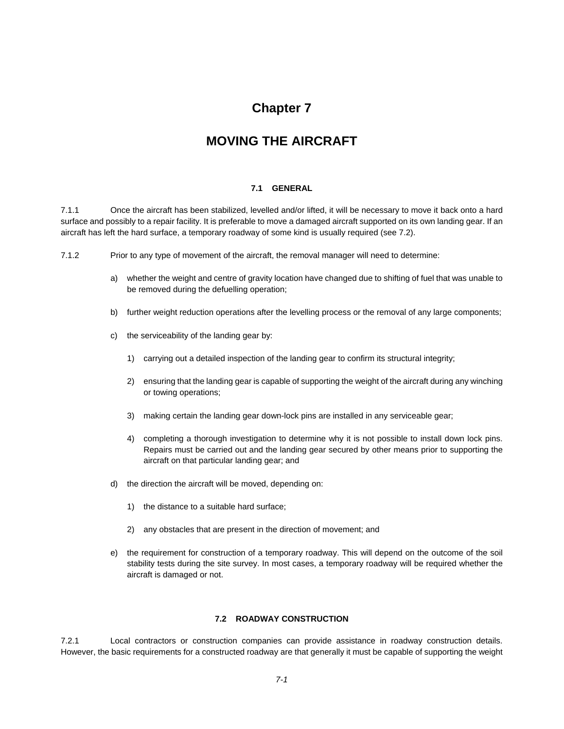# **Chapter 7**

# **MOVING THE AIRCRAFT**

## **7.1 GENERAL**

7.1.1 Once the aircraft has been stabilized, levelled and/or lifted, it will be necessary to move it back onto a hard surface and possibly to a repair facility. It is preferable to move a damaged aircraft supported on its own landing gear. If an aircraft has left the hard surface, a temporary roadway of some kind is usually required (see 7.2).

7.1.2 Prior to any type of movement of the aircraft, the removal manager will need to determine:

- a) whether the weight and centre of gravity location have changed due to shifting of fuel that was unable to be removed during the defuelling operation;
- b) further weight reduction operations after the levelling process or the removal of any large components;
- c) the serviceability of the landing gear by:
	- 1) carrying out a detailed inspection of the landing gear to confirm its structural integrity;
	- 2) ensuring that the landing gear is capable of supporting the weight of the aircraft during any winching or towing operations;
	- 3) making certain the landing gear down-lock pins are installed in any serviceable gear;
	- 4) completing a thorough investigation to determine why it is not possible to install down lock pins. Repairs must be carried out and the landing gear secured by other means prior to supporting the aircraft on that particular landing gear; and
- d) the direction the aircraft will be moved, depending on:
	- 1) the distance to a suitable hard surface;
	- 2) any obstacles that are present in the direction of movement; and
- e) the requirement for construction of a temporary roadway. This will depend on the outcome of the soil stability tests during the site survey. In most cases, a temporary roadway will be required whether the aircraft is damaged or not.

# **7.2 ROADWAY CONSTRUCTION**

7.2.1 Local contractors or construction companies can provide assistance in roadway construction details. However, the basic requirements for a constructed roadway are that generally it must be capable of supporting the weight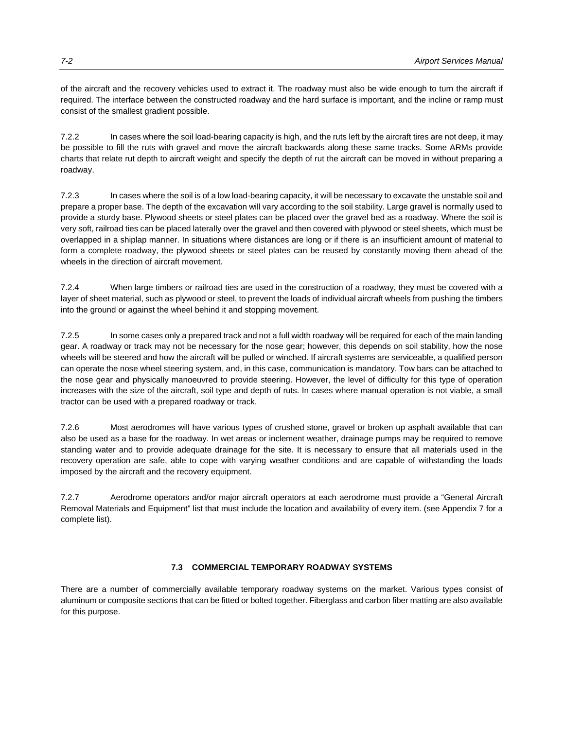of the aircraft and the recovery vehicles used to extract it. The roadway must also be wide enough to turn the aircraft if required. The interface between the constructed roadway and the hard surface is important, and the incline or ramp must consist of the smallest gradient possible.

7.2.2 In cases where the soil load-bearing capacity is high, and the ruts left by the aircraft tires are not deep, it may be possible to fill the ruts with gravel and move the aircraft backwards along these same tracks. Some ARMs provide charts that relate rut depth to aircraft weight and specify the depth of rut the aircraft can be moved in without preparing a roadway.

7.2.3 In cases where the soil is of a low load-bearing capacity, it will be necessary to excavate the unstable soil and prepare a proper base. The depth of the excavation will vary according to the soil stability. Large gravel is normally used to provide a sturdy base. Plywood sheets or steel plates can be placed over the gravel bed as a roadway. Where the soil is very soft, railroad ties can be placed laterally over the gravel and then covered with plywood or steel sheets, which must be overlapped in a shiplap manner. In situations where distances are long or if there is an insufficient amount of material to form a complete roadway, the plywood sheets or steel plates can be reused by constantly moving them ahead of the wheels in the direction of aircraft movement.

7.2.4 When large timbers or railroad ties are used in the construction of a roadway, they must be covered with a layer of sheet material, such as plywood or steel, to prevent the loads of individual aircraft wheels from pushing the timbers into the ground or against the wheel behind it and stopping movement.

7.2.5 In some cases only a prepared track and not a full width roadway will be required for each of the main landing gear. A roadway or track may not be necessary for the nose gear; however, this depends on soil stability, how the nose wheels will be steered and how the aircraft will be pulled or winched. If aircraft systems are serviceable, a qualified person can operate the nose wheel steering system, and, in this case, communication is mandatory. Tow bars can be attached to the nose gear and physically manoeuvred to provide steering. However, the level of difficulty for this type of operation increases with the size of the aircraft, soil type and depth of ruts. In cases where manual operation is not viable, a small tractor can be used with a prepared roadway or track.

7.2.6 Most aerodromes will have various types of crushed stone, gravel or broken up asphalt available that can also be used as a base for the roadway. In wet areas or inclement weather, drainage pumps may be required to remove standing water and to provide adequate drainage for the site. It is necessary to ensure that all materials used in the recovery operation are safe, able to cope with varying weather conditions and are capable of withstanding the loads imposed by the aircraft and the recovery equipment.

7.2.7 Aerodrome operators and/or major aircraft operators at each aerodrome must provide a "General Aircraft Removal Materials and Equipment" list that must include the location and availability of every item. (see Appendix 7 for a complete list).

# **7.3 COMMERCIAL TEMPORARY ROADWAY SYSTEMS**

There are a number of commercially available temporary roadway systems on the market. Various types consist of aluminum or composite sections that can be fitted or bolted together. Fiberglass and carbon fiber matting are also available for this purpose.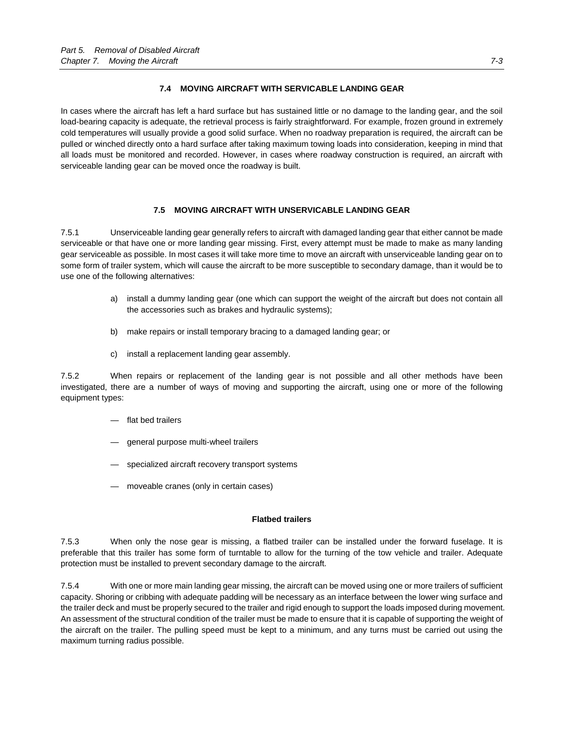# **7.4 MOVING AIRCRAFT WITH SERVICABLE LANDING GEAR**

In cases where the aircraft has left a hard surface but has sustained little or no damage to the landing gear, and the soil load-bearing capacity is adequate, the retrieval process is fairly straightforward. For example, frozen ground in extremely cold temperatures will usually provide a good solid surface. When no roadway preparation is required, the aircraft can be pulled or winched directly onto a hard surface after taking maximum towing loads into consideration, keeping in mind that all loads must be monitored and recorded. However, in cases where roadway construction is required, an aircraft with serviceable landing gear can be moved once the roadway is built.

# **7.5 MOVING AIRCRAFT WITH UNSERVICABLE LANDING GEAR**

7.5.1 Unserviceable landing gear generally refers to aircraft with damaged landing gear that either cannot be made serviceable or that have one or more landing gear missing. First, every attempt must be made to make as many landing gear serviceable as possible. In most cases it will take more time to move an aircraft with unserviceable landing gear on to some form of trailer system, which will cause the aircraft to be more susceptible to secondary damage, than it would be to use one of the following alternatives:

- a) install a dummy landing gear (one which can support the weight of the aircraft but does not contain all the accessories such as brakes and hydraulic systems);
- b) make repairs or install temporary bracing to a damaged landing gear; or
- c) install a replacement landing gear assembly.

7.5.2 When repairs or replacement of the landing gear is not possible and all other methods have been investigated, there are a number of ways of moving and supporting the aircraft, using one or more of the following equipment types:

- flat bed trailers
- general purpose multi-wheel trailers
- specialized aircraft recovery transport systems
- moveable cranes (only in certain cases)

## **Flatbed trailers**

7.5.3 When only the nose gear is missing, a flatbed trailer can be installed under the forward fuselage. It is preferable that this trailer has some form of turntable to allow for the turning of the tow vehicle and trailer. Adequate protection must be installed to prevent secondary damage to the aircraft.

7.5.4 With one or more main landing gear missing, the aircraft can be moved using one or more trailers of sufficient capacity. Shoring or cribbing with adequate padding will be necessary as an interface between the lower wing surface and the trailer deck and must be properly secured to the trailer and rigid enough to support the loads imposed during movement. An assessment of the structural condition of the trailer must be made to ensure that it is capable of supporting the weight of the aircraft on the trailer. The pulling speed must be kept to a minimum, and any turns must be carried out using the maximum turning radius possible.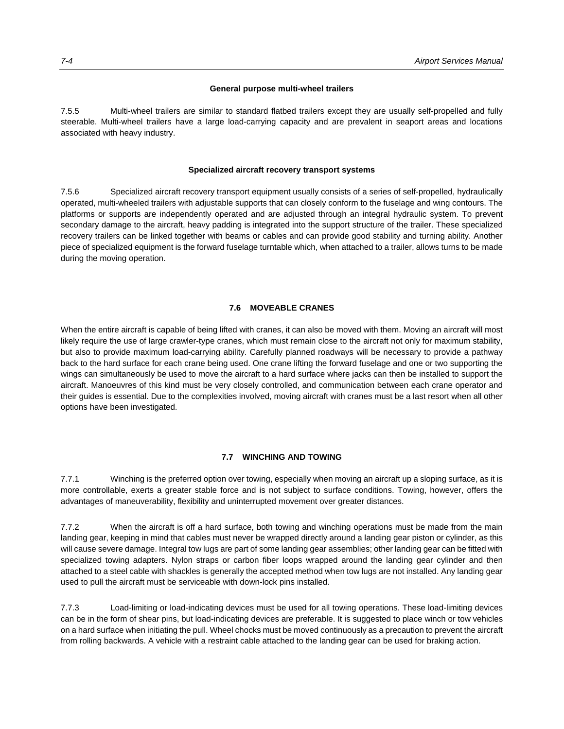### **General purpose multi-wheel trailers**

7.5.5 Multi-wheel trailers are similar to standard flatbed trailers except they are usually self-propelled and fully steerable. Multi-wheel trailers have a large load-carrying capacity and are prevalent in seaport areas and locations associated with heavy industry.

#### **Specialized aircraft recovery transport systems**

7.5.6 Specialized aircraft recovery transport equipment usually consists of a series of self-propelled, hydraulically operated, multi-wheeled trailers with adjustable supports that can closely conform to the fuselage and wing contours. The platforms or supports are independently operated and are adjusted through an integral hydraulic system. To prevent secondary damage to the aircraft, heavy padding is integrated into the support structure of the trailer. These specialized recovery trailers can be linked together with beams or cables and can provide good stability and turning ability. Another piece of specialized equipment is the forward fuselage turntable which, when attached to a trailer, allows turns to be made during the moving operation.

#### **7.6 MOVEABLE CRANES**

When the entire aircraft is capable of being lifted with cranes, it can also be moved with them. Moving an aircraft will most likely require the use of large crawler-type cranes, which must remain close to the aircraft not only for maximum stability, but also to provide maximum load-carrying ability. Carefully planned roadways will be necessary to provide a pathway back to the hard surface for each crane being used. One crane lifting the forward fuselage and one or two supporting the wings can simultaneously be used to move the aircraft to a hard surface where jacks can then be installed to support the aircraft. Manoeuvres of this kind must be very closely controlled, and communication between each crane operator and their guides is essential. Due to the complexities involved, moving aircraft with cranes must be a last resort when all other options have been investigated.

#### **7.7 WINCHING AND TOWING**

7.7.1 Winching is the preferred option over towing, especially when moving an aircraft up a sloping surface, as it is more controllable, exerts a greater stable force and is not subject to surface conditions. Towing, however, offers the advantages of maneuverability, flexibility and uninterrupted movement over greater distances.

7.7.2 When the aircraft is off a hard surface, both towing and winching operations must be made from the main landing gear, keeping in mind that cables must never be wrapped directly around a landing gear piston or cylinder, as this will cause severe damage. Integral tow lugs are part of some landing gear assemblies; other landing gear can be fitted with specialized towing adapters. Nylon straps or carbon fiber loops wrapped around the landing gear cylinder and then attached to a steel cable with shackles is generally the accepted method when tow lugs are not installed. Any landing gear used to pull the aircraft must be serviceable with down-lock pins installed.

7.7.3 Load-limiting or load-indicating devices must be used for all towing operations. These load-limiting devices can be in the form of shear pins, but load-indicating devices are preferable. It is suggested to place winch or tow vehicles on a hard surface when initiating the pull. Wheel chocks must be moved continuously as a precaution to prevent the aircraft from rolling backwards. A vehicle with a restraint cable attached to the landing gear can be used for braking action.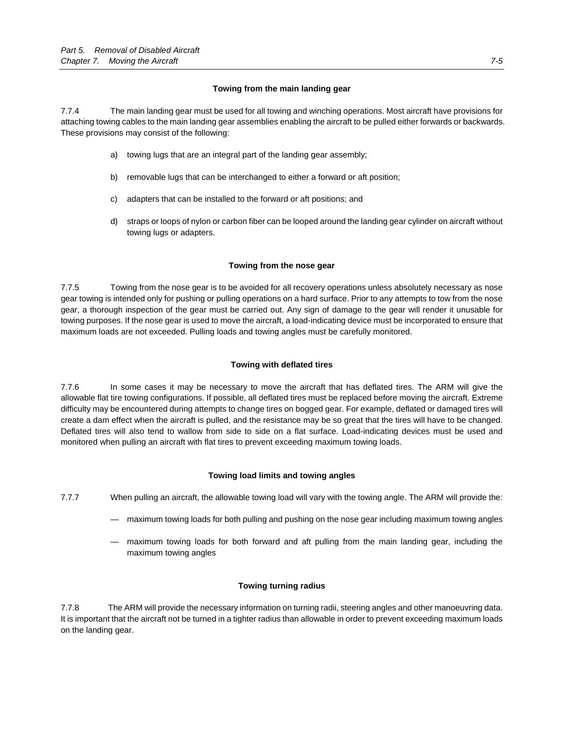# **Towing from the main landing gear**

7.7.4 The main landing gear must be used for all towing and winching operations. Most aircraft have provisions for attaching towing cables to the main landing gear assemblies enabling the aircraft to be pulled either forwards or backwards. These provisions may consist of the following:

- a) towing lugs that are an integral part of the landing gear assembly;
- b) removable lugs that can be interchanged to either a forward or aft position;
- c) adapters that can be installed to the forward or aft positions; and
- d) straps or loops of nylon or carbon fiber can be looped around the landing gear cylinder on aircraft without towing lugs or adapters.

# **Towing from the nose gear**

7.7.5 Towing from the nose gear is to be avoided for all recovery operations unless absolutely necessary as nose gear towing is intended only for pushing or pulling operations on a hard surface. Prior to any attempts to tow from the nose gear, a thorough inspection of the gear must be carried out. Any sign of damage to the gear will render it unusable for towing purposes. If the nose gear is used to move the aircraft, a load-indicating device must be incorporated to ensure that maximum loads are not exceeded. Pulling loads and towing angles must be carefully monitored.

# **Towing with deflated tires**

7.7.6 In some cases it may be necessary to move the aircraft that has deflated tires. The ARM will give the allowable flat tire towing configurations. If possible, all deflated tires must be replaced before moving the aircraft. Extreme difficulty may be encountered during attempts to change tires on bogged gear. For example, deflated or damaged tires will create a dam effect when the aircraft is pulled, and the resistance may be so great that the tires will have to be changed. Deflated tires will also tend to wallow from side to side on a flat surface. Load-indicating devices must be used and monitored when pulling an aircraft with flat tires to prevent exceeding maximum towing loads.

## **Towing load limits and towing angles**

- 7.7.7 When pulling an aircraft, the allowable towing load will vary with the towing angle. The ARM will provide the:
	- maximum towing loads for both pulling and pushing on the nose gear including maximum towing angles
	- maximum towing loads for both forward and aft pulling from the main landing gear, including the maximum towing angles

## **Towing turning radius**

7.7.8 The ARM will provide the necessary information on turning radii, steering angles and other manoeuvring data. It is important that the aircraft not be turned in a tighter radius than allowable in order to prevent exceeding maximum loads on the landing gear.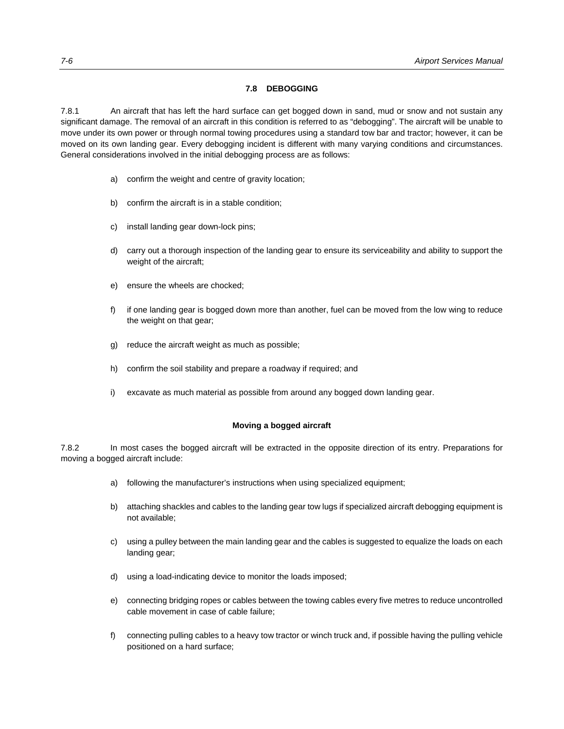## **7.8 DEBOGGING**

7.8.1 An aircraft that has left the hard surface can get bogged down in sand, mud or snow and not sustain any significant damage. The removal of an aircraft in this condition is referred to as "debogging". The aircraft will be unable to move under its own power or through normal towing procedures using a standard tow bar and tractor; however, it can be moved on its own landing gear. Every debogging incident is different with many varying conditions and circumstances. General considerations involved in the initial debogging process are as follows:

- a) confirm the weight and centre of gravity location;
- b) confirm the aircraft is in a stable condition;
- c) install landing gear down-lock pins;
- d) carry out a thorough inspection of the landing gear to ensure its serviceability and ability to support the weight of the aircraft;
- e) ensure the wheels are chocked;
- f) if one landing gear is bogged down more than another, fuel can be moved from the low wing to reduce the weight on that gear;
- g) reduce the aircraft weight as much as possible;
- h) confirm the soil stability and prepare a roadway if required; and
- i) excavate as much material as possible from around any bogged down landing gear.

#### **Moving a bogged aircraft**

7.8.2 In most cases the bogged aircraft will be extracted in the opposite direction of its entry. Preparations for moving a bogged aircraft include:

- a) following the manufacturer's instructions when using specialized equipment;
- b) attaching shackles and cables to the landing gear tow lugs if specialized aircraft debogging equipment is not available;
- c) using a pulley between the main landing gear and the cables is suggested to equalize the loads on each landing gear;
- d) using a load-indicating device to monitor the loads imposed;
- e) connecting bridging ropes or cables between the towing cables every five metres to reduce uncontrolled cable movement in case of cable failure;
- f) connecting pulling cables to a heavy tow tractor or winch truck and, if possible having the pulling vehicle positioned on a hard surface;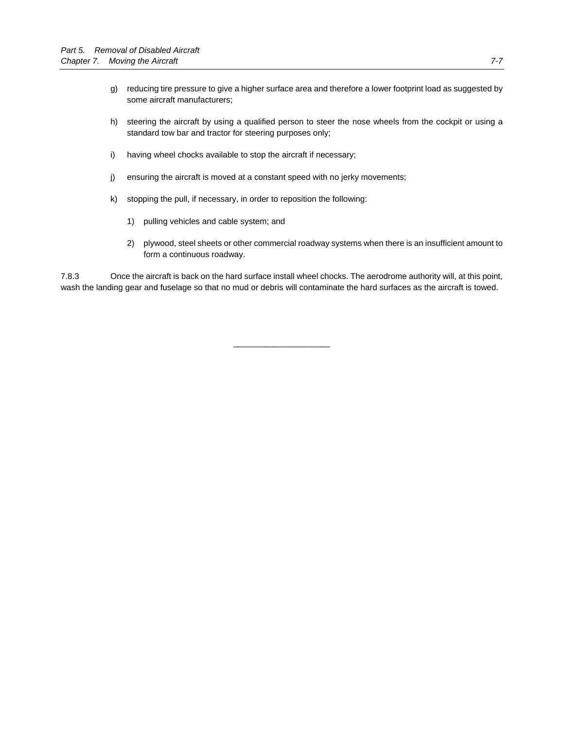- g) reducing tire pressure to give a higher surface area and therefore a lower footprint load as suggested by some aircraft manufacturers;
- h) steering the aircraft by using a qualified person to steer the nose wheels from the cockpit or using a standard tow bar and tractor for steering purposes only;
- i) having wheel chocks available to stop the aircraft if necessary;
- j) ensuring the aircraft is moved at a constant speed with no jerky movements;
- k) stopping the pull, if necessary, in order to reposition the following:
	- 1) pulling vehicles and cable system; and
	- 2) plywood, steel sheets or other commercial roadway systems when there is an insufficient amount to form a continuous roadway.

7.8.3 Once the aircraft is back on the hard surface install wheel chocks. The aerodrome authority will, at this point, wash the landing gear and fuselage so that no mud or debris will contaminate the hard surfaces as the aircraft is towed.

\_\_\_\_\_\_\_\_\_\_\_\_\_\_\_\_\_\_\_\_\_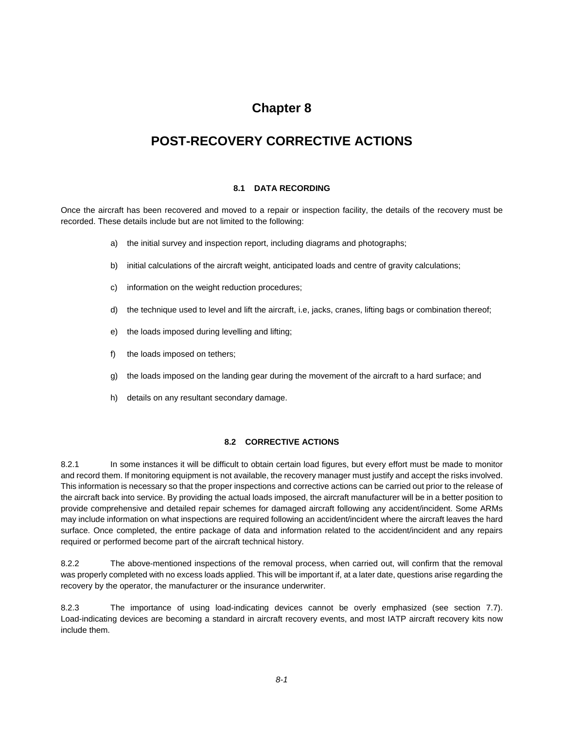## **Chapter 8**

## **POST-RECOVERY CORRECTIVE ACTIONS**

## **8.1 DATA RECORDING**

Once the aircraft has been recovered and moved to a repair or inspection facility, the details of the recovery must be recorded. These details include but are not limited to the following:

- a) the initial survey and inspection report, including diagrams and photographs;
- b) initial calculations of the aircraft weight, anticipated loads and centre of gravity calculations;
- c) information on the weight reduction procedures;
- d) the technique used to level and lift the aircraft, i.e, jacks, cranes, lifting bags or combination thereof;
- e) the loads imposed during levelling and lifting;
- f) the loads imposed on tethers;
- g) the loads imposed on the landing gear during the movement of the aircraft to a hard surface; and
- h) details on any resultant secondary damage.

## **8.2 CORRECTIVE ACTIONS**

8.2.1 In some instances it will be difficult to obtain certain load figures, but every effort must be made to monitor and record them. If monitoring equipment is not available, the recovery manager must justify and accept the risks involved. This information is necessary so that the proper inspections and corrective actions can be carried out prior to the release of the aircraft back into service. By providing the actual loads imposed, the aircraft manufacturer will be in a better position to provide comprehensive and detailed repair schemes for damaged aircraft following any accident/incident. Some ARMs may include information on what inspections are required following an accident/incident where the aircraft leaves the hard surface. Once completed, the entire package of data and information related to the accident/incident and any repairs required or performed become part of the aircraft technical history.

8.2.2 The above-mentioned inspections of the removal process, when carried out, will confirm that the removal was properly completed with no excess loads applied. This will be important if, at a later date, questions arise regarding the recovery by the operator, the manufacturer or the insurance underwriter.

8.2.3 The importance of using load-indicating devices cannot be overly emphasized (see section 7.7). Load-indicating devices are becoming a standard in aircraft recovery events, and most IATP aircraft recovery kits now include them.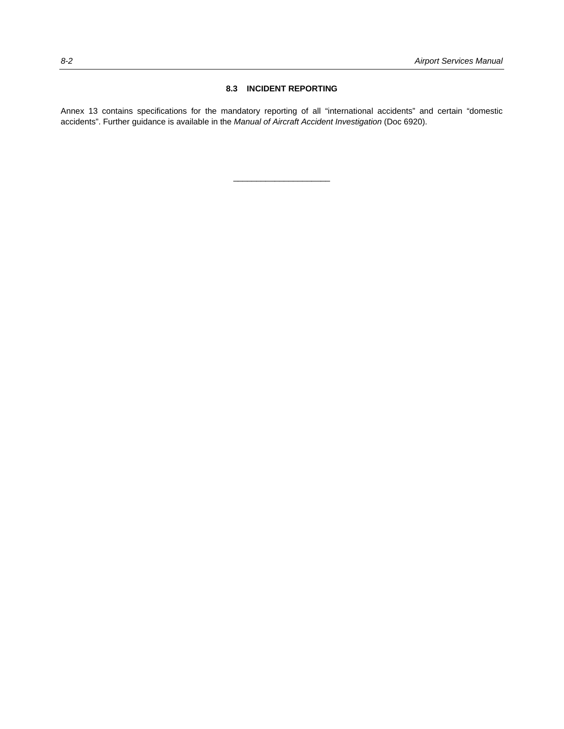## **8.3 INCIDENT REPORTING**

Annex 13 contains specifications for the mandatory reporting of all "international accidents" and certain "domestic accidents". Further guidance is available in the *Manual of Aircraft Accident Investigation* (Doc 6920).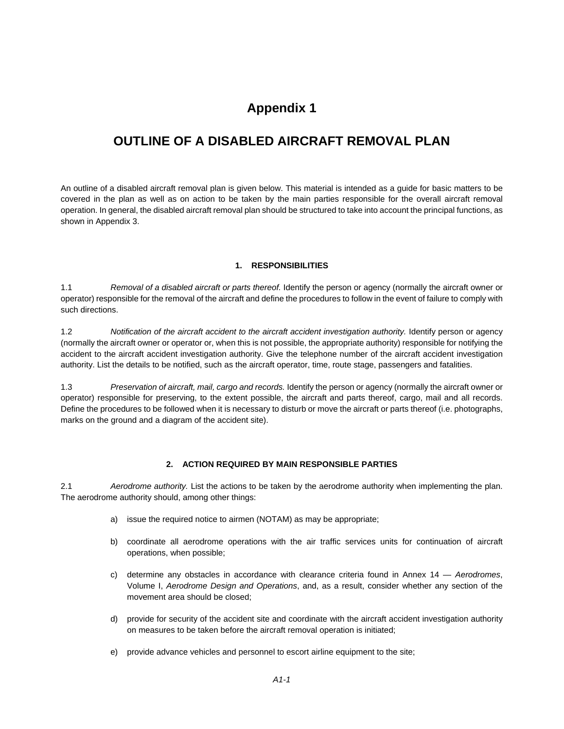## **OUTLINE OF A DISABLED AIRCRAFT REMOVAL PLAN**

An outline of a disabled aircraft removal plan is given below. This material is intended as a guide for basic matters to be covered in the plan as well as on action to be taken by the main parties responsible for the overall aircraft removal operation. In general, the disabled aircraft removal plan should be structured to take into account the principal functions, as shown in Appendix 3.

## **1. RESPONSIBILITIES**

1.1 *Removal of a disabled aircraft or parts thereof.* Identify the person or agency (normally the aircraft owner or operator) responsible for the removal of the aircraft and define the procedures to follow in the event of failure to comply with such directions.

1.2 *Notification of the aircraft accident to the aircraft accident investigation authority.* Identify person or agency (normally the aircraft owner or operator or, when this is not possible, the appropriate authority) responsible for notifying the accident to the aircraft accident investigation authority. Give the telephone number of the aircraft accident investigation authority. List the details to be notified, such as the aircraft operator, time, route stage, passengers and fatalities.

1.3 *Preservation of aircraft, mail, cargo and records.* Identify the person or agency (normally the aircraft owner or operator) responsible for preserving, to the extent possible, the aircraft and parts thereof, cargo, mail and all records. Define the procedures to be followed when it is necessary to disturb or move the aircraft or parts thereof (i.e. photographs, marks on the ground and a diagram of the accident site).

## **2. ACTION REQUIRED BY MAIN RESPONSIBLE PARTIES**

2.1 *Aerodrome authority.* List the actions to be taken by the aerodrome authority when implementing the plan. The aerodrome authority should, among other things:

- a) issue the required notice to airmen (NOTAM) as may be appropriate;
- b) coordinate all aerodrome operations with the air traffic services units for continuation of aircraft operations, when possible;
- c) determine any obstacles in accordance with clearance criteria found in Annex 14 *Aerodromes*, Volume I, *Aerodrome Design and Operations*, and, as a result, consider whether any section of the movement area should be closed;
- d) provide for security of the accident site and coordinate with the aircraft accident investigation authority on measures to be taken before the aircraft removal operation is initiated;
- e) provide advance vehicles and personnel to escort airline equipment to the site;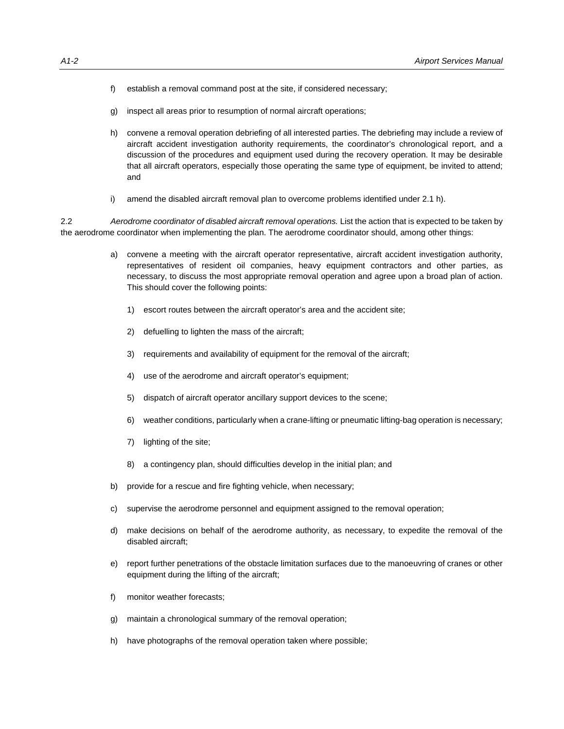- f) establish a removal command post at the site, if considered necessary;
- g) inspect all areas prior to resumption of normal aircraft operations;
- h) convene a removal operation debriefing of all interested parties. The debriefing may include a review of aircraft accident investigation authority requirements, the coordinator's chronological report, and a discussion of the procedures and equipment used during the recovery operation. It may be desirable that all aircraft operators, especially those operating the same type of equipment, be invited to attend; and
- i) amend the disabled aircraft removal plan to overcome problems identified under 2.1 h).

2.2 *Aerodrome coordinator of disabled aircraft removal operations.* List the action that is expected to be taken by the aerodrome coordinator when implementing the plan. The aerodrome coordinator should, among other things:

- a) convene a meeting with the aircraft operator representative, aircraft accident investigation authority, representatives of resident oil companies, heavy equipment contractors and other parties, as necessary, to discuss the most appropriate removal operation and agree upon a broad plan of action. This should cover the following points:
	- 1) escort routes between the aircraft operator's area and the accident site;
	- 2) defuelling to lighten the mass of the aircraft;
	- 3) requirements and availability of equipment for the removal of the aircraft;
	- 4) use of the aerodrome and aircraft operator's equipment;
	- 5) dispatch of aircraft operator ancillary support devices to the scene;
	- 6) weather conditions, particularly when a crane-lifting or pneumatic lifting-bag operation is necessary;
	- 7) lighting of the site;
	- 8) a contingency plan, should difficulties develop in the initial plan; and
- b) provide for a rescue and fire fighting vehicle, when necessary;
- c) supervise the aerodrome personnel and equipment assigned to the removal operation;
- d) make decisions on behalf of the aerodrome authority, as necessary, to expedite the removal of the disabled aircraft;
- e) report further penetrations of the obstacle limitation surfaces due to the manoeuvring of cranes or other equipment during the lifting of the aircraft;
- f) monitor weather forecasts;
- g) maintain a chronological summary of the removal operation;
- h) have photographs of the removal operation taken where possible;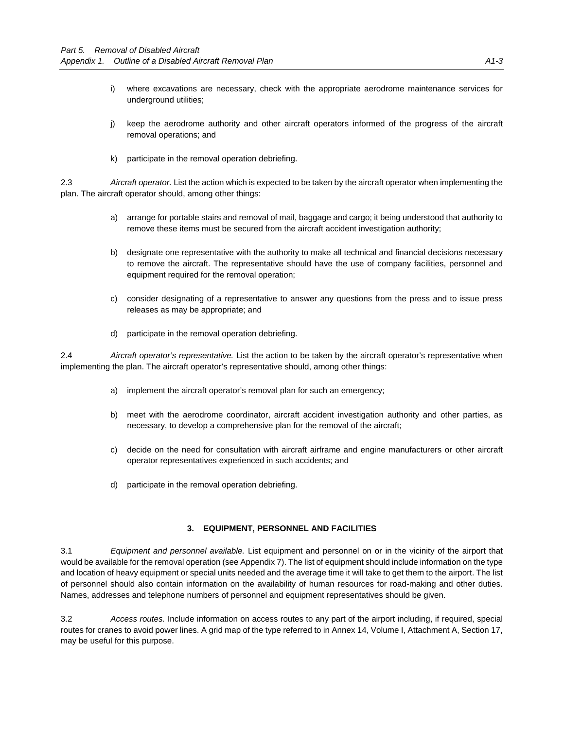- i) where excavations are necessary, check with the appropriate aerodrome maintenance services for underground utilities;
- j) keep the aerodrome authority and other aircraft operators informed of the progress of the aircraft removal operations; and
- k) participate in the removal operation debriefing.

2.3 *Aircraft operator.* List the action which is expected to be taken by the aircraft operator when implementing the plan. The aircraft operator should, among other things:

- a) arrange for portable stairs and removal of mail, baggage and cargo; it being understood that authority to remove these items must be secured from the aircraft accident investigation authority;
- b) designate one representative with the authority to make all technical and financial decisions necessary to remove the aircraft. The representative should have the use of company facilities, personnel and equipment required for the removal operation;
- c) consider designating of a representative to answer any questions from the press and to issue press releases as may be appropriate; and
- d) participate in the removal operation debriefing.

2.4 *Aircraft operator's representative.* List the action to be taken by the aircraft operator's representative when implementing the plan. The aircraft operator's representative should, among other things:

- a) implement the aircraft operator's removal plan for such an emergency;
- b) meet with the aerodrome coordinator, aircraft accident investigation authority and other parties, as necessary, to develop a comprehensive plan for the removal of the aircraft;
- c) decide on the need for consultation with aircraft airframe and engine manufacturers or other aircraft operator representatives experienced in such accidents; and
- d) participate in the removal operation debriefing.

## **3. EQUIPMENT, PERSONNEL AND FACILITIES**

3.1 *Equipment and personnel available.* List equipment and personnel on or in the vicinity of the airport that would be available for the removal operation (see Appendix 7). The list of equipment should include information on the type and location of heavy equipment or special units needed and the average time it will take to get them to the airport. The list of personnel should also contain information on the availability of human resources for road-making and other duties. Names, addresses and telephone numbers of personnel and equipment representatives should be given.

3.2 *Access routes.* Include information on access routes to any part of the airport including, if required, special routes for cranes to avoid power lines. A grid map of the type referred to in Annex 14, Volume I, Attachment A, Section 17, may be useful for this purpose.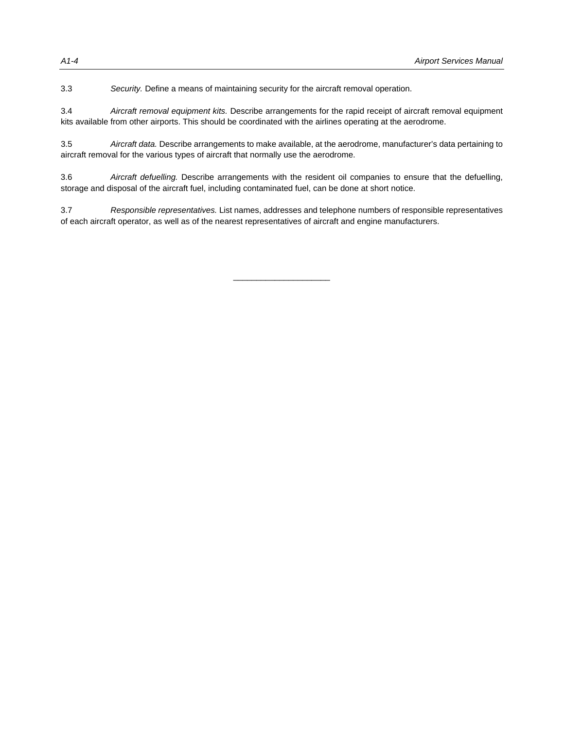3.3 *Security.* Define a means of maintaining security for the aircraft removal operation.

3.4 *Aircraft removal equipment kits.* Describe arrangements for the rapid receipt of aircraft removal equipment kits available from other airports. This should be coordinated with the airlines operating at the aerodrome.

3.5 *Aircraft data.* Describe arrangements to make available, at the aerodrome, manufacturer's data pertaining to aircraft removal for the various types of aircraft that normally use the aerodrome.

3.6 *Aircraft defuelling.* Describe arrangements with the resident oil companies to ensure that the defuelling, storage and disposal of the aircraft fuel, including contaminated fuel, can be done at short notice.

3.7 *Responsible representatives.* List names, addresses and telephone numbers of responsible representatives of each aircraft operator, as well as of the nearest representatives of aircraft and engine manufacturers.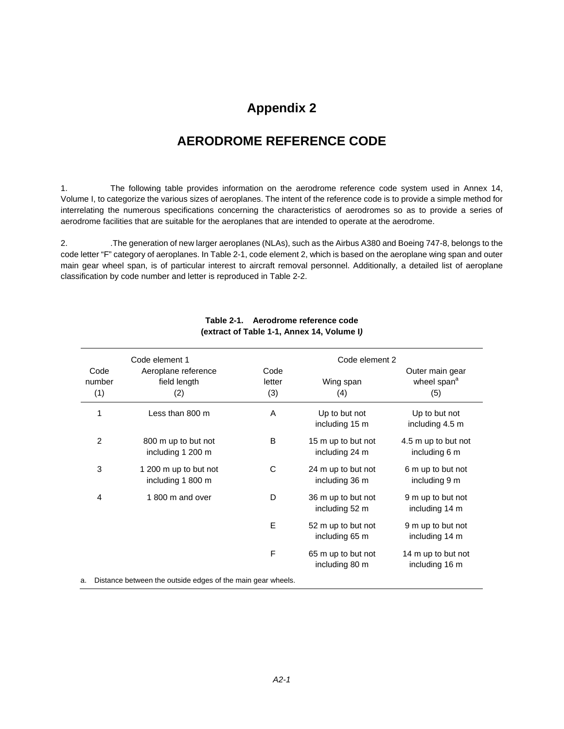## **AERODROME REFERENCE CODE**

1. The following table provides information on the aerodrome reference code system used in Annex 14, Volume I, to categorize the various sizes of aeroplanes. The intent of the reference code is to provide a simple method for interrelating the numerous specifications concerning the characteristics of aerodromes so as to provide a series of aerodrome facilities that are suitable for the aeroplanes that are intended to operate at the aerodrome.

2. .The generation of new larger aeroplanes (NLAs), such as the Airbus A380 and Boeing 747-8, belongs to the code letter "F" category of aeroplanes. In Table 2-1, code element 2, which is based on the aeroplane wing span and outer main gear wheel span, is of particular interest to aircraft removal personnel. Additionally, a detailed list of aeroplane classification by code number and letter is reproduced in Table 2-2.

|                       | Code element 1                                              |                       | Code element 2                       |                                                   |  |  |
|-----------------------|-------------------------------------------------------------|-----------------------|--------------------------------------|---------------------------------------------------|--|--|
| Code<br>number<br>(1) | Aeroplane reference<br>field length<br>(2)                  | Code<br>letter<br>(3) | Wing span<br>(4)                     | Outer main gear<br>wheel span <sup>a</sup><br>(5) |  |  |
| 1                     | Less than 800 m                                             | A                     | Up to but not<br>including 15 m      | Up to but not<br>including 4.5 m                  |  |  |
| 2                     | 800 m up to but not<br>including 1 200 m                    | B                     | 15 m up to but not<br>including 24 m | 4.5 m up to but not<br>including 6 m              |  |  |
| 3                     | 1 200 m up to but not<br>including 1 800 m                  | C                     | 24 m up to but not<br>including 36 m | 6 m up to but not<br>including 9 m                |  |  |
| 4                     | 1800 m and over                                             | D                     | 36 m up to but not<br>including 52 m | 9 m up to but not<br>including 14 m               |  |  |
|                       |                                                             | E                     | 52 m up to but not<br>including 65 m | 9 m up to but not<br>including 14 m               |  |  |
|                       |                                                             | F                     | 65 m up to but not<br>including 80 m | 14 m up to but not<br>including 16 m              |  |  |
| a.                    | Distance between the outside edges of the main gear wheels. |                       |                                      |                                                   |  |  |

## **Table 2-1. Aerodrome reference code (extract of Table 1-1, Annex 14, Volume I***)*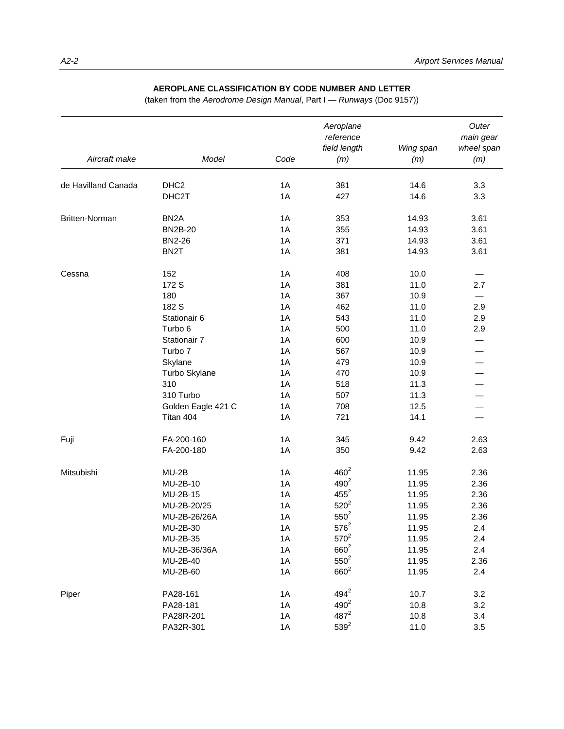## **AEROPLANE CLASSIFICATION BY CODE NUMBER AND LETTER**

(taken from the *Aerodrome Design Manual*, Part I — *Runways* (Doc 9157))

| Aircraft make         | Model              | Code | Aeroplane<br>reference<br>field length<br>(m) | Wing span<br>(m) | Outer<br>main gear<br>wheel span<br>(m) |
|-----------------------|--------------------|------|-----------------------------------------------|------------------|-----------------------------------------|
|                       |                    |      |                                               |                  |                                         |
| de Havilland Canada   | DHC <sub>2</sub>   | 1A   | 381                                           | 14.6             | 3.3                                     |
|                       | DHC2T              | 1A   | 427                                           | 14.6             | 3.3                                     |
| <b>Britten-Norman</b> | BN <sub>2</sub> A  | 1A   | 353                                           | 14.93            | 3.61                                    |
|                       | <b>BN2B-20</b>     | 1A   | 355                                           | 14.93            | 3.61                                    |
|                       | <b>BN2-26</b>      | 1A   | 371                                           | 14.93            | 3.61                                    |
|                       | BN <sub>2</sub> T  | 1A   | 381                                           | 14.93            | 3.61                                    |
| Cessna                | 152                | 1A   | 408                                           | 10.0             |                                         |
|                       | 172 S              | 1A   | 381                                           | 11.0             | 2.7                                     |
|                       | 180                | 1A   | 367                                           | 10.9             |                                         |
|                       | 182 S              | 1A   | 462                                           | 11.0             | 2.9                                     |
|                       | Stationair 6       | 1A   | 543                                           | 11.0             | 2.9                                     |
|                       | Turbo 6            | 1A   | 500                                           | 11.0             | 2.9                                     |
|                       | Stationair 7       | 1A   | 600                                           | 10.9             |                                         |
|                       | Turbo <sub>7</sub> | 1A   | 567                                           | 10.9             |                                         |
|                       | Skylane            | 1A   | 479                                           | 10.9             |                                         |
|                       | Turbo Skylane      | 1A   | 470                                           | 10.9             |                                         |
|                       | 310                | 1A   | 518                                           | 11.3             |                                         |
|                       | 310 Turbo          | 1A   | 507                                           | 11.3             |                                         |
|                       | Golden Eagle 421 C | 1A   | 708                                           | 12.5             |                                         |
|                       | Titan 404          | 1A   | 721                                           | 14.1             |                                         |
| Fuji                  | FA-200-160         | 1A   | 345                                           | 9.42             | 2.63                                    |
|                       | FA-200-180         | 1A   | 350                                           | 9.42             | 2.63                                    |
| Mitsubishi            | MU-2B              | 1A   | $460^2$                                       | 11.95            | 2.36                                    |
|                       | MU-2B-10           | 1A   | $490^2$                                       | 11.95            | 2.36                                    |
|                       | MU-2B-15           | 1A   | $455^2$                                       | 11.95            | 2.36                                    |
|                       | MU-2B-20/25        | 1A   | $520^2$                                       | 11.95            | 2.36                                    |
|                       | MU-2B-26/26A       | 1A   | $550^2$                                       | 11.95            | 2.36                                    |
|                       | MU-2B-30           | 1A   | $576^2$                                       | 11.95            | 2.4                                     |
|                       | MU-2B-35           | 1A   | $570^{2}$                                     | 11.95            | 2.4                                     |
|                       | MU-2B-36/36A       | 1A   | $660^{2}$                                     | 11.95            | $2.4\,$                                 |
|                       | MU-2B-40           | 1A   | $550^2$                                       | 11.95            | 2.36                                    |
|                       | MU-2B-60           | 1A   | $660^{2}$                                     | 11.95            | 2.4                                     |
| Piper                 | PA28-161           | 1A   | $494^2$                                       | 10.7             | 3.2                                     |
|                       | PA28-181           | 1A   | $490^{2}$                                     | 10.8             | 3.2                                     |
|                       | PA28R-201          | 1A   | $487^2$                                       | 10.8             | 3.4                                     |
|                       | PA32R-301          | 1A   | $539^{2}$                                     | 11.0             | 3.5                                     |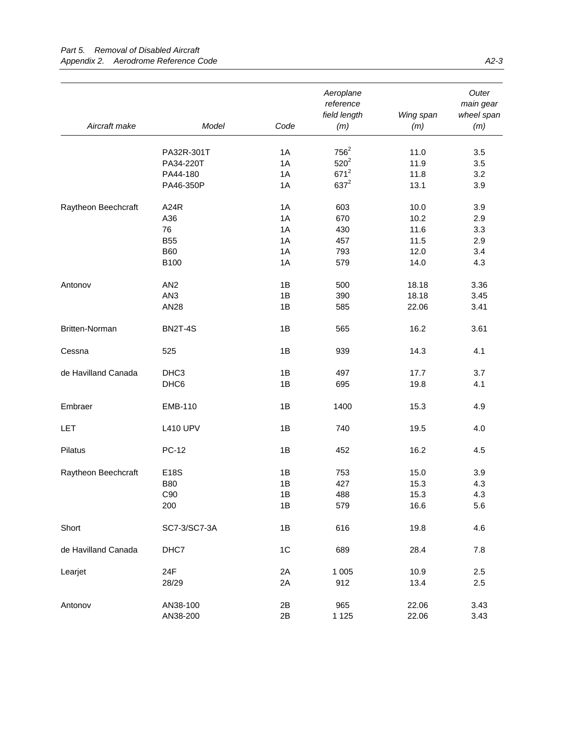|                     |                       |                | Aeroplane<br>reference<br>field length | Wing span    | Outer<br>main gear<br>wheel span |
|---------------------|-----------------------|----------------|----------------------------------------|--------------|----------------------------------|
| Aircraft make       | Model                 | Code           | (m)                                    | (m)          | (m)                              |
|                     |                       |                | $756^2$                                |              |                                  |
|                     | PA32R-301T            | 1A             | $520^2$                                | 11.0         | 3.5                              |
|                     | PA34-220T<br>PA44-180 | 1A<br>1A       | $671^2$                                | 11.9<br>11.8 | 3.5<br>3.2                       |
|                     | PA46-350P             | 1A             | $637^2$                                | 13.1         | 3.9                              |
|                     |                       |                |                                        |              |                                  |
| Raytheon Beechcraft | A24R                  | 1A             | 603                                    | 10.0         | 3.9                              |
|                     | A36                   | 1A             | 670                                    | 10.2         | 2.9                              |
|                     | 76                    | 1A             | 430                                    | 11.6         | 3.3                              |
|                     | <b>B55</b>            | 1A             | 457                                    | 11.5         | 2.9                              |
|                     | <b>B60</b>            | 1A             | 793                                    | 12.0         | 3.4                              |
|                     | B100                  | 1A             | 579                                    | 14.0         | 4.3                              |
| Antonov             | AN <sub>2</sub>       | 1B             | 500                                    | 18.18        | 3.36                             |
|                     | AN <sub>3</sub>       | 1B             | 390                                    | 18.18        | 3.45                             |
|                     | AN28                  | 1B             | 585                                    | 22.06        | 3.41                             |
| Britten-Norman      | <b>BN2T-4S</b>        | 1B             | 565                                    | 16.2         | 3.61                             |
| Cessna              | 525                   | 1B             | 939                                    | 14.3         | 4.1                              |
| de Havilland Canada | DHC <sub>3</sub>      | 1B             | 497                                    | 17.7         | 3.7                              |
|                     | DHC6                  | 1B             | 695                                    | 19.8         | 4.1                              |
| Embraer             | <b>EMB-110</b>        | 1B             | 1400                                   | 15.3         | 4.9                              |
| LET                 | <b>L410 UPV</b>       | 1B             | 740                                    | 19.5         | 4.0                              |
| Pilatus             | <b>PC-12</b>          | 1B             | 452                                    | 16.2         | 4.5                              |
| Raytheon Beechcraft | E18S                  | 1B             | 753                                    | 15.0         | 3.9                              |
|                     | <b>B80</b>            | 1B             | 427                                    | 15.3         | 4.3                              |
|                     | C90                   | 1B             | 488                                    | 15.3         | 4.3                              |
|                     | 200                   | 1B             | 579                                    | 16.6         | 5.6                              |
| Short               | SC7-3/SC7-3A          | 1B             | 616                                    | 19.8         | 4.6                              |
| de Havilland Canada | DHC7                  | 1 <sup>C</sup> | 689                                    | 28.4         | 7.8                              |
| Learjet             | 24F                   | 2A             | 1 0 0 5                                | 10.9         | 2.5                              |
|                     | 28/29                 | 2A             | 912                                    | 13.4         | 2.5                              |
| Antonov             | AN38-100              | 2B             | 965                                    | 22.06        | 3.43                             |
|                     | AN38-200              | 2B             | 1 1 2 5                                | 22.06        | 3.43                             |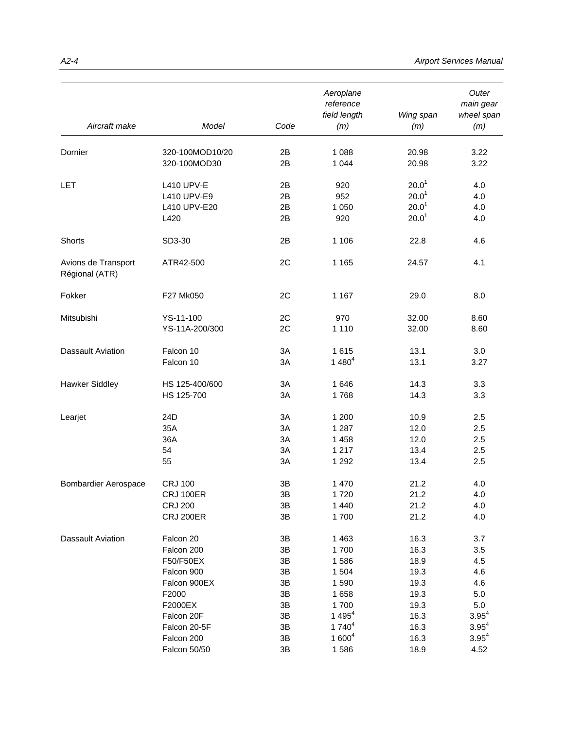| Aircraft make                         | Model             | Code | Aeroplane<br>reference<br>field length<br>(m) | Wing span<br>(m)  | Outer<br>main gear<br>wheel span<br>(m) |
|---------------------------------------|-------------------|------|-----------------------------------------------|-------------------|-----------------------------------------|
|                                       |                   |      |                                               |                   |                                         |
| Dornier                               | 320-100MOD10/20   | 2B   | 1 0 8 8                                       | 20.98             | 3.22                                    |
|                                       | 320-100MOD30      | 2B   | 1 0 4 4                                       | 20.98             | 3.22                                    |
| LET                                   | <b>L410 UPV-E</b> | 2B   | 920                                           | 20.0 <sup>1</sup> | 4.0                                     |
|                                       | L410 UPV-E9       | 2B   | 952                                           | 20.0 <sup>1</sup> | 4.0                                     |
|                                       | L410 UPV-E20      | 2B   | 1 0 5 0                                       | 20.0 <sup>1</sup> | 4.0                                     |
|                                       | L420              | 2B   | 920                                           | 20.0 <sup>1</sup> | 4.0                                     |
| Shorts                                | SD3-30            | 2B   | 1 1 0 6                                       | 22.8              | 4.6                                     |
| Avions de Transport<br>Régional (ATR) | ATR42-500         | 2C   | 1 1 6 5                                       | 24.57             | 4.1                                     |
| Fokker                                | F27 Mk050         | 2C   | 1 1 6 7                                       | 29.0              | 8.0                                     |
| Mitsubishi                            | YS-11-100         | 2C   | 970                                           | 32.00             | 8.60                                    |
|                                       | YS-11A-200/300    | 2C   | 1 1 1 0                                       | 32.00             | 8.60                                    |
| <b>Dassault Aviation</b>              | Falcon 10         | 3A   | 1615                                          | 13.1              | 3.0                                     |
|                                       | Falcon 10         | 3A   | $1480^{4}$                                    | 13.1              | 3.27                                    |
| <b>Hawker Siddley</b>                 | HS 125-400/600    | 3A   | 1646                                          | 14.3              | 3.3                                     |
|                                       | HS 125-700        | 3A   | 1768                                          | 14.3              | 3.3                                     |
| Learjet                               | 24D               | 3A   | 1 200                                         | 10.9              | 2.5                                     |
|                                       | 35A               | 3A   | 1 2 8 7                                       | 12.0              | 2.5                                     |
|                                       | 36A               | 3A   | 1 4 5 8                                       | 12.0              | 2.5                                     |
|                                       | 54                | 3A   | 1 2 1 7                                       | 13.4              | 2.5                                     |
|                                       | 55                | 3A   | 1 2 9 2                                       | 13.4              | 2.5                                     |
| <b>Bombardier Aerospace</b>           | <b>CRJ 100</b>    | 3B   | 1 470                                         | 21.2              | 4.0                                     |
|                                       | <b>CRJ 100ER</b>  | 3B   | 1720                                          | 21.2              | 4.0                                     |
|                                       | <b>CRJ 200</b>    | 3B   | 1 4 4 0                                       | 21.2              | 4.0                                     |
|                                       | <b>CRJ 200ER</b>  | 3B   | 1700                                          | 21.2              | 4.0                                     |
| Dassault Aviation                     | Falcon 20         | 3B   | 1 4 6 3                                       | 16.3              | 3.7                                     |
|                                       | Falcon 200        | 3B   | 1700                                          | 16.3              | 3.5                                     |
|                                       | F50/F50EX         | 3B   | 1586                                          | 18.9              | 4.5                                     |
|                                       | Falcon 900        | 3B   | 1 504                                         | 19.3              | 4.6                                     |
|                                       | Falcon 900EX      | 3B   | 1590                                          | 19.3              | 4.6                                     |
|                                       | F2000             | 3B   | 1658                                          | 19.3              | 5.0                                     |
|                                       | F2000EX           | 3B   | 1700                                          | 19.3              | 5.0                                     |
|                                       | Falcon 20F        | 3B   | 1 495 $4$                                     | 16.3              | $3.95^{4}$                              |
|                                       | Falcon 20-5F      | 3B   | $1740^{4}$                                    | 16.3              | $3.95^{4}$                              |
|                                       | Falcon 200        | 3B   | $1600^4$                                      | 16.3              | $3.95^{4}$                              |
|                                       | Falcon 50/50      | 3B   | 1586                                          | 18.9              | 4.52                                    |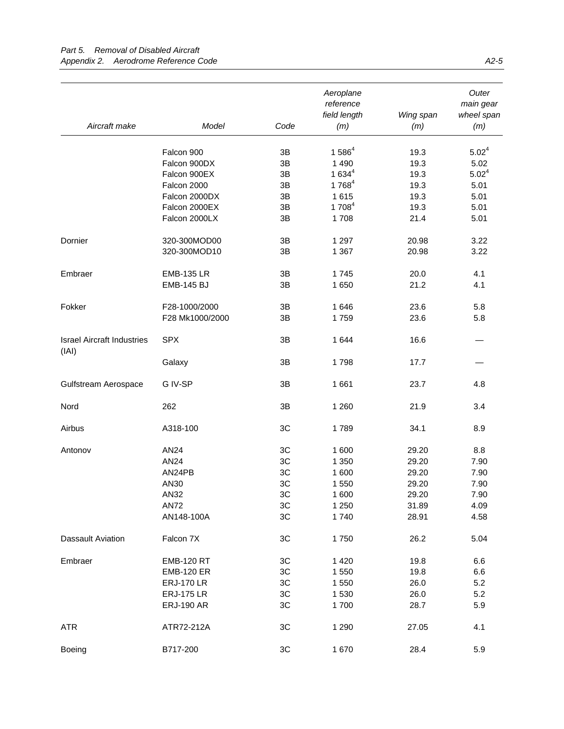|                                   |                   |               | Aeroplane<br>reference<br>field length | Wing span | Outer<br>main gear<br>wheel span |
|-----------------------------------|-------------------|---------------|----------------------------------------|-----------|----------------------------------|
| Aircraft make                     | Model             | Code          | (m)                                    | (m)       | (m)                              |
|                                   |                   |               |                                        |           |                                  |
|                                   | Falcon 900        | 3B            | $1586^{4}$                             | 19.3      | $5.02^4$                         |
|                                   | Falcon 900DX      | 3B            | 1 4 9 0                                | 19.3      | 5.02                             |
|                                   | Falcon 900EX      | 3B            | $1634^{4}$                             | 19.3      | $5.02^4$                         |
|                                   | Falcon 2000       | 3B            | 1 768 <sup>4</sup>                     | 19.3      | 5.01                             |
|                                   | Falcon 2000DX     | $3\mathsf{B}$ | 1615                                   | 19.3      | 5.01                             |
|                                   | Falcon 2000EX     | 3B            | 1 7084                                 | 19.3      | 5.01                             |
|                                   | Falcon 2000LX     | 3B            | 1708                                   | 21.4      | 5.01                             |
| Dornier                           | 320-300MOD00      | 3B            | 1 2 9 7                                | 20.98     | 3.22                             |
|                                   | 320-300MOD10      | 3B            | 1 3 6 7                                | 20.98     | 3.22                             |
| Embraer                           | <b>EMB-135 LR</b> | 3B            | 1745                                   | 20.0      | 4.1                              |
|                                   | <b>EMB-145 BJ</b> | 3B            | 1 650                                  | 21.2      | 4.1                              |
|                                   |                   |               |                                        |           |                                  |
| Fokker                            | F28-1000/2000     | 3B            | 1646                                   | 23.6      | 5.8                              |
|                                   | F28 Mk1000/2000   | 3B            | 1759                                   | 23.6      | 5.8                              |
| <b>Israel Aircraft Industries</b> | <b>SPX</b>        | 3B            | 1 644                                  | 16.6      |                                  |
| (IAI)                             | Galaxy            | 3B            | 1798                                   | 17.7      |                                  |
|                                   |                   |               |                                        |           |                                  |
| Gulfstream Aerospace              | G IV-SP           | 3B            | 1 661                                  | 23.7      | 4.8                              |
| Nord                              | 262               | 3B            | 1 2 6 0                                | 21.9      | 3.4                              |
| Airbus                            | A318-100          | 3C            | 1789                                   | 34.1      | 8.9                              |
| Antonov                           | AN24              | 3C            | 1 600                                  | 29.20     | 8.8                              |
|                                   | AN24              | 3C            | 1 3 5 0                                | 29.20     | 7.90                             |
|                                   | AN24PB            | 3C            | 1 600                                  | 29.20     | 7.90                             |
|                                   | AN30              | 3C            | 1 550                                  | 29.20     | 7.90                             |
|                                   | AN32              | 3C            | 1 600                                  | 29.20     | 7.90                             |
|                                   | <b>AN72</b>       | ЗC            | 1 2 5 0                                | 31.89     | 4.09                             |
|                                   | AN148-100A        | 3C            | 1740                                   | 28.91     | 4.58                             |
| <b>Dassault Aviation</b>          | Falcon 7X         | 3C            | 1750                                   | 26.2      | 5.04                             |
| Embraer                           | <b>EMB-120 RT</b> | 3C            | 1 4 2 0                                | 19.8      | 6.6                              |
|                                   | <b>EMB-120 ER</b> | 3C            | 1 550                                  | 19.8      | 6.6                              |
|                                   | <b>ERJ-170 LR</b> | 3C            | 1 550                                  | 26.0      | 5.2                              |
|                                   | <b>ERJ-175 LR</b> | 3C            | 1 530                                  | 26.0      | 5.2                              |
|                                   | <b>ERJ-190 AR</b> | 3C            | 1700                                   | 28.7      | 5.9                              |
|                                   |                   |               |                                        |           |                                  |
| <b>ATR</b>                        | ATR72-212A        | 3C            | 1 2 9 0                                | 27.05     | 4.1                              |
| Boeing                            | B717-200          | 3C            | 1 670                                  | 28.4      | 5.9                              |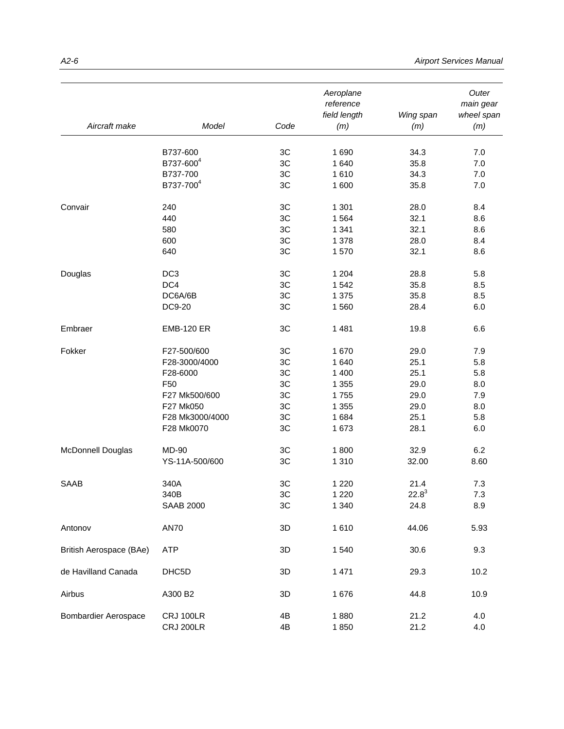| Aircraft make               | Model                 | Code | Aeroplane<br>reference<br>field length<br>(m) | Wing span<br>(m) | Outer<br>main gear<br>wheel span<br>(m) |
|-----------------------------|-----------------------|------|-----------------------------------------------|------------------|-----------------------------------------|
|                             |                       |      |                                               |                  |                                         |
|                             | B737-600              | 3C   | 1690                                          | 34.3             | 7.0                                     |
|                             | B737-600 <sup>4</sup> | 3C   | 1 640                                         | 35.8             | 7.0                                     |
|                             | B737-700              | 3C   | 1610                                          | 34.3             | 7.0                                     |
|                             | B737-700 <sup>4</sup> | 3C   | 1 600                                         | 35.8             | $7.0$                                   |
| Convair                     | 240                   | 3C   | 1 3 0 1                                       | 28.0             | 8.4                                     |
|                             | 440                   | 3C   | 1 5 6 4                                       | 32.1             | 8.6                                     |
|                             | 580                   | 3C   | 1 3 4 1                                       | 32.1             | 8.6                                     |
|                             | 600                   | 3C   | 1 3 7 8                                       | 28.0             | 8.4                                     |
|                             | 640                   | 3C   | 1570                                          | 32.1             | 8.6                                     |
| Douglas                     | DC <sub>3</sub>       | 3C   | 1 2 0 4                                       | 28.8             | 5.8                                     |
|                             | DC4                   | 3C   | 1542                                          | 35.8             | 8.5                                     |
|                             | DC6A/6B               | 3C   | 1 375                                         | 35.8             | 8.5                                     |
|                             | DC9-20                | 3C   | 1560                                          | 28.4             | 6.0                                     |
| Embraer                     | <b>EMB-120 ER</b>     | 3C   | 1 4 8 1                                       | 19.8             | 6.6                                     |
| Fokker                      | F27-500/600           | 3C   | 1670                                          | 29.0             | 7.9                                     |
|                             | F28-3000/4000         | 3C   | 1 640                                         | 25.1             | 5.8                                     |
|                             | F28-6000              | 3C   | 1 400                                         | 25.1             | 5.8                                     |
|                             | F50                   | 3C   | 1 3 5 5                                       | 29.0             | 8.0                                     |
|                             | F27 Mk500/600         | 3C   | 1755                                          | 29.0             | 7.9                                     |
|                             | F27 Mk050             | 3C   | 1 3 5 5                                       | 29.0             | 8.0                                     |
|                             | F28 Mk3000/4000       | 3C   | 1684                                          | 25.1             | 5.8                                     |
|                             | F28 Mk0070            | 3C   | 1 673                                         | 28.1             | 6.0                                     |
| McDonnell Douglas           | MD-90                 | 3C   | 1800                                          | 32.9             | 6.2                                     |
|                             | YS-11A-500/600        | 3C   | 1 3 1 0                                       | 32.00            | 8.60                                    |
| SAAB                        | 340A                  | 3C   | 1 2 2 0                                       | 21.4             | 7.3                                     |
|                             | 340B                  | 3C   | 1 2 2 0                                       | $22.8^3$         | 7.3                                     |
|                             | <b>SAAB 2000</b>      | 3C   | 1 3 4 0                                       | 24.8             | 8.9                                     |
| Antonov                     | <b>AN70</b>           | 3D   | 1610                                          | 44.06            | 5.93                                    |
| British Aerospace (BAe)     | ATP                   | 3D   | 1540                                          | 30.6             | 9.3                                     |
| de Havilland Canada         | DHC5D                 | 3D   | 1 4 7 1                                       | 29.3             | 10.2                                    |
| Airbus                      | A300 B2               | 3D   | 1 676                                         | 44.8             | 10.9                                    |
| <b>Bombardier Aerospace</b> | CRJ 100LR             | 4B   | 1880                                          | 21.2             | 4.0                                     |
|                             | <b>CRJ 200LR</b>      | 4B   | 1850                                          | 21.2             | 4.0                                     |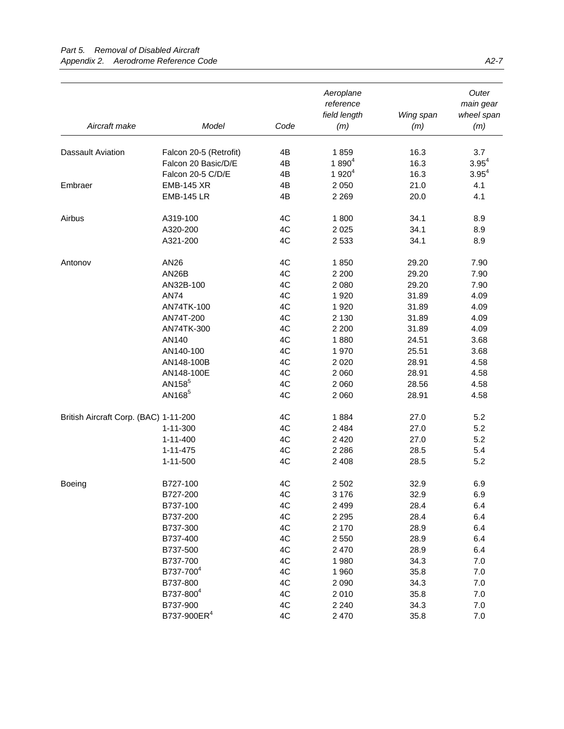|                                       |                                               |      | Aeroplane<br>reference<br>field length | Wing span    | Outer<br>main gear<br>wheel span |
|---------------------------------------|-----------------------------------------------|------|----------------------------------------|--------------|----------------------------------|
| Aircraft make                         | Model                                         | Code | (m)                                    | (m)          | (m)                              |
| <b>Dassault Aviation</b>              |                                               | 4B   | 1859                                   | 16.3         | 3.7                              |
|                                       | Falcon 20-5 (Retrofit)<br>Falcon 20 Basic/D/E | 4B   | $1890^{4}$                             | 16.3         | $3.95^{4}$                       |
|                                       | Falcon 20-5 C/D/E                             | 4B   | $1920^4$                               |              | $3.95^{4}$                       |
|                                       |                                               | 4B   |                                        | 16.3<br>21.0 | 4.1                              |
| Embraer                               | <b>EMB-145 XR</b>                             | 4B   | 2 0 5 0                                |              |                                  |
|                                       | <b>EMB-145 LR</b>                             |      | 2 2 6 9                                | 20.0         | 4.1                              |
| Airbus                                | A319-100                                      | 4C   | 1800                                   | 34.1         | 8.9                              |
|                                       | A320-200                                      | 4C   | 2 0 2 5                                | 34.1         | 8.9                              |
|                                       | A321-200                                      | 4C   | 2 5 3 3                                | 34.1         | 8.9                              |
| Antonov                               | AN26                                          | 4C   | 1850                                   | 29.20        | 7.90                             |
|                                       | AN26B                                         | 4C   | 2 2 0 0                                | 29.20        | 7.90                             |
|                                       | AN32B-100                                     | 4C   | 2 0 8 0                                | 29.20        | 7.90                             |
|                                       | <b>AN74</b>                                   | 4C   | 1 9 2 0                                | 31.89        | 4.09                             |
|                                       | AN74TK-100                                    | 4C   | 1 9 2 0                                | 31.89        | 4.09                             |
|                                       | AN74T-200                                     | 4C   | 2 1 3 0                                | 31.89        | 4.09                             |
|                                       | AN74TK-300                                    | 4C   | 2 2 0 0                                | 31.89        | 4.09                             |
|                                       | AN140                                         | 4C   | 1880                                   | 24.51        | 3.68                             |
|                                       | AN140-100                                     | 4C   | 1970                                   | 25.51        | 3.68                             |
|                                       | AN148-100B                                    | 4C   | 2 0 2 0                                | 28.91        | 4.58                             |
|                                       | AN148-100E                                    | 4C   | 2 0 6 0                                | 28.91        | 4.58                             |
|                                       | AN158 <sup>5</sup>                            | 4C   | 2 0 6 0                                | 28.56        | 4.58                             |
|                                       | AN168 <sup>5</sup>                            | 4C   | 2 0 6 0                                | 28.91        | 4.58                             |
| British Aircraft Corp. (BAC) 1-11-200 |                                               | 4C   | 1884                                   | 27.0         | 5.2                              |
|                                       | 1-11-300                                      | 4C   | 2 4 8 4                                | 27.0         | 5.2                              |
|                                       | $1 - 11 - 400$                                | 4C   | 2 4 2 0                                | 27.0         | 5.2                              |
|                                       | $1 - 11 - 475$                                | 4C   | 2 2 8 6                                | 28.5         | 5.4                              |
|                                       | $1 - 11 - 500$                                | 4C   | 2 4 0 8                                | 28.5         | 5.2                              |
| Boeing                                | B727-100                                      | 4C   | 2 5 0 2                                | 32.9         | 6.9                              |
|                                       | B727-200                                      | 4C   | 3 1 7 6                                | 32.9         | 6.9                              |
|                                       | B737-100                                      | 4C   | 2499                                   | 28.4         | 6.4                              |
|                                       | B737-200                                      | 4C   | 2 2 9 5                                | 28.4         | 6.4                              |
|                                       | B737-300                                      | 4C   | 2 170                                  | 28.9         | 6.4                              |
|                                       | B737-400                                      | 4C   | 2 5 5 0                                | 28.9         | 6.4                              |
|                                       | B737-500                                      | 4C   | 2 4 7 0                                | 28.9         | 6.4                              |
|                                       | B737-700                                      | 4C   | 1980                                   | 34.3         | 7.0                              |
|                                       | B737-700 <sup>4</sup>                         | 4C   | 1 960                                  | 35.8         | 7.0                              |
|                                       | B737-800                                      | 4C   | 2 0 9 0                                | 34.3         | 7.0                              |
|                                       | B737-800 <sup>4</sup>                         | 4C   | 2010                                   | 35.8         | 7.0                              |
|                                       | B737-900                                      | 4C   | 2 2 4 0                                | 34.3         | 7.0                              |
|                                       | B737-900ER <sup>4</sup>                       | 4C   | 2 4 7 0                                | 35.8         | 7.0                              |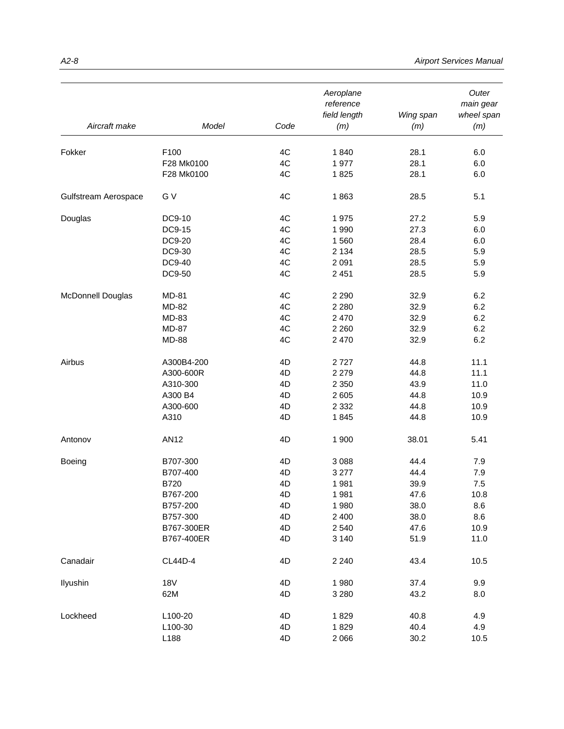| Aircraft make        | Model              | Code     | Aeroplane<br>reference<br>field length<br>(m) | Wing span<br>(m) | Outer<br>main gear<br>wheel span<br>(m) |
|----------------------|--------------------|----------|-----------------------------------------------|------------------|-----------------------------------------|
|                      |                    |          |                                               |                  |                                         |
| Fokker               | F100<br>F28 Mk0100 | 4C<br>4C | 1840<br>1977                                  | 28.1<br>28.1     | 6.0<br>6.0                              |
|                      | F28 Mk0100         | 4C       | 1825                                          | 28.1             | 6.0                                     |
| Gulfstream Aerospace | G V                | 4C       | 1863                                          | 28.5             | 5.1                                     |
| Douglas              | DC9-10             | 4C       | 1975                                          | 27.2             | 5.9                                     |
|                      | DC9-15             | 4C       | 1 9 9 0                                       | 27.3             | 6.0                                     |
|                      | DC9-20             | 4C       | 1 560                                         | 28.4             | 6.0                                     |
|                      | DC9-30             | 4C       | 2 1 3 4                                       | 28.5             | 5.9                                     |
|                      | DC9-40             | 4C       | 2 0 9 1                                       | 28.5             | 5.9                                     |
|                      | DC9-50             | 4C       | 2 4 5 1                                       | 28.5             | 5.9                                     |
| McDonnell Douglas    | MD-81              | 4C       | 2 2 9 0                                       | 32.9             | 6.2                                     |
|                      | MD-82              | 4C       | 2 2 8 0                                       | 32.9             | 6.2                                     |
|                      | MD-83              | 4C       | 2 4 7 0                                       | 32.9             | 6.2                                     |
|                      | MD-87              | 4C       | 2 2 6 0                                       | 32.9             | 6.2                                     |
|                      | <b>MD-88</b>       | 4C       | 2 4 7 0                                       | 32.9             | 6.2                                     |
| Airbus               | A300B4-200         | 4D       | 2727                                          | 44.8             | 11.1                                    |
|                      | A300-600R          | 4D       | 2 2 7 9                                       | 44.8             | 11.1                                    |
|                      | A310-300           | 4D       | 2 3 5 0                                       | 43.9             | 11.0                                    |
|                      | A300 B4            | 4D       | 2 6 0 5                                       | 44.8             | 10.9                                    |
|                      | A300-600           | 4D       | 2 3 3 2                                       | 44.8             | 10.9                                    |
|                      | A310               | 4D       | 1845                                          | 44.8             | 10.9                                    |
| Antonov              | <b>AN12</b>        | 4D       | 1 900                                         | 38.01            | 5.41                                    |
| Boeing               | B707-300           | 4D       | 3 0 8 8                                       | 44.4             | 7.9                                     |
|                      | B707-400           | 4D       | 3 2 7 7                                       | 44.4             | 7.9                                     |
|                      | <b>B720</b>        | 4D       | 1981                                          | 39.9             | 7.5                                     |
|                      | B767-200           | 4D       | 1981                                          | 47.6             | 10.8                                    |
|                      | B757-200           | 4D       | 1980                                          | 38.0             | 8.6                                     |
|                      | B757-300           | 4D       | 2 4 0 0                                       | 38.0             | 8.6                                     |
|                      | B767-300ER         | 4D       | 2540                                          | 47.6             | 10.9                                    |
|                      | B767-400ER         | 4D       | 3 1 4 0                                       | 51.9             | 11.0                                    |
| Canadair             | <b>CL44D-4</b>     | 4D       | 2 2 4 0                                       | 43.4             | 10.5                                    |
| Ilyushin             | <b>18V</b>         | 4D       | 1 980                                         | 37.4             | 9.9                                     |
|                      | 62M                | 4D       | 3 2 8 0                                       | 43.2             | 8.0                                     |
| Lockheed             | L100-20            | 4D       | 1829                                          | 40.8             | 4.9                                     |
|                      | L100-30            | 4D       | 1829                                          | 40.4             | 4.9                                     |
|                      | L188               | 4D       | 2 0 6 6                                       | 30.2             | 10.5                                    |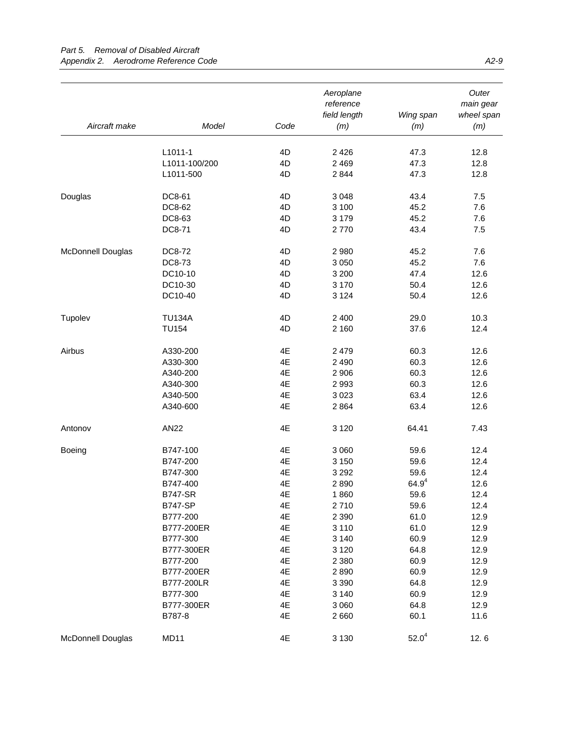|                   |                |      | Aeroplane<br>reference<br>field length | Wing span  | Outer<br>main gear<br>wheel span |
|-------------------|----------------|------|----------------------------------------|------------|----------------------------------|
| Aircraft make     | Model          | Code | (m)                                    | (m)        | (m)                              |
|                   |                |      |                                        |            |                                  |
|                   | L1011-1        | 4D   | 2 4 2 6                                | 47.3       | 12.8                             |
|                   | L1011-100/200  | 4D   | 2 4 6 9                                | 47.3       | 12.8                             |
|                   | L1011-500      | 4D   | 2 8 4 4                                | 47.3       | 12.8                             |
| Douglas           | DC8-61         | 4D   | 3 0 4 8                                | 43.4       | 7.5                              |
|                   | DC8-62         | 4D   | 3 100                                  | 45.2       | 7.6                              |
|                   | DC8-63         | 4D   | 3 1 7 9                                | 45.2       | 7.6                              |
|                   | DC8-71         | 4D   | 2770                                   | 43.4       | 7.5                              |
| McDonnell Douglas | DC8-72         | 4D   | 2 9 8 0                                | 45.2       | 7.6                              |
|                   | DC8-73         | 4D   | 3 0 5 0                                | 45.2       | 7.6                              |
|                   | DC10-10        | 4D   | 3 200                                  | 47.4       | 12.6                             |
|                   | DC10-30        | 4D   | 3 170                                  | 50.4       | 12.6                             |
|                   | DC10-40        | 4D   | 3 1 2 4                                | 50.4       | 12.6                             |
| Tupolev           | <b>TU134A</b>  | 4D   | 2 4 0 0                                | 29.0       | 10.3                             |
|                   | <b>TU154</b>   | 4D   | 2 160                                  | 37.6       | 12.4                             |
|                   |                |      |                                        |            |                                  |
| Airbus            | A330-200       | 4E   | 2 4 7 9                                | 60.3       | 12.6                             |
|                   | A330-300       | 4E   | 2 4 9 0                                | 60.3       | 12.6                             |
|                   | A340-200       | 4E   | 2 9 0 6                                | 60.3       | 12.6                             |
|                   | A340-300       | 4E   | 2993                                   | 60.3       | 12.6                             |
|                   | A340-500       | 4E   | 3023                                   | 63.4       | 12.6                             |
|                   | A340-600       | 4E   | 2864                                   | 63.4       | 12.6                             |
| Antonov           | <b>AN22</b>    | 4E   | 3 1 2 0                                | 64.41      | 7.43                             |
| Boeing            | B747-100       | 4E   | 3 0 6 0                                | 59.6       | 12.4                             |
|                   | B747-200       | 4E   | 3 1 5 0                                | 59.6       | 12.4                             |
|                   | B747-300       | 4E   | 3 2 9 2                                | 59.6       | 12.4                             |
|                   | B747-400       | 4E   | 2890                                   | $64.9^{4}$ | 12.6                             |
|                   | <b>B747-SR</b> | 4E   | 1860                                   | 59.6       | 12.4                             |
|                   | <b>B747-SP</b> | 4E   | 2710                                   | 59.6       | 12.4                             |
|                   | B777-200       | 4E   | 2 3 9 0                                | 61.0       | 12.9                             |
|                   | B777-200ER     | 4E   | 3 1 1 0                                | 61.0       | 12.9                             |
|                   | B777-300       | 4E   | 3 1 4 0                                | 60.9       | 12.9                             |
|                   | B777-300ER     | 4E   | 3 1 2 0                                | 64.8       | 12.9                             |
|                   | B777-200       | 4E   | 2 3 8 0                                | 60.9       | 12.9                             |
|                   | B777-200ER     | 4E   | 2890                                   | 60.9       | 12.9                             |
|                   | B777-200LR     | 4E   | 3 3 9 0                                | 64.8       | 12.9                             |
|                   | B777-300       | 4E   | 3 1 4 0                                | 60.9       | 12.9                             |
|                   | B777-300ER     | 4E   | 3 0 6 0                                | 64.8       | 12.9                             |
|                   | B787-8         | 4E   | 2660                                   | 60.1       | 11.6                             |
| McDonnell Douglas | MD11           | 4E   | 3 1 3 0                                | $52.0^4$   | 12.6                             |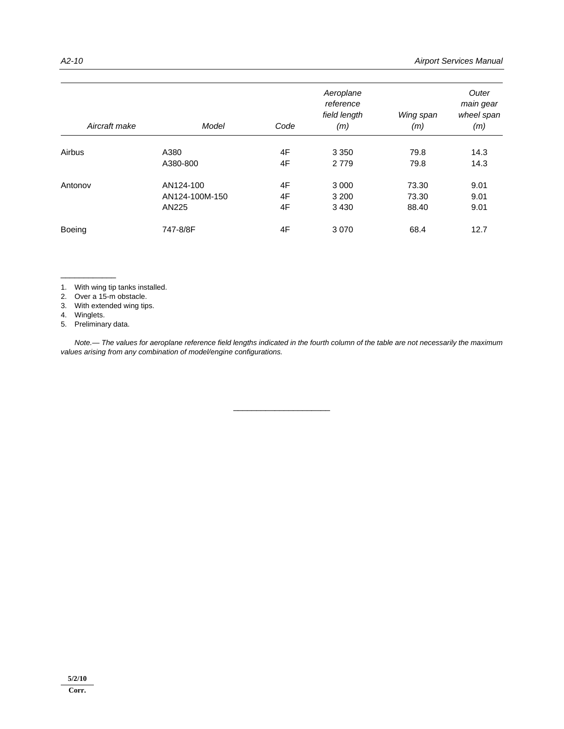| Aircraft make | Model          | Code | Aeroplane<br>reference<br>field length<br>(m) | Wing span<br>(m) | Outer<br>main gear<br>wheel span<br>(m) |
|---------------|----------------|------|-----------------------------------------------|------------------|-----------------------------------------|
| Airbus        | A380           | 4F   | 3 3 5 0                                       | 79.8             | 14.3                                    |
|               | A380-800       | 4F   | 2 7 7 9                                       | 79.8             | 14.3                                    |
| Antonov       | AN124-100      | 4F   | 3 0 0 0                                       | 73.30            | 9.01                                    |
|               | AN124-100M-150 | 4F   | 3 2 0 0                                       | 73.30            | 9.01                                    |
|               | AN225          | 4F   | 3 4 3 0                                       | 88.40            | 9.01                                    |
| <b>Boeing</b> | 747-8/8F       | 4F   | 3 0 7 0                                       | 68.4             | 12.7                                    |

1. With wing tip tanks installed.

2. Over a 15-m obstacle.

3. With extended wing tips.

4. Winglets.

5. Preliminary data.

\_\_\_\_\_\_\_\_\_\_\_\_

 *Note.— The values for aeroplane reference field lengths indicated in the fourth column of the table are not necessarily the maximum values arising from any combination of model/engine configurations.*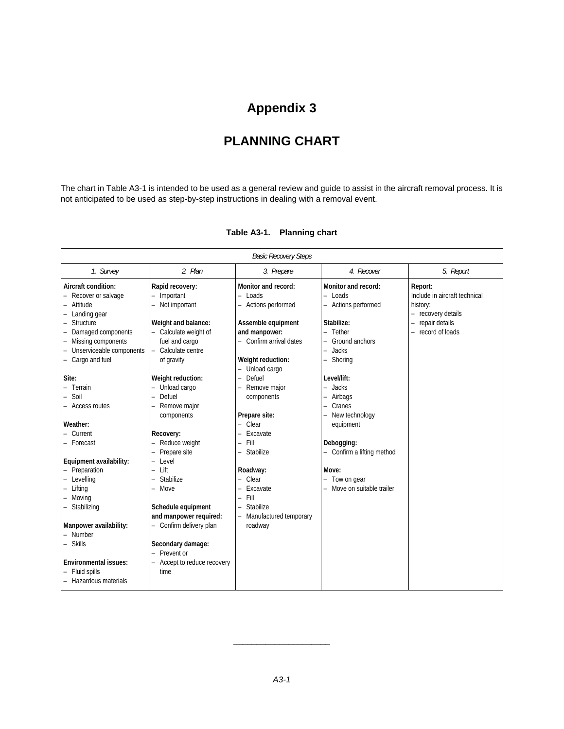# **PLANNING CHART**

The chart in Table A3-1 is intended to be used as a general review and guide to assist in the aircraft removal process. It is not anticipated to be used as step-by-step instructions in dealing with a removal event.

|                                                                                                                                                                                                                        | <b>Basic Recovery Steps</b>                                                                                                                                                                                                                       |                                                                                                                                                                |                                                                                                                                                                                   |                                                                                                                 |  |  |  |
|------------------------------------------------------------------------------------------------------------------------------------------------------------------------------------------------------------------------|---------------------------------------------------------------------------------------------------------------------------------------------------------------------------------------------------------------------------------------------------|----------------------------------------------------------------------------------------------------------------------------------------------------------------|-----------------------------------------------------------------------------------------------------------------------------------------------------------------------------------|-----------------------------------------------------------------------------------------------------------------|--|--|--|
| 1. Survey                                                                                                                                                                                                              | 2. Plan                                                                                                                                                                                                                                           | 3. Prepare                                                                                                                                                     | 4. Recover                                                                                                                                                                        | 5. Report                                                                                                       |  |  |  |
| Aircraft condition:<br>- Recover or salvage<br>Attitude<br>Landing gear<br>Structure<br>Damaged components<br>Missing components<br>Unserviceable components<br>- Cargo and fuel                                       | Rapid recovery:<br>Important<br>Not important<br>Weight and balance:<br>Calculate weight of<br>fuel and cargo<br>Calculate centre<br>of gravity                                                                                                   | Monitor and record:<br>- Loads<br>- Actions performed<br>Assemble equipment<br>and manpower:<br>- Confirm arrival dates<br>Weight reduction:<br>- Unload cargo | Monitor and record:<br>$-$ Loads<br>- Actions performed<br>Stabilize:<br>Tether<br>$\equiv$<br>Ground anchors<br>Jacks<br>$\equiv$<br>Shoring<br>$\overline{\phantom{0}}$         | Report:<br>Include in aircraft technical<br>history:<br>- recovery details<br>repair details<br>record of loads |  |  |  |
| Site:<br>Terrain<br>Soil<br>- Access routes<br>Weather:<br>Current<br>- Forecast                                                                                                                                       | Weight reduction:<br>Unload cargo<br>Defuel<br>$\equiv$<br>Remove major<br>components<br>Recovery:<br>Reduce weight<br>Prepare site<br>$\qquad \qquad -$                                                                                          | Defuel<br>-<br>Remove major<br>components<br>Prepare site:<br>- Clear<br>Excavate<br>Fill<br>÷,<br>Stabilize                                                   | Level/lift:<br>Jacks<br>$\equiv$<br>Airbags<br>$\qquad \qquad -$<br>Cranes<br>$\overline{\phantom{0}}$<br>New technology<br>equipment<br>Debogging:<br>- Confirm a lifting method |                                                                                                                 |  |  |  |
| Equipment availability:<br>- Preparation<br>Levelling<br>Lifting<br>Moving<br>- Stabilizing<br>Manpower availability:<br>- Number<br>- Skills<br><b>Environmental issues:</b><br>Fluid spills<br>- Hazardous materials | Level<br>$\equiv$<br>Lift<br>$\equiv$<br>Stabilize<br>$\equiv$<br>Move<br>$\equiv$<br>Schedule equipment<br>and manpower required:<br>- Confirm delivery plan<br>Secondary damage:<br>Prevent or<br>$\equiv$<br>Accept to reduce recovery<br>time | Roadway:<br>- Clear<br>Excavate<br>Fill<br>$\overline{\phantom{0}}$<br><b>Stabilize</b><br>$\overline{\phantom{0}}$<br>Manufactured temporary<br>÷,<br>roadway | Move:<br>Tow on gear<br>Move on suitable trailer                                                                                                                                  |                                                                                                                 |  |  |  |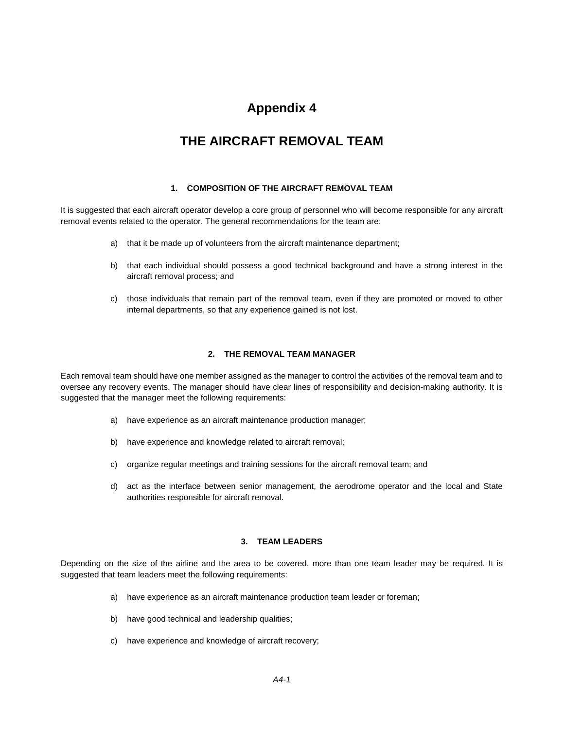## **THE AIRCRAFT REMOVAL TEAM**

## **1. COMPOSITION OF THE AIRCRAFT REMOVAL TEAM**

It is suggested that each aircraft operator develop a core group of personnel who will become responsible for any aircraft removal events related to the operator. The general recommendations for the team are:

- a) that it be made up of volunteers from the aircraft maintenance department;
- b) that each individual should possess a good technical background and have a strong interest in the aircraft removal process; and
- c) those individuals that remain part of the removal team, even if they are promoted or moved to other internal departments, so that any experience gained is not lost.

### **2. THE REMOVAL TEAM MANAGER**

Each removal team should have one member assigned as the manager to control the activities of the removal team and to oversee any recovery events. The manager should have clear lines of responsibility and decision-making authority. It is suggested that the manager meet the following requirements:

- a) have experience as an aircraft maintenance production manager;
- b) have experience and knowledge related to aircraft removal;
- c) organize regular meetings and training sessions for the aircraft removal team; and
- d) act as the interface between senior management, the aerodrome operator and the local and State authorities responsible for aircraft removal.

## **3. TEAM LEADERS**

Depending on the size of the airline and the area to be covered, more than one team leader may be required. It is suggested that team leaders meet the following requirements:

- a) have experience as an aircraft maintenance production team leader or foreman;
- b) have good technical and leadership qualities;
- c) have experience and knowledge of aircraft recovery;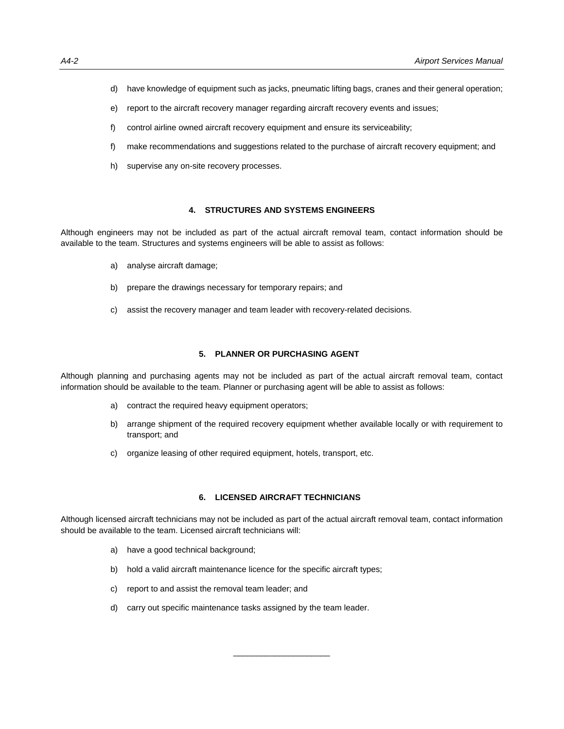- d) have knowledge of equipment such as jacks, pneumatic lifting bags, cranes and their general operation;
- e) report to the aircraft recovery manager regarding aircraft recovery events and issues;
- f) control airline owned aircraft recovery equipment and ensure its serviceability;
- f) make recommendations and suggestions related to the purchase of aircraft recovery equipment; and
- h) supervise any on-site recovery processes.

### **4. STRUCTURES AND SYSTEMS ENGINEERS**

Although engineers may not be included as part of the actual aircraft removal team, contact information should be available to the team. Structures and systems engineers will be able to assist as follows:

- a) analyse aircraft damage;
- b) prepare the drawings necessary for temporary repairs; and
- c) assist the recovery manager and team leader with recovery-related decisions.

### **5. PLANNER OR PURCHASING AGENT**

Although planning and purchasing agents may not be included as part of the actual aircraft removal team, contact information should be available to the team. Planner or purchasing agent will be able to assist as follows:

- a) contract the required heavy equipment operators;
- b) arrange shipment of the required recovery equipment whether available locally or with requirement to transport; and
- c) organize leasing of other required equipment, hotels, transport, etc.

### **6. LICENSED AIRCRAFT TECHNICIANS**

Although licensed aircraft technicians may not be included as part of the actual aircraft removal team, contact information should be available to the team. Licensed aircraft technicians will:

- a) have a good technical background;
- b) hold a valid aircraft maintenance licence for the specific aircraft types;
- c) report to and assist the removal team leader; and
- d) carry out specific maintenance tasks assigned by the team leader.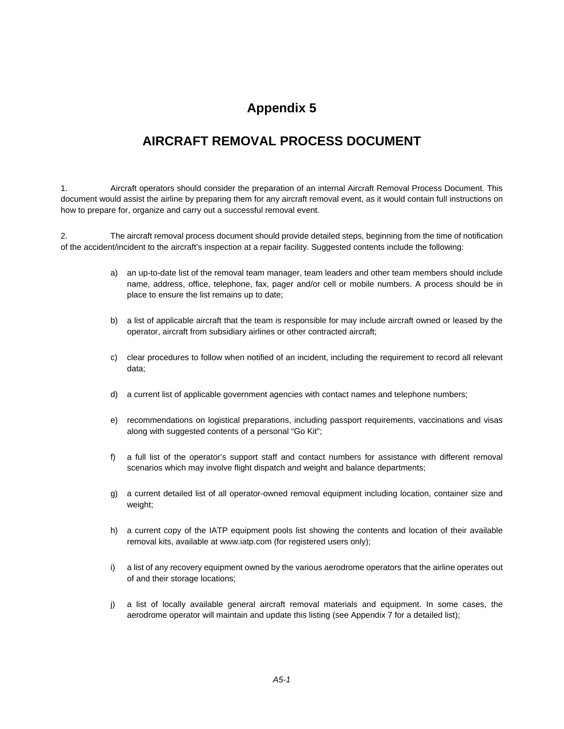## **AIRCRAFT REMOVAL PROCESS DOCUMENT**

1. Aircraft operators should consider the preparation of an internal Aircraft Removal Process Document. This document would assist the airline by preparing them for any aircraft removal event, as it would contain full instructions on how to prepare for, organize and carry out a successful removal event.

2. The aircraft removal process document should provide detailed steps, beginning from the time of notification of the accident/incident to the aircraft's inspection at a repair facility. Suggested contents include the following:

- a) an up-to-date list of the removal team manager, team leaders and other team members should include name, address, office, telephone, fax, pager and/or cell or mobile numbers. A process should be in place to ensure the list remains up to date;
- b) a list of applicable aircraft that the team is responsible for may include aircraft owned or leased by the operator, aircraft from subsidiary airlines or other contracted aircraft;
- c) clear procedures to follow when notified of an incident, including the requirement to record all relevant data;
- d) a current list of applicable government agencies with contact names and telephone numbers;
- e) recommendations on logistical preparations, including passport requirements, vaccinations and visas along with suggested contents of a personal "Go Kit";
- f) a full list of the operator's support staff and contact numbers for assistance with different removal scenarios which may involve flight dispatch and weight and balance departments;
- g) a current detailed list of all operator-owned removal equipment including location, container size and weight;
- h) a current copy of the IATP equipment pools list showing the contents and location of their available removal kits, available at www.iatp.com (for registered users only);
- i) a list of any recovery equipment owned by the various aerodrome operators that the airline operates out of and their storage locations;
- j) a list of locally available general aircraft removal materials and equipment. In some cases, the aerodrome operator will maintain and update this listing (see Appendix 7 for a detailed list);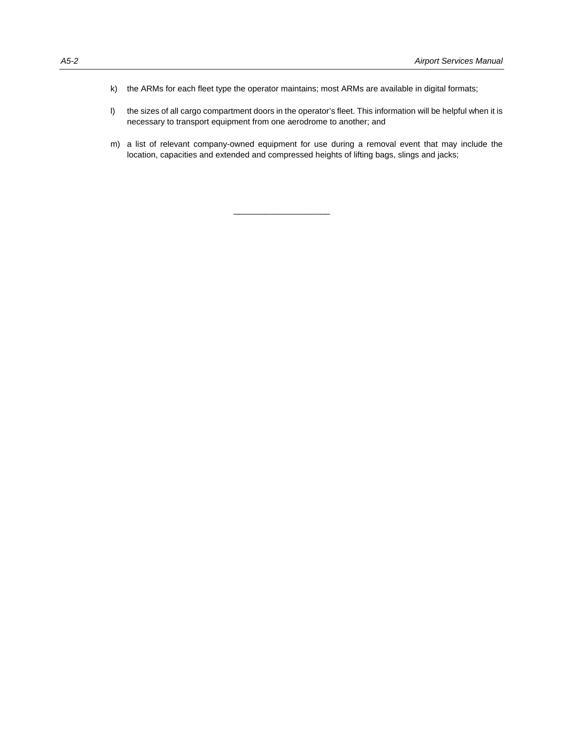- k) the ARMs for each fleet type the operator maintains; most ARMs are available in digital formats;
- l) the sizes of all cargo compartment doors in the operator's fleet. This information will be helpful when it is necessary to transport equipment from one aerodrome to another; and
- m) a list of relevant company-owned equipment for use during a removal event that may include the location, capacities and extended and compressed heights of lifting bags, slings and jacks;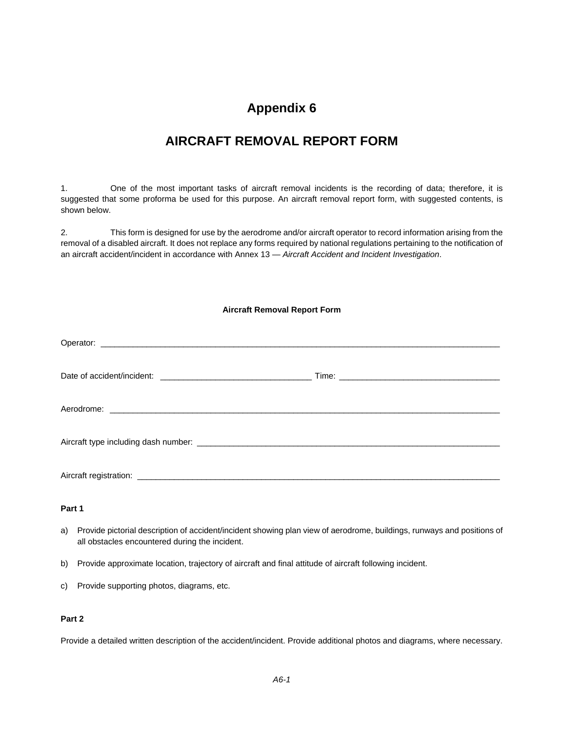## **AIRCRAFT REMOVAL REPORT FORM**

1. One of the most important tasks of aircraft removal incidents is the recording of data; therefore, it is suggested that some proforma be used for this purpose. An aircraft removal report form, with suggested contents, is shown below.

2. This form is designed for use by the aerodrome and/or aircraft operator to record information arising from the removal of a disabled aircraft. It does not replace any forms required by national regulations pertaining to the notification of an aircraft accident/incident in accordance with Annex 13 — *Aircraft Accident and Incident Investigation*.

## **Aircraft Removal Report Form**

## **Part 1**

- a) Provide pictorial description of accident/incident showing plan view of aerodrome, buildings, runways and positions of all obstacles encountered during the incident.
- b) Provide approximate location, trajectory of aircraft and final attitude of aircraft following incident.
- c) Provide supporting photos, diagrams, etc.

## **Part 2**

Provide a detailed written description of the accident/incident. Provide additional photos and diagrams, where necessary.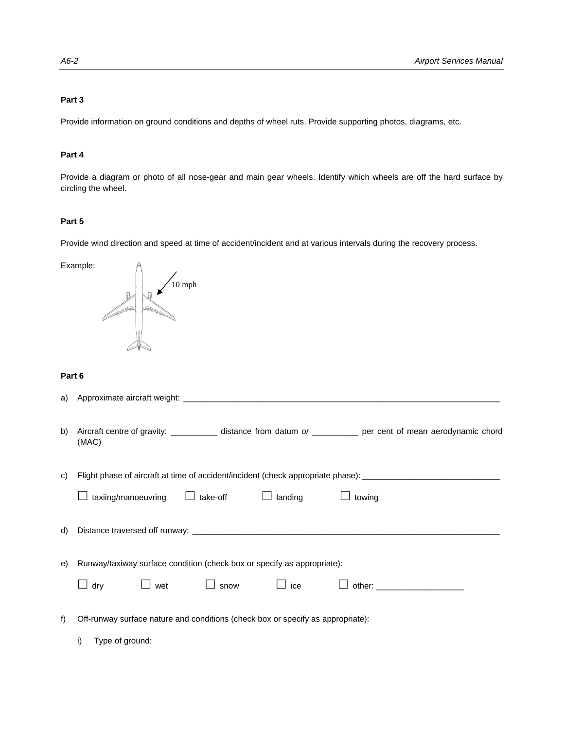## **Part 3**

Provide information on ground conditions and depths of wheel ruts. Provide supporting photos, diagrams, etc.

### **Part 4**

Provide a diagram or photo of all nose-gear and main gear wheels. Identify which wheels are off the hard surface by circling the wheel.

## **Part 5**

Provide wind direction and speed at time of accident/incident and at various intervals during the recovery process.

Example:

10 mph

### **Part 6**

| b) | Aircraft centre of gravity: ____________ distance from datum or ___________ per cent of mean aerodynamic chord<br>(MAC) |  |  |
|----|-------------------------------------------------------------------------------------------------------------------------|--|--|
| C) | Flight phase of aircraft at time of accident/incident (check appropriate phase): ____________________________           |  |  |
|    | $\text{taxiing/manoeuvring} \quad \Box \text{take-off} \quad \Box \text{landing} \quad \Box \text{towing}$              |  |  |
| d) |                                                                                                                         |  |  |
| e) | Runway/taxiway surface condition (check box or specify as appropriate):                                                 |  |  |
|    | dry □ wet □ snow □ ice                                                                                                  |  |  |
| f  | Off-runway surface nature and conditions (check box or specify as appropriate):                                         |  |  |
|    | i)<br>Type of ground:                                                                                                   |  |  |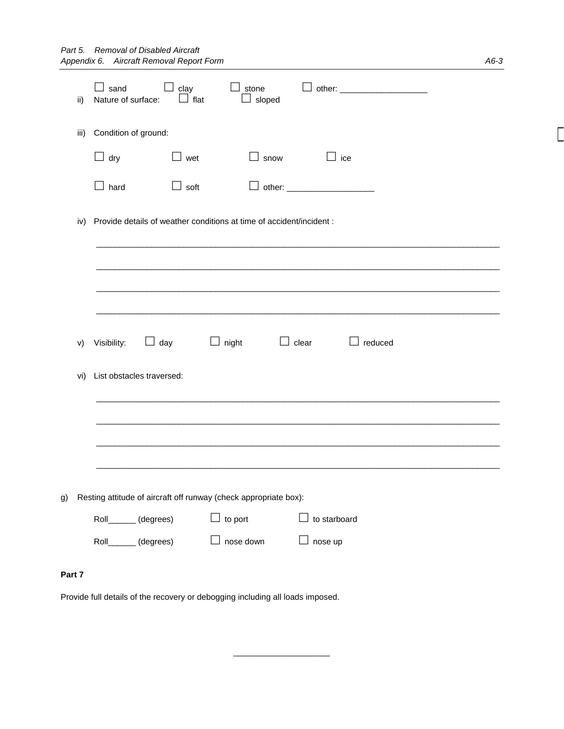|        | ii)  | sand<br>Nature of surface:                                          | clay<br>$\Box$ flat | stone<br>$\Box$ sloped                                           |                  |  |
|--------|------|---------------------------------------------------------------------|---------------------|------------------------------------------------------------------|------------------|--|
|        | iii) | Condition of ground:                                                |                     |                                                                  |                  |  |
|        |      | $\Box$ dry                                                          | wet                 | $\Box$ snow                                                      | $\perp$ ice      |  |
|        |      | $\Box$ hard                                                         | soft                |                                                                  |                  |  |
|        | iv)  | Provide details of weather conditions at time of accident/incident: |                     |                                                                  |                  |  |
|        |      |                                                                     |                     |                                                                  |                  |  |
|        |      |                                                                     |                     |                                                                  |                  |  |
|        | V)   | Visibility:                                                         | $\Box$ day          | $\Box$ night                                                     | clear<br>reduced |  |
|        | vi)  | List obstacles traversed:                                           |                     |                                                                  |                  |  |
|        |      |                                                                     |                     |                                                                  |                  |  |
|        |      |                                                                     |                     |                                                                  |                  |  |
| g)     |      |                                                                     |                     | Resting attitude of aircraft off runway (check appropriate box): |                  |  |
|        |      | Roll______(degrees)                                                 |                     | $\Box$ to port                                                   | to starboard     |  |
|        |      | Roll______(degrees)                                                 |                     | nose down                                                        | nose up          |  |
| Part 7 |      |                                                                     |                     |                                                                  |                  |  |

\_\_\_\_\_\_\_\_\_\_\_\_\_\_\_\_\_\_\_\_\_

Provide full details of the recovery or debogging including all loads imposed.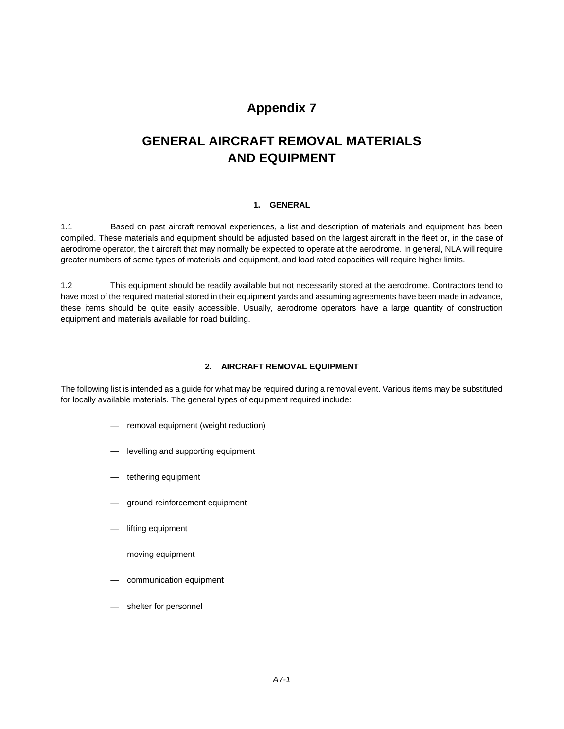## **GENERAL AIRCRAFT REMOVAL MATERIALS AND EQUIPMENT**

## **1. GENERAL**

1.1 Based on past aircraft removal experiences, a list and description of materials and equipment has been compiled. These materials and equipment should be adjusted based on the largest aircraft in the fleet or, in the case of aerodrome operator, the t aircraft that may normally be expected to operate at the aerodrome. In general, NLA will require greater numbers of some types of materials and equipment, and load rated capacities will require higher limits.

1.2 This equipment should be readily available but not necessarily stored at the aerodrome. Contractors tend to have most of the required material stored in their equipment yards and assuming agreements have been made in advance, these items should be quite easily accessible. Usually, aerodrome operators have a large quantity of construction equipment and materials available for road building.

### **2. AIRCRAFT REMOVAL EQUIPMENT**

The following list is intended as a guide for what may be required during a removal event. Various items may be substituted for locally available materials. The general types of equipment required include:

- removal equipment (weight reduction)
- levelling and supporting equipment
- tethering equipment
- ground reinforcement equipment
- lifting equipment
- moving equipment
- communication equipment
- shelter for personnel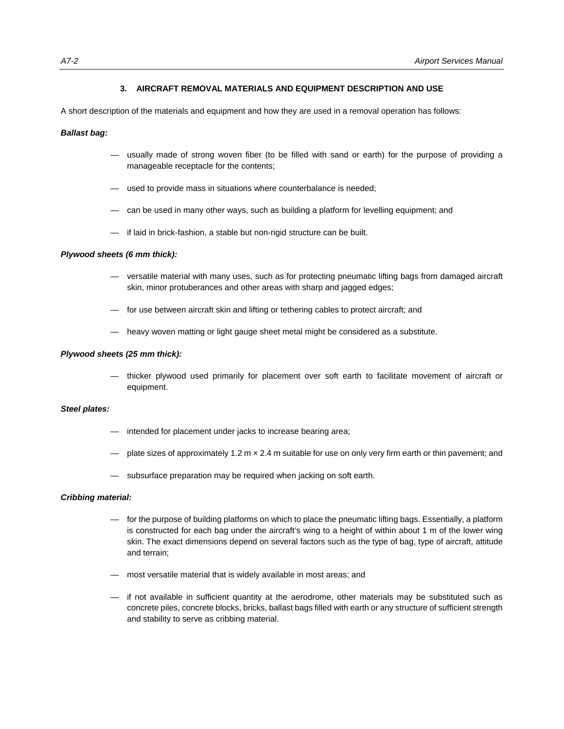### **3. AIRCRAFT REMOVAL MATERIALS AND EQUIPMENT DESCRIPTION AND USE**

A short description of the materials and equipment and how they are used in a removal operation has follows:

#### *Ballast bag:*

- usually made of strong woven fiber (to be filled with sand or earth) for the purpose of providing a manageable receptacle for the contents;
- used to provide mass in situations where counterbalance is needed;
- can be used in many other ways, such as building a platform for levelling equipment; and
- if laid in brick-fashion, a stable but non-rigid structure can be built.

#### *Plywood sheets (6 mm thick):*

- versatile material with many uses, such as for protecting pneumatic lifting bags from damaged aircraft skin, minor protuberances and other areas with sharp and jagged edges;
- for use between aircraft skin and lifting or tethering cables to protect aircraft; and
- heavy woven matting or light gauge sheet metal might be considered as a substitute.

#### *Plywood sheets (25 mm thick):*

 — thicker plywood used primarily for placement over soft earth to facilitate movement of aircraft or equipment.

### *Steel plates:*

- intended for placement under jacks to increase bearing area;
- plate sizes of approximately 1.2 m x 2.4 m suitable for use on only very firm earth or thin pavement; and
- subsurface preparation may be required when jacking on soft earth.

#### *Cribbing material:*

- for the purpose of building platforms on which to place the pneumatic lifting bags. Essentially, a platform is constructed for each bag under the aircraft's wing to a height of within about 1 m of the lower wing skin. The exact dimensions depend on several factors such as the type of bag, type of aircraft, attitude and terrain;
- most versatile material that is widely available in most areas; and
- if not available in sufficient quantity at the aerodrome, other materials may be substituted such as concrete piles, concrete blocks, bricks, ballast bags filled with earth or any structure of sufficient strength and stability to serve as cribbing material.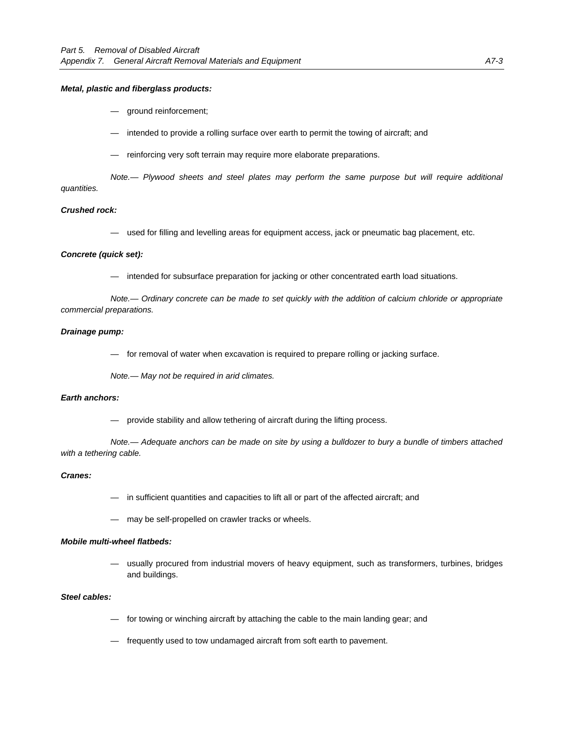#### *Metal, plastic and fiberglass products:*

- ground reinforcement;
- intended to provide a rolling surface over earth to permit the towing of aircraft; and
- reinforcing very soft terrain may require more elaborate preparations.

 *Note.— Plywood sheets and steel plates may perform the same purpose but will require additional quantities.* 

#### *Crushed rock:*

— used for filling and levelling areas for equipment access, jack or pneumatic bag placement, etc.

#### *Concrete (quick set):*

— intended for subsurface preparation for jacking or other concentrated earth load situations.

*Note.— Ordinary concrete can be made to set quickly with the addition of calcium chloride or appropriate commercial preparations.* 

#### *Drainage pump:*

— for removal of water when excavation is required to prepare rolling or jacking surface.

*Note.— May not be required in arid climates.* 

#### *Earth anchors:*

— provide stability and allow tethering of aircraft during the lifting process.

 *Note.— Adequate anchors can be made on site by using a bulldozer to bury a bundle of timbers attached with a tethering cable.* 

#### *Cranes:*

- in sufficient quantities and capacities to lift all or part of the affected aircraft; and
- may be self-propelled on crawler tracks or wheels.

#### *Mobile multi-wheel flatbeds:*

 — usually procured from industrial movers of heavy equipment, such as transformers, turbines, bridges and buildings.

### *Steel cables:*

- for towing or winching aircraft by attaching the cable to the main landing gear; and
- frequently used to tow undamaged aircraft from soft earth to pavement.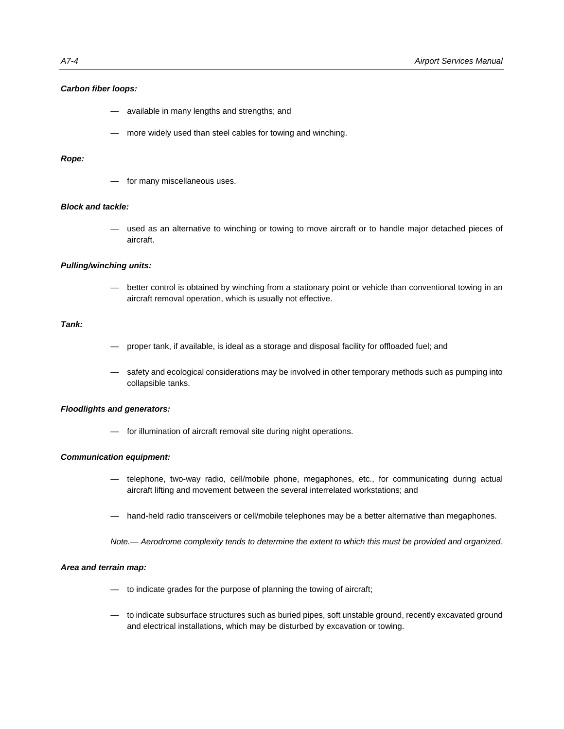#### *Carbon fiber loops:*

- available in many lengths and strengths; and
- more widely used than steel cables for towing and winching.

#### *Rope:*

for many miscellaneous uses.

#### *Block and tackle:*

 — used as an alternative to winching or towing to move aircraft or to handle major detached pieces of aircraft.

#### *Pulling/winching units:*

better control is obtained by winching from a stationary point or vehicle than conventional towing in an aircraft removal operation, which is usually not effective.

### *Tank:*

- proper tank, if available, is ideal as a storage and disposal facility for offloaded fuel; and
- safety and ecological considerations may be involved in other temporary methods such as pumping into collapsible tanks.

#### *Floodlights and generators:*

— for illumination of aircraft removal site during night operations.

#### *Communication equipment:*

- telephone, two-way radio, cell/mobile phone, megaphones, etc., for communicating during actual aircraft lifting and movement between the several interrelated workstations; and
- hand-held radio transceivers or cell/mobile telephones may be a better alternative than megaphones.

 *Note.— Aerodrome complexity tends to determine the extent to which this must be provided and organized.* 

#### *Area and terrain map:*

- to indicate grades for the purpose of planning the towing of aircraft;
- to indicate subsurface structures such as buried pipes, soft unstable ground, recently excavated ground and electrical installations, which may be disturbed by excavation or towing.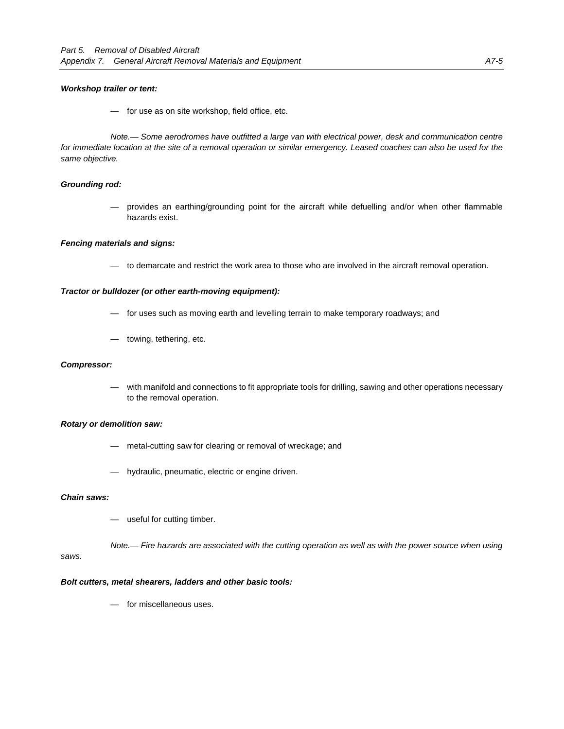#### *Workshop trailer or tent:*

— for use as on site workshop, field office, etc.

 *Note.— Some aerodromes have outfitted a large van with electrical power, desk and communication centre*  for immediate location at the site of a removal operation or similar emergency. Leased coaches can also be used for the *same objective.* 

#### *Grounding rod:*

 — provides an earthing/grounding point for the aircraft while defuelling and/or when other flammable hazards exist.

#### *Fencing materials and signs:*

— to demarcate and restrict the work area to those who are involved in the aircraft removal operation.

## *Tractor or bulldozer (or other earth-moving equipment):*

- for uses such as moving earth and levelling terrain to make temporary roadways; and
- towing, tethering, etc.

#### *Compressor:*

with manifold and connections to fit appropriate tools for drilling, sawing and other operations necessary to the removal operation.

#### *Rotary or demolition saw:*

- metal-cutting saw for clearing or removal of wreckage; and
- hydraulic, pneumatic, electric or engine driven.

#### *Chain saws:*

— useful for cutting timber.

 *Note.— Fire hazards are associated with the cutting operation as well as with the power source when using* 

### *saws.*

#### *Bolt cutters, metal shearers, ladders and other basic tools:*

— for miscellaneous uses.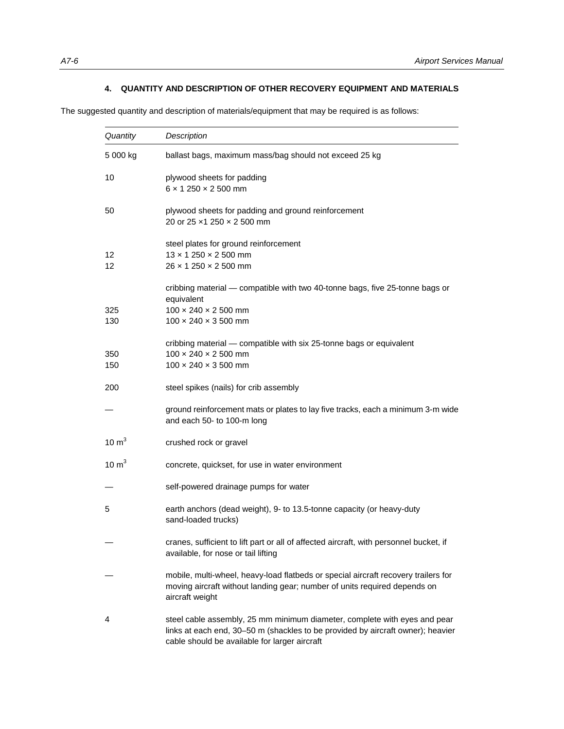## **4. QUANTITY AND DESCRIPTION OF OTHER RECOVERY EQUIPMENT AND MATERIALS**

The suggested quantity and description of materials/equipment that may be required is as follows:

| Quantity         | Description                                                                                                                                                                                                   |
|------------------|---------------------------------------------------------------------------------------------------------------------------------------------------------------------------------------------------------------|
| 5 000 kg         | ballast bags, maximum mass/bag should not exceed 25 kg                                                                                                                                                        |
| 10               | plywood sheets for padding<br>$6 \times 1250 \times 2500$ mm                                                                                                                                                  |
| 50               | plywood sheets for padding and ground reinforcement<br>20 or 25 x1 250 x 2 500 mm                                                                                                                             |
| 12<br>12         | steel plates for ground reinforcement<br>$13 \times 1250 \times 2500$ mm<br>$26 \times 1250 \times 2500$ mm                                                                                                   |
| 325<br>130       | cribbing material - compatible with two 40-tonne bags, five 25-tonne bags or<br>equivalent<br>$100 \times 240 \times 2500$ mm<br>$100 \times 240 \times 3500$ mm                                              |
| 350<br>150       | cribbing material - compatible with six 25-tonne bags or equivalent<br>$100 \times 240 \times 2500$ mm<br>$100 \times 240 \times 3500$ mm                                                                     |
| 200              | steel spikes (nails) for crib assembly                                                                                                                                                                        |
|                  | ground reinforcement mats or plates to lay five tracks, each a minimum 3-m wide<br>and each 50- to 100-m long                                                                                                 |
| $10 \text{ m}^3$ | crushed rock or gravel                                                                                                                                                                                        |
| $10 \text{ m}^3$ | concrete, quickset, for use in water environment                                                                                                                                                              |
|                  | self-powered drainage pumps for water                                                                                                                                                                         |
| 5                | earth anchors (dead weight), 9- to 13.5-tonne capacity (or heavy-duty<br>sand-loaded trucks)                                                                                                                  |
|                  | cranes, sufficient to lift part or all of affected aircraft, with personnel bucket, if<br>available, for nose or tail lifting                                                                                 |
|                  | mobile, multi-wheel, heavy-load flatbeds or special aircraft recovery trailers for<br>moving aircraft without landing gear; number of units required depends on<br>aircraft weight                            |
| 4                | steel cable assembly, 25 mm minimum diameter, complete with eyes and pear<br>links at each end, 30-50 m (shackles to be provided by aircraft owner); heavier<br>cable should be available for larger aircraft |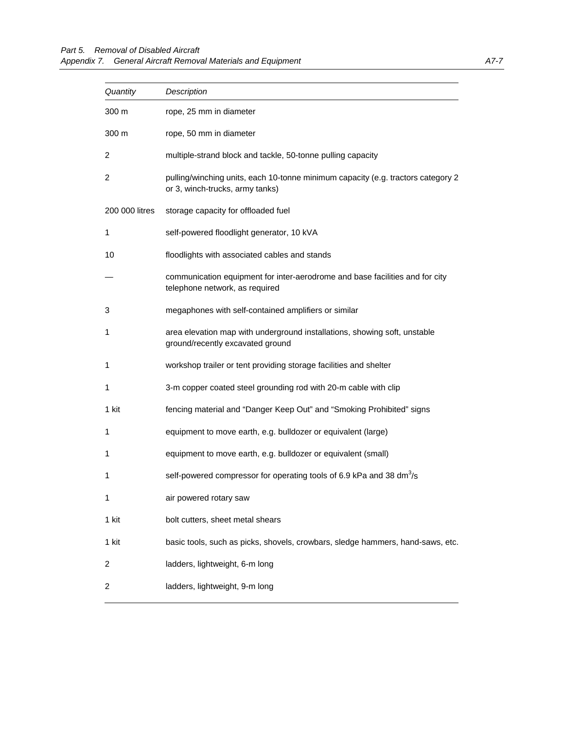| Quantity       | Description                                                                                                         |  |
|----------------|---------------------------------------------------------------------------------------------------------------------|--|
| 300 m          | rope, 25 mm in diameter                                                                                             |  |
| 300 m          | rope, 50 mm in diameter                                                                                             |  |
| 2              | multiple-strand block and tackle, 50-tonne pulling capacity                                                         |  |
| 2              | pulling/winching units, each 10-tonne minimum capacity (e.g. tractors category 2<br>or 3, winch-trucks, army tanks) |  |
| 200 000 litres | storage capacity for offloaded fuel                                                                                 |  |
| 1              | self-powered floodlight generator, 10 kVA                                                                           |  |
| 10             | floodlights with associated cables and stands                                                                       |  |
|                | communication equipment for inter-aerodrome and base facilities and for city<br>telephone network, as required      |  |
| 3              | megaphones with self-contained amplifiers or similar                                                                |  |
| 1              | area elevation map with underground installations, showing soft, unstable<br>ground/recently excavated ground       |  |
| 1              | workshop trailer or tent providing storage facilities and shelter                                                   |  |
| 1              | 3-m copper coated steel grounding rod with 20-m cable with clip                                                     |  |
| 1 kit          | fencing material and "Danger Keep Out" and "Smoking Prohibited" signs                                               |  |
| 1              | equipment to move earth, e.g. bulldozer or equivalent (large)                                                       |  |
| 1              | equipment to move earth, e.g. bulldozer or equivalent (small)                                                       |  |
| 1              | self-powered compressor for operating tools of 6.9 kPa and 38 dm <sup>3</sup> /s                                    |  |
| 1              | air powered rotary saw                                                                                              |  |
| 1 kit          | bolt cutters, sheet metal shears                                                                                    |  |
| 1 kit          | basic tools, such as picks, shovels, crowbars, sledge hammers, hand-saws, etc.                                      |  |
| 2              | ladders, lightweight, 6-m long                                                                                      |  |
| 2              | ladders, lightweight, 9-m long                                                                                      |  |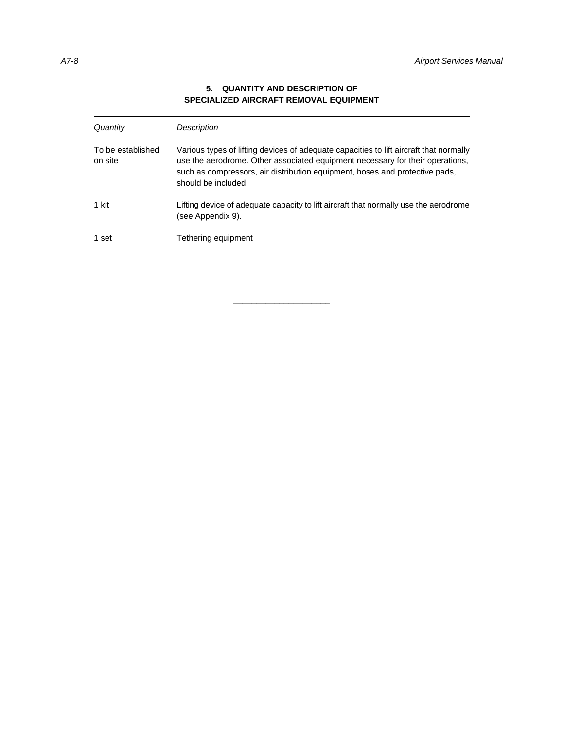| Quantity                     | Description                                                                                                                                                                                                                                                                   |
|------------------------------|-------------------------------------------------------------------------------------------------------------------------------------------------------------------------------------------------------------------------------------------------------------------------------|
| To be established<br>on site | Various types of lifting devices of adequate capacities to lift aircraft that normally<br>use the aerodrome. Other associated equipment necessary for their operations,<br>such as compressors, air distribution equipment, hoses and protective pads,<br>should be included. |
| 1 kit                        | Lifting device of adequate capacity to lift aircraft that normally use the aerodrome<br>(see Appendix 9).                                                                                                                                                                     |
| 1 set                        | Tethering equipment                                                                                                                                                                                                                                                           |

\_\_\_\_\_\_\_\_\_\_\_\_\_\_\_\_\_\_\_\_\_

## **5. QUANTITY AND DESCRIPTION OF SPECIALIZED AIRCRAFT REMOVAL EQUIPMENT**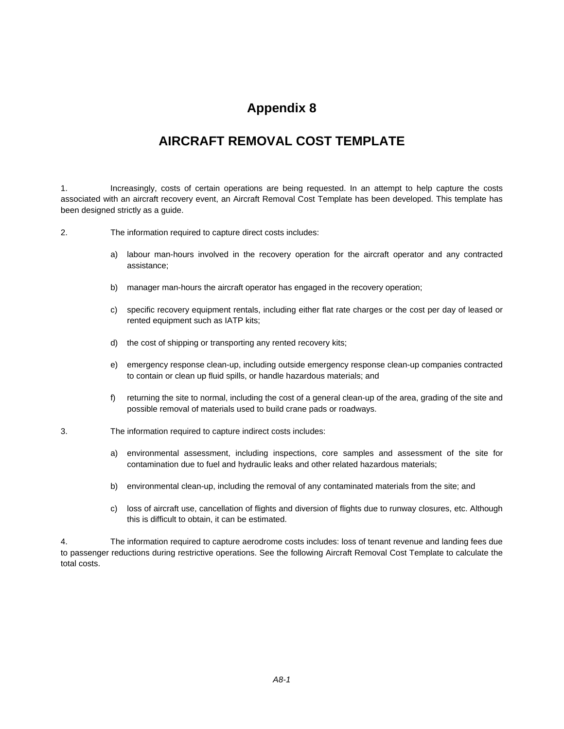## **AIRCRAFT REMOVAL COST TEMPLATE**

1. Increasingly, costs of certain operations are being requested. In an attempt to help capture the costs associated with an aircraft recovery event, an Aircraft Removal Cost Template has been developed. This template has been designed strictly as a guide.

2. The information required to capture direct costs includes:

- a) labour man-hours involved in the recovery operation for the aircraft operator and any contracted assistance;
- b) manager man-hours the aircraft operator has engaged in the recovery operation;
- c) specific recovery equipment rentals, including either flat rate charges or the cost per day of leased or rented equipment such as IATP kits;
- d) the cost of shipping or transporting any rented recovery kits;
- e) emergency response clean-up, including outside emergency response clean-up companies contracted to contain or clean up fluid spills, or handle hazardous materials; and
- f) returning the site to normal, including the cost of a general clean-up of the area, grading of the site and possible removal of materials used to build crane pads or roadways.
- 3. The information required to capture indirect costs includes:
	- a) environmental assessment, including inspections, core samples and assessment of the site for contamination due to fuel and hydraulic leaks and other related hazardous materials;
	- b) environmental clean-up, including the removal of any contaminated materials from the site; and
	- c) loss of aircraft use, cancellation of flights and diversion of flights due to runway closures, etc. Although this is difficult to obtain, it can be estimated.

4. The information required to capture aerodrome costs includes: loss of tenant revenue and landing fees due to passenger reductions during restrictive operations. See the following Aircraft Removal Cost Template to calculate the total costs.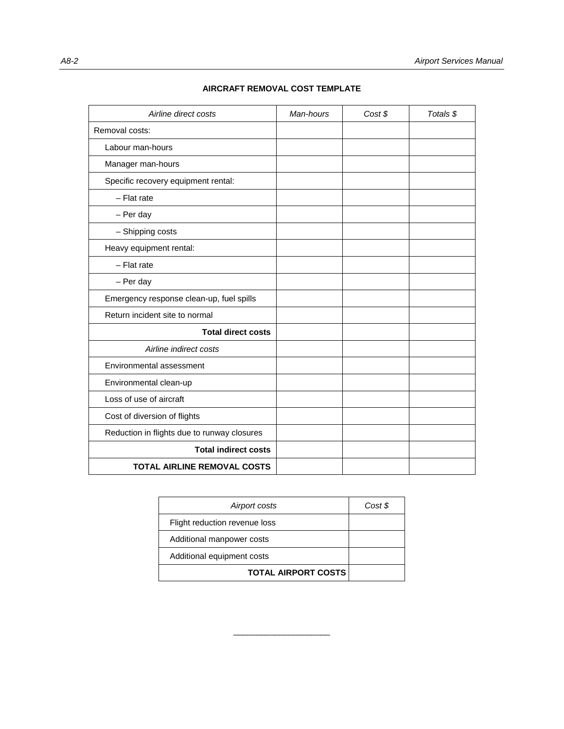| Airline direct costs                        | Man-hours | Cost \$ | Totals \$ |
|---------------------------------------------|-----------|---------|-----------|
| Removal costs:                              |           |         |           |
| Labour man-hours                            |           |         |           |
| Manager man-hours                           |           |         |           |
| Specific recovery equipment rental:         |           |         |           |
| $-$ Flat rate                               |           |         |           |
| - Per day                                   |           |         |           |
| - Shipping costs                            |           |         |           |
| Heavy equipment rental:                     |           |         |           |
| $-$ Flat rate                               |           |         |           |
| - Per day                                   |           |         |           |
| Emergency response clean-up, fuel spills    |           |         |           |
| Return incident site to normal              |           |         |           |
| <b>Total direct costs</b>                   |           |         |           |
| Airline indirect costs                      |           |         |           |
| Environmental assessment                    |           |         |           |
| Environmental clean-up                      |           |         |           |
| Loss of use of aircraft                     |           |         |           |
| Cost of diversion of flights                |           |         |           |
| Reduction in flights due to runway closures |           |         |           |
| <b>Total indirect costs</b>                 |           |         |           |
| <b>TOTAL AIRLINE REMOVAL COSTS</b>          |           |         |           |

## **AIRCRAFT REMOVAL COST TEMPLATE**

| Cost \$ |
|---------|
|         |
|         |
|         |
|         |
|         |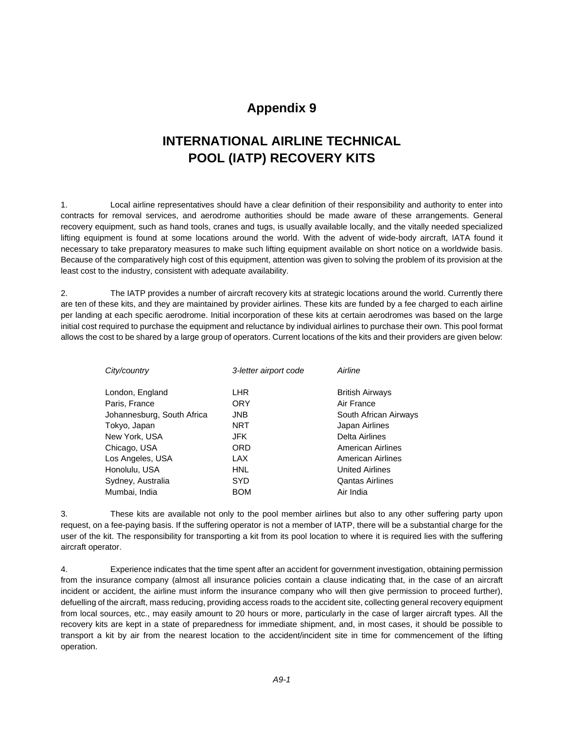#### **Appendix 9**

### **INTERNATIONAL AIRLINE TECHNICAL POOL (IATP) RECOVERY KITS**

1. Local airline representatives should have a clear definition of their responsibility and authority to enter into contracts for removal services, and aerodrome authorities should be made aware of these arrangements. General recovery equipment, such as hand tools, cranes and tugs, is usually available locally, and the vitally needed specialized lifting equipment is found at some locations around the world. With the advent of wide-body aircraft, IATA found it necessary to take preparatory measures to make such lifting equipment available on short notice on a worldwide basis. Because of the comparatively high cost of this equipment, attention was given to solving the problem of its provision at the least cost to the industry, consistent with adequate availability.

2. The IATP provides a number of aircraft recovery kits at strategic locations around the world. Currently there are ten of these kits, and they are maintained by provider airlines. These kits are funded by a fee charged to each airline per landing at each specific aerodrome. Initial incorporation of these kits at certain aerodromes was based on the large initial cost required to purchase the equipment and reluctance by individual airlines to purchase their own. This pool format allows the cost to be shared by a large group of operators. Current locations of the kits and their providers are given below:

| 3-letter airport code | Airline                |
|-----------------------|------------------------|
| <b>LHR</b>            | <b>British Airways</b> |
| <b>ORY</b>            | Air France             |
| <b>JNB</b>            | South African Airways  |
| <b>NRT</b>            | Japan Airlines         |
| JFK                   | <b>Delta Airlines</b>  |
| <b>ORD</b>            | American Airlines      |
| <b>LAX</b>            | American Airlines      |
| <b>HNL</b>            | <b>United Airlines</b> |
| <b>SYD</b>            | <b>Qantas Airlines</b> |
| <b>BOM</b>            | Air India              |
|                       |                        |

3. These kits are available not only to the pool member airlines but also to any other suffering party upon request, on a fee-paying basis. If the suffering operator is not a member of IATP, there will be a substantial charge for the user of the kit. The responsibility for transporting a kit from its pool location to where it is required lies with the suffering aircraft operator.

4. Experience indicates that the time spent after an accident for government investigation, obtaining permission from the insurance company (almost all insurance policies contain a clause indicating that, in the case of an aircraft incident or accident, the airline must inform the insurance company who will then give permission to proceed further), defuelling of the aircraft, mass reducing, providing access roads to the accident site, collecting general recovery equipment from local sources, etc., may easily amount to 20 hours or more, particularly in the case of larger aircraft types. All the recovery kits are kept in a state of preparedness for immediate shipment, and, in most cases, it should be possible to transport a kit by air from the nearest location to the accident/incident site in time for commencement of the lifting operation.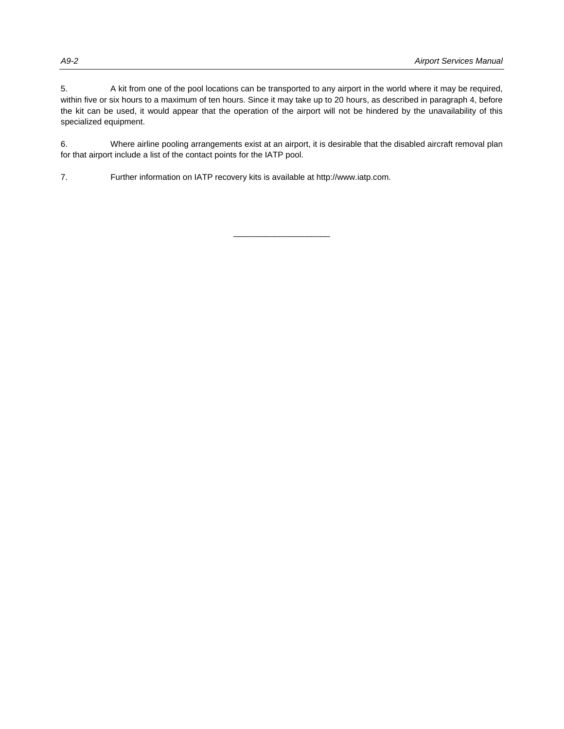5. A kit from one of the pool locations can be transported to any airport in the world where it may be required, within five or six hours to a maximum of ten hours. Since it may take up to 20 hours, as described in paragraph 4, before the kit can be used, it would appear that the operation of the airport will not be hindered by the unavailability of this specialized equipment.

6. Where airline pooling arrangements exist at an airport, it is desirable that the disabled aircraft removal plan for that airport include a list of the contact points for the IATP pool.

7. Further information on IATP recovery kits is available at http://www.iatp.com.

\_\_\_\_\_\_\_\_\_\_\_\_\_\_\_\_\_\_\_\_\_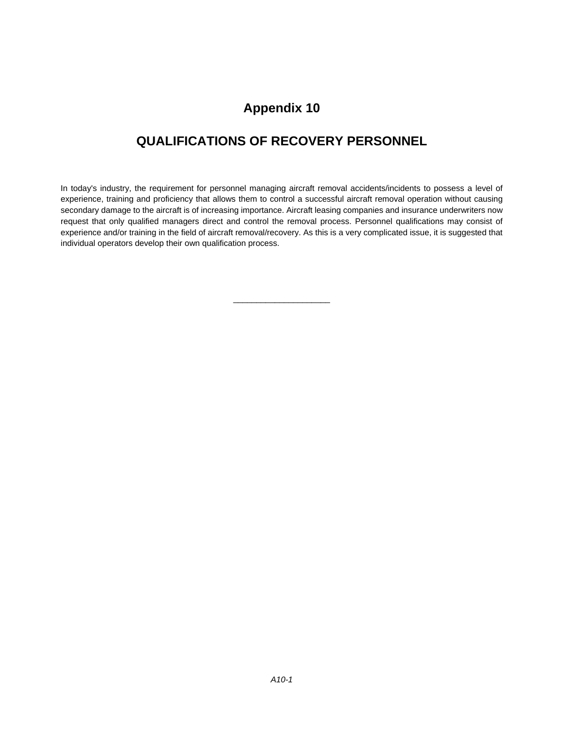#### **Appendix 10**

### **QUALIFICATIONS OF RECOVERY PERSONNEL**

In today's industry, the requirement for personnel managing aircraft removal accidents/incidents to possess a level of experience, training and proficiency that allows them to control a successful aircraft removal operation without causing secondary damage to the aircraft is of increasing importance. Aircraft leasing companies and insurance underwriters now request that only qualified managers direct and control the removal process. Personnel qualifications may consist of experience and/or training in the field of aircraft removal/recovery. As this is a very complicated issue, it is suggested that individual operators develop their own qualification process.

\_\_\_\_\_\_\_\_\_\_\_\_\_\_\_\_\_\_\_\_\_

*A10-1*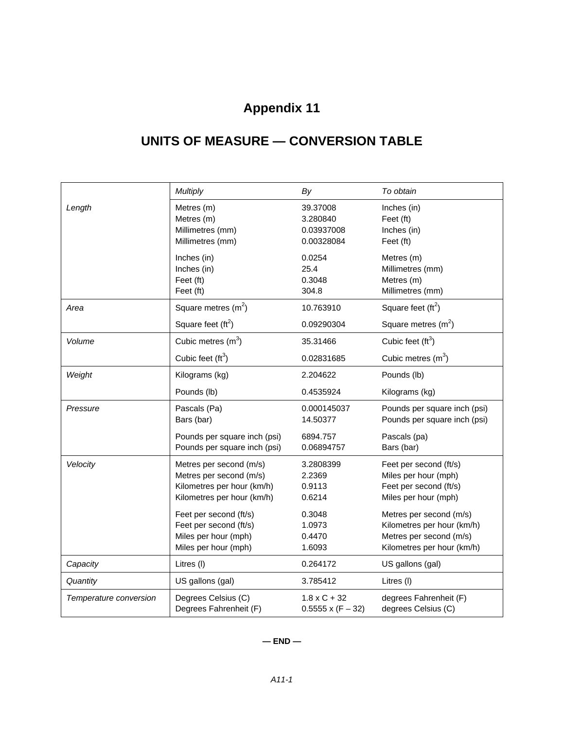# **Appendix 11**

## **UNITS OF MEASURE — CONVERSION TABLE**

|                        | <b>Multiply</b>                                                                                                | By                                               | To obtain                                                                                                      |
|------------------------|----------------------------------------------------------------------------------------------------------------|--------------------------------------------------|----------------------------------------------------------------------------------------------------------------|
| Length                 | Metres (m)<br>Metres (m)<br>Millimetres (mm)<br>Millimetres (mm)                                               | 39.37008<br>3.280840<br>0.03937008<br>0.00328084 | Inches (in)<br>Feet (ft)<br>Inches (in)<br>Feet (ft)                                                           |
|                        | Inches (in)<br>Inches (in)<br>Feet (ft)<br>Feet (ft)                                                           | 0.0254<br>25.4<br>0.3048<br>304.8                | Metres (m)<br>Millimetres (mm)<br>Metres (m)<br>Millimetres (mm)                                               |
| Area                   | Square metres $(m2)$                                                                                           | 10.763910                                        | Square feet $(\text{ft}^2)$                                                                                    |
|                        | Square feet $(tft^2)$                                                                                          | 0.09290304                                       | Square metres $(m2)$                                                                                           |
| Volume                 | Cubic metres $(m3)$                                                                                            | 35.31466                                         | Cubic feet $(tf3)$                                                                                             |
|                        | Cubic feet $(ft^3)$                                                                                            | 0.02831685                                       | Cubic metres $(m3)$                                                                                            |
| Weight                 | Kilograms (kg)                                                                                                 | 2.204622                                         | Pounds (lb)                                                                                                    |
|                        | Pounds (lb)                                                                                                    | 0.4535924                                        | Kilograms (kg)                                                                                                 |
| Pressure               | Pascals (Pa)<br>Bars (bar)                                                                                     | 0.000145037<br>14.50377                          | Pounds per square inch (psi)<br>Pounds per square inch (psi)                                                   |
|                        | Pounds per square inch (psi)<br>Pounds per square inch (psi)                                                   | 6894.757<br>0.06894757                           | Pascals (pa)<br>Bars (bar)                                                                                     |
| Velocity               | Metres per second (m/s)<br>Metres per second (m/s)<br>Kilometres per hour (km/h)<br>Kilometres per hour (km/h) | 3.2808399<br>2.2369<br>0.9113<br>0.6214          | Feet per second (ft/s)<br>Miles per hour (mph)<br>Feet per second (ft/s)<br>Miles per hour (mph)               |
|                        | Feet per second (ft/s)<br>Feet per second (ft/s)<br>Miles per hour (mph)<br>Miles per hour (mph)               | 0.3048<br>1.0973<br>0.4470<br>1.6093             | Metres per second (m/s)<br>Kilometres per hour (km/h)<br>Metres per second (m/s)<br>Kilometres per hour (km/h) |
| Capacity               | Litres (I)                                                                                                     | 0.264172                                         | US gallons (gal)                                                                                               |
| Quantity               | US gallons (gal)                                                                                               | 3.785412                                         | Litres (I)                                                                                                     |
| Temperature conversion | Degrees Celsius (C)<br>Degrees Fahrenheit (F)                                                                  | $1.8 \times C + 32$<br>$0.5555 \times (F - 32)$  | degrees Fahrenheit (F)<br>degrees Celsius (C)                                                                  |

#### **— END —**